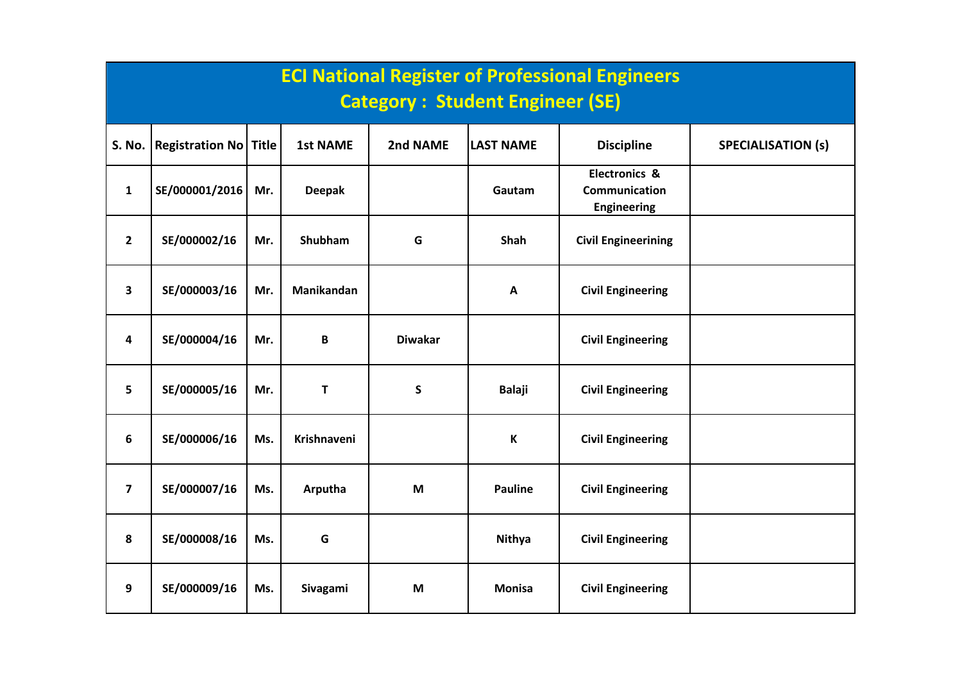|                         | <b>ECI National Register of Professional Engineers</b><br><b>Category: Student Engineer (SE)</b> |              |                 |                |                  |                                                                 |                           |  |  |  |  |  |
|-------------------------|--------------------------------------------------------------------------------------------------|--------------|-----------------|----------------|------------------|-----------------------------------------------------------------|---------------------------|--|--|--|--|--|
| S. No.                  | <b>Registration No</b>                                                                           | <b>Title</b> | <b>1st NAME</b> | 2nd NAME       | <b>LAST NAME</b> | <b>Discipline</b>                                               | <b>SPECIALISATION (s)</b> |  |  |  |  |  |
| $\mathbf{1}$            | SE/000001/2016                                                                                   | Mr.          | <b>Deepak</b>   |                | Gautam           | <b>Electronics &amp;</b><br>Communication<br><b>Engineering</b> |                           |  |  |  |  |  |
| $\mathbf{2}$            | SE/000002/16                                                                                     | Mr.          | Shubham         | G              | Shah             | <b>Civil Engineerining</b>                                      |                           |  |  |  |  |  |
| $\overline{\mathbf{3}}$ | SE/000003/16                                                                                     | Mr.          | Manikandan      |                | $\mathbf{A}$     | <b>Civil Engineering</b>                                        |                           |  |  |  |  |  |
| 4                       | SE/000004/16                                                                                     | Mr.          | B               | <b>Diwakar</b> |                  | <b>Civil Engineering</b>                                        |                           |  |  |  |  |  |
| 5                       | SE/000005/16                                                                                     | Mr.          | T               | $\mathsf S$    | <b>Balaji</b>    | <b>Civil Engineering</b>                                        |                           |  |  |  |  |  |
| 6                       | SE/000006/16                                                                                     | Ms.          | Krishnaveni     |                | К                | <b>Civil Engineering</b>                                        |                           |  |  |  |  |  |
| $\overline{\mathbf{z}}$ | SE/000007/16                                                                                     | Ms.          | Arputha         | M              | <b>Pauline</b>   | <b>Civil Engineering</b>                                        |                           |  |  |  |  |  |
| 8                       | SE/000008/16                                                                                     | Ms.          | G               |                | <b>Nithya</b>    | <b>Civil Engineering</b>                                        |                           |  |  |  |  |  |
| 9                       | SE/000009/16                                                                                     | Ms.          | Sivagami        | M              | <b>Monisa</b>    | <b>Civil Engineering</b>                                        |                           |  |  |  |  |  |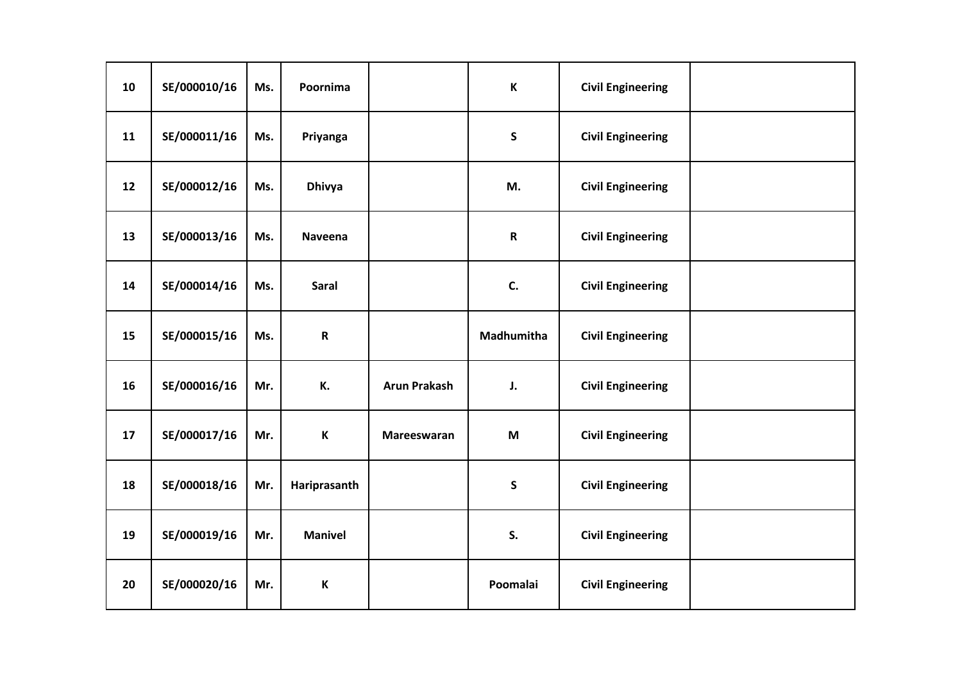| 10 | SE/000010/16 | Ms. | Poornima       |                     | К           | <b>Civil Engineering</b> |  |
|----|--------------|-----|----------------|---------------------|-------------|--------------------------|--|
| 11 | SE/000011/16 | Ms. | Priyanga       |                     | S           | <b>Civil Engineering</b> |  |
| 12 | SE/000012/16 | Ms. | <b>Dhivya</b>  |                     | M.          | <b>Civil Engineering</b> |  |
| 13 | SE/000013/16 | Ms. | Naveena        |                     | $\mathbf R$ | <b>Civil Engineering</b> |  |
| 14 | SE/000014/16 | Ms. | Saral          |                     | C.          | <b>Civil Engineering</b> |  |
| 15 | SE/000015/16 | Ms. | $\mathbf R$    |                     | Madhumitha  | <b>Civil Engineering</b> |  |
| 16 | SE/000016/16 | Mr. | К.             | <b>Arun Prakash</b> | J.          | <b>Civil Engineering</b> |  |
| 17 | SE/000017/16 | Mr. | К              | Mareeswaran         | M           | <b>Civil Engineering</b> |  |
| 18 | SE/000018/16 | Mr. | Hariprasanth   |                     | $\mathsf S$ | <b>Civil Engineering</b> |  |
| 19 | SE/000019/16 | Mr. | <b>Manivel</b> |                     | S.          | <b>Civil Engineering</b> |  |
| 20 | SE/000020/16 | Mr. | К              |                     | Poomalai    | <b>Civil Engineering</b> |  |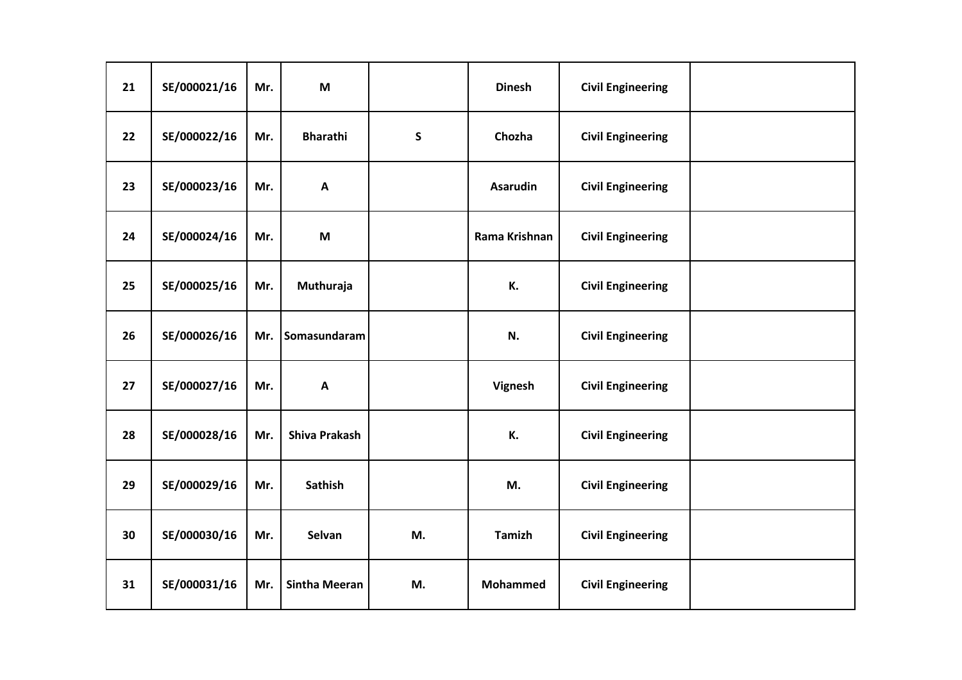| 21 | SE/000021/16 | Mr. | M                         |             | <b>Dinesh</b>   | <b>Civil Engineering</b> |  |
|----|--------------|-----|---------------------------|-------------|-----------------|--------------------------|--|
| 22 | SE/000022/16 | Mr. | <b>Bharathi</b>           | $\mathsf S$ | Chozha          | <b>Civil Engineering</b> |  |
| 23 | SE/000023/16 | Mr. | A                         |             | <b>Asarudin</b> | <b>Civil Engineering</b> |  |
| 24 | SE/000024/16 | Mr. | M                         |             | Rama Krishnan   | <b>Civil Engineering</b> |  |
| 25 | SE/000025/16 | Mr. | Muthuraja                 |             | К.              | <b>Civil Engineering</b> |  |
| 26 | SE/000026/16 | Mr. | Somasundaram              |             | N.              | <b>Civil Engineering</b> |  |
| 27 | SE/000027/16 | Mr. | $\boldsymbol{\mathsf{A}}$ |             | Vignesh         | <b>Civil Engineering</b> |  |
| 28 | SE/000028/16 | Mr. | <b>Shiva Prakash</b>      |             | К.              | <b>Civil Engineering</b> |  |
| 29 | SE/000029/16 | Mr. | <b>Sathish</b>            |             | M.              | <b>Civil Engineering</b> |  |
| 30 | SE/000030/16 | Mr. | Selvan                    | M.          | <b>Tamizh</b>   | <b>Civil Engineering</b> |  |
| 31 | SE/000031/16 | Mr. | <b>Sintha Meeran</b>      | M.          | <b>Mohammed</b> | <b>Civil Engineering</b> |  |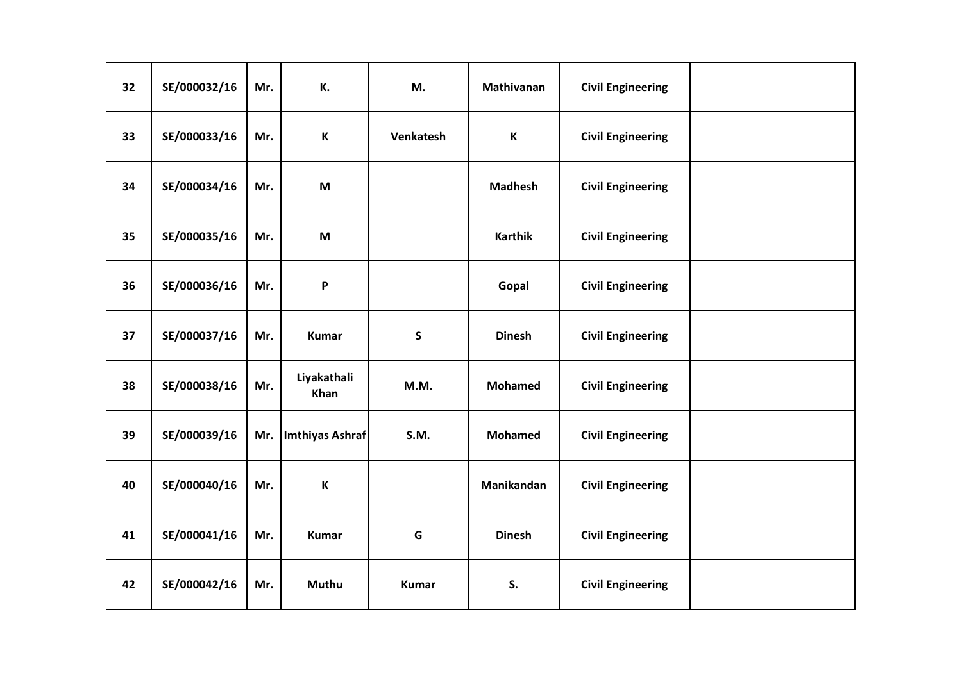| 32 | SE/000032/16 | Mr. | К.                  | M.           | Mathivanan     | <b>Civil Engineering</b> |  |
|----|--------------|-----|---------------------|--------------|----------------|--------------------------|--|
| 33 | SE/000033/16 | Mr. | K                   | Venkatesh    | K              | <b>Civil Engineering</b> |  |
| 34 | SE/000034/16 | Mr. | M                   |              | <b>Madhesh</b> | <b>Civil Engineering</b> |  |
| 35 | SE/000035/16 | Mr. | M                   |              | <b>Karthik</b> | <b>Civil Engineering</b> |  |
| 36 | SE/000036/16 | Mr. | P                   |              | Gopal          | <b>Civil Engineering</b> |  |
| 37 | SE/000037/16 | Mr. | <b>Kumar</b>        | $\mathsf S$  | <b>Dinesh</b>  | <b>Civil Engineering</b> |  |
| 38 | SE/000038/16 | Mr. | Liyakathali<br>Khan | M.M.         | <b>Mohamed</b> | <b>Civil Engineering</b> |  |
| 39 | SE/000039/16 | Mr. | Imthiyas Ashraf     | <b>S.M.</b>  | <b>Mohamed</b> | <b>Civil Engineering</b> |  |
| 40 | SE/000040/16 | Mr. | $\mathsf{K}$        |              | Manikandan     | <b>Civil Engineering</b> |  |
| 41 | SE/000041/16 | Mr. | <b>Kumar</b>        | G            | <b>Dinesh</b>  | <b>Civil Engineering</b> |  |
| 42 | SE/000042/16 | Mr. | <b>Muthu</b>        | <b>Kumar</b> | S.             | <b>Civil Engineering</b> |  |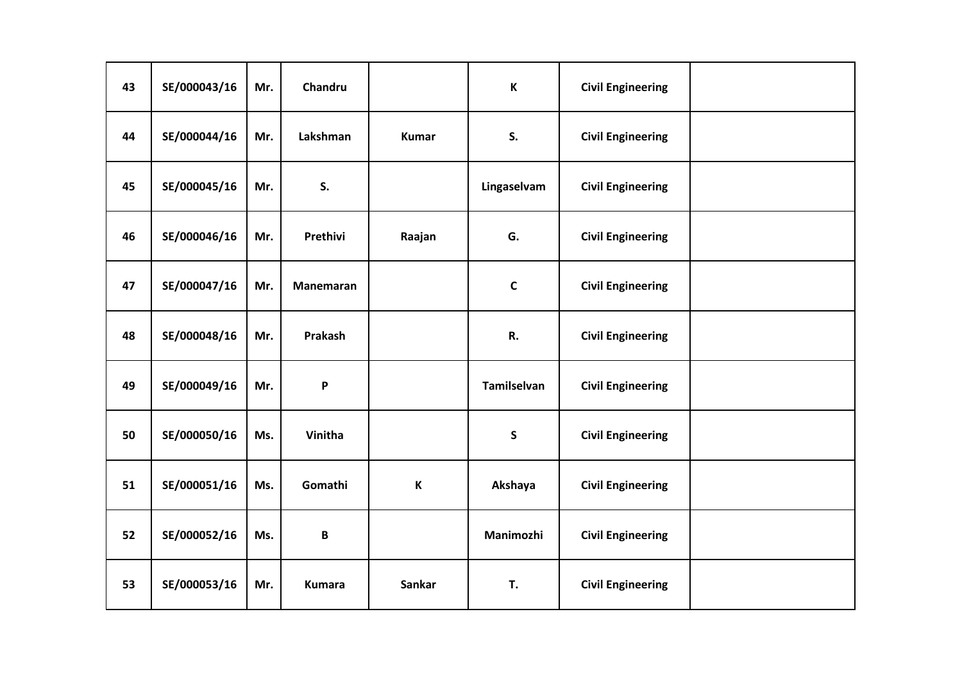| 43 | SE/000043/16 | Mr. | Chandru          |               | К                  | <b>Civil Engineering</b> |  |
|----|--------------|-----|------------------|---------------|--------------------|--------------------------|--|
| 44 | SE/000044/16 | Mr. | Lakshman         | <b>Kumar</b>  | S.                 | <b>Civil Engineering</b> |  |
| 45 | SE/000045/16 | Mr. | S.               |               | Lingaselvam        | <b>Civil Engineering</b> |  |
| 46 | SE/000046/16 | Mr. | Prethivi         | Raajan        | G.                 | <b>Civil Engineering</b> |  |
| 47 | SE/000047/16 | Mr. | <b>Manemaran</b> |               | $\mathsf C$        | <b>Civil Engineering</b> |  |
| 48 | SE/000048/16 | Mr. | Prakash          |               | R.                 | <b>Civil Engineering</b> |  |
| 49 | SE/000049/16 | Mr. | P                |               | <b>Tamilselvan</b> | <b>Civil Engineering</b> |  |
| 50 | SE/000050/16 | Ms. | Vinitha          |               | $\mathsf{s}$       | <b>Civil Engineering</b> |  |
| 51 | SE/000051/16 | Ms. | Gomathi          | $\mathbf K$   | Akshaya            | <b>Civil Engineering</b> |  |
| 52 | SE/000052/16 | Ms. | $\, {\bf B}$     |               | Manimozhi          | <b>Civil Engineering</b> |  |
| 53 | SE/000053/16 | Mr. | <b>Kumara</b>    | <b>Sankar</b> | T.                 | <b>Civil Engineering</b> |  |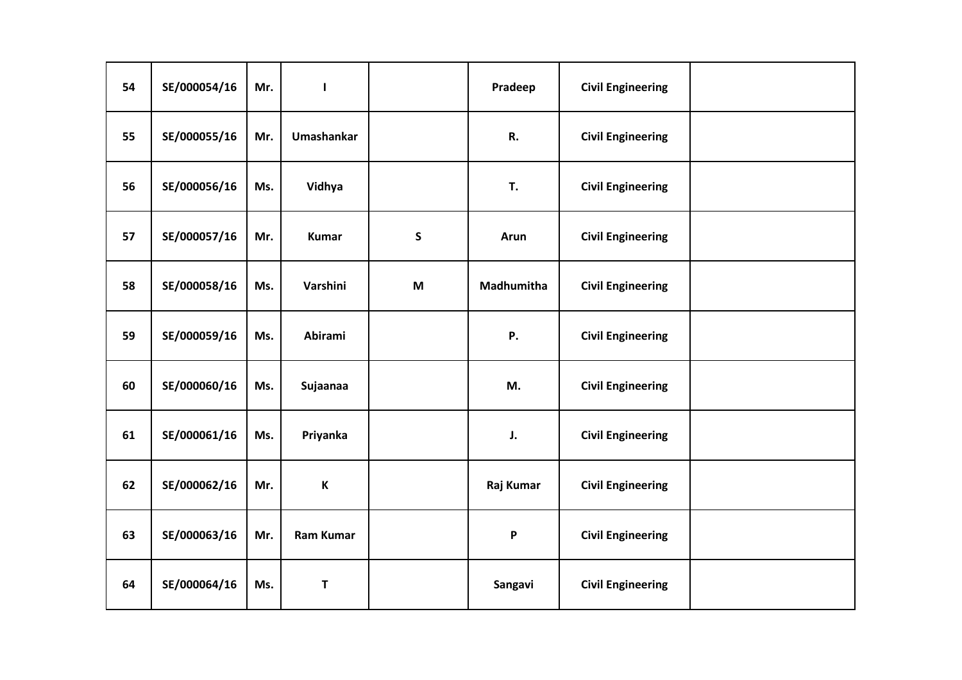| 54 | SE/000054/16 | Mr. | $\mathbf{I}$     |             | Pradeep                   | <b>Civil Engineering</b> |  |
|----|--------------|-----|------------------|-------------|---------------------------|--------------------------|--|
| 55 | SE/000055/16 | Mr. | Umashankar       |             | R.                        | <b>Civil Engineering</b> |  |
| 56 | SE/000056/16 | Ms. | Vidhya           |             | T.                        | <b>Civil Engineering</b> |  |
| 57 | SE/000057/16 | Mr. | <b>Kumar</b>     | $\mathsf S$ | Arun                      | <b>Civil Engineering</b> |  |
| 58 | SE/000058/16 | Ms. | Varshini         | M           | Madhumitha                | <b>Civil Engineering</b> |  |
| 59 | SE/000059/16 | Ms. | Abirami          |             | <b>P.</b>                 | <b>Civil Engineering</b> |  |
| 60 | SE/000060/16 | Ms. | Sujaanaa         |             | M.                        | <b>Civil Engineering</b> |  |
| 61 | SE/000061/16 | Ms. | Priyanka         |             | J.                        | <b>Civil Engineering</b> |  |
| 62 | SE/000062/16 | Mr. | $\mathbf K$      |             | Raj Kumar                 | <b>Civil Engineering</b> |  |
| 63 | SE/000063/16 | Mr. | <b>Ram Kumar</b> |             | $\boldsymbol{\mathsf{P}}$ | <b>Civil Engineering</b> |  |
| 64 | SE/000064/16 | Ms. | T                |             | Sangavi                   | <b>Civil Engineering</b> |  |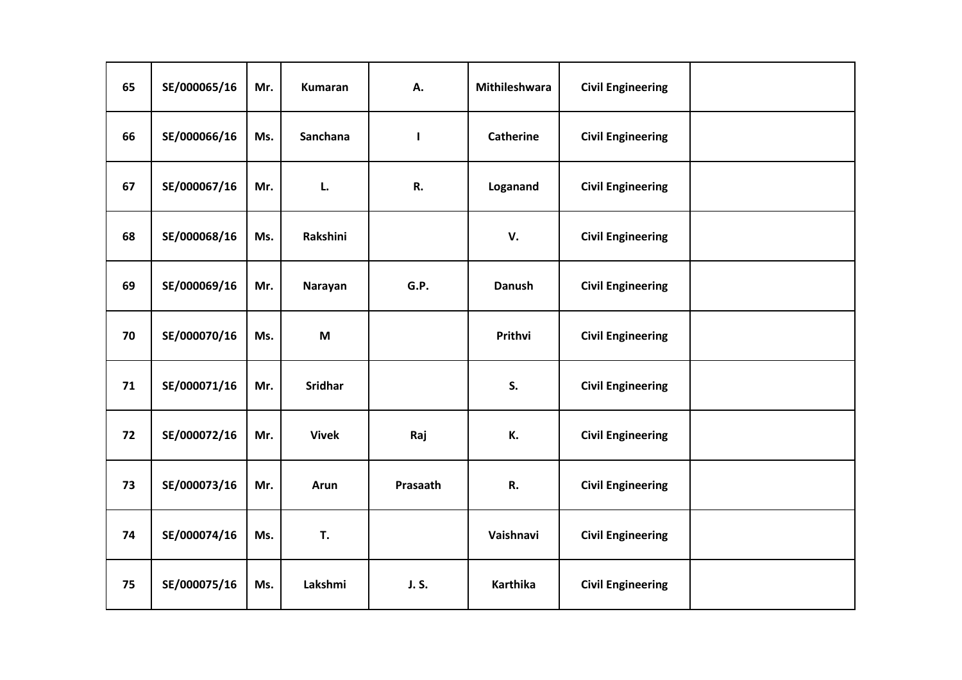| 65 | SE/000065/16 | Mr. | <b>Kumaran</b> | А.       | Mithileshwara    | <b>Civil Engineering</b> |  |
|----|--------------|-----|----------------|----------|------------------|--------------------------|--|
| 66 | SE/000066/16 | Ms. | Sanchana       | ı        | <b>Catherine</b> | <b>Civil Engineering</b> |  |
| 67 | SE/000067/16 | Mr. | L.             | R.       | Loganand         | <b>Civil Engineering</b> |  |
| 68 | SE/000068/16 | Ms. | Rakshini       |          | V.               | <b>Civil Engineering</b> |  |
| 69 | SE/000069/16 | Mr. | Narayan        | G.P.     | <b>Danush</b>    | <b>Civil Engineering</b> |  |
| 70 | SE/000070/16 | Ms. | M              |          | Prithvi          | <b>Civil Engineering</b> |  |
| 71 | SE/000071/16 | Mr. | <b>Sridhar</b> |          | S.               | <b>Civil Engineering</b> |  |
| 72 | SE/000072/16 | Mr. | <b>Vivek</b>   | Raj      | К.               | <b>Civil Engineering</b> |  |
| 73 | SE/000073/16 | Mr. | Arun           | Prasaath | R.               | <b>Civil Engineering</b> |  |
| 74 | SE/000074/16 | Ms. | T.             |          | Vaishnavi        | <b>Civil Engineering</b> |  |
| 75 | SE/000075/16 | Ms. | Lakshmi        | J. S.    | <b>Karthika</b>  | <b>Civil Engineering</b> |  |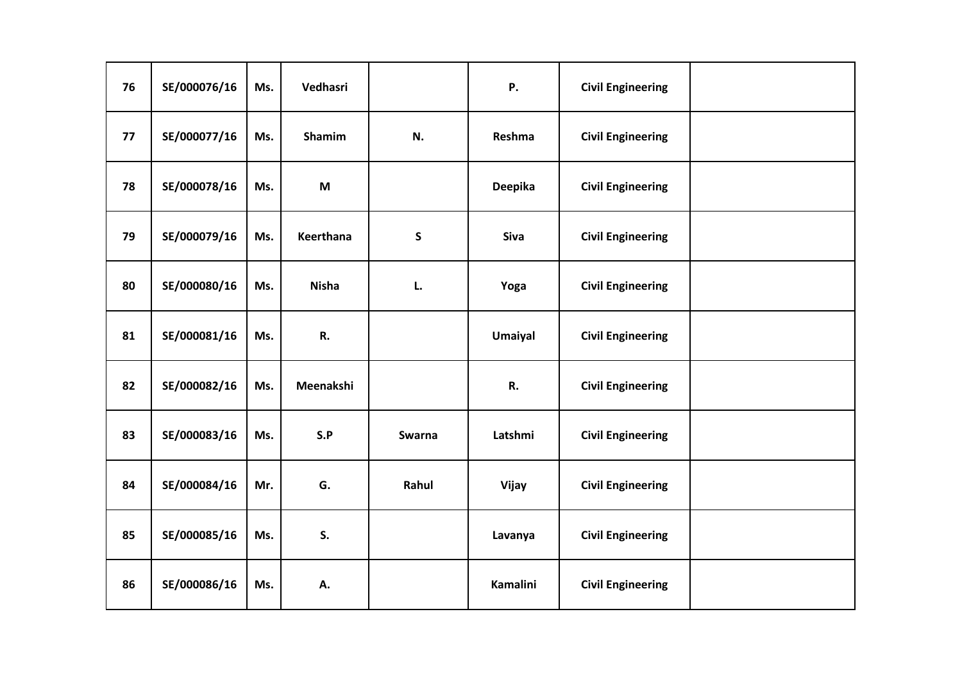| 76 | SE/000076/16 | Ms. | Vedhasri     |               | <b>P.</b>       | <b>Civil Engineering</b> |  |
|----|--------------|-----|--------------|---------------|-----------------|--------------------------|--|
| 77 | SE/000077/16 | Ms. | Shamim       | N.            | Reshma          | <b>Civil Engineering</b> |  |
| 78 | SE/000078/16 | Ms. | M            |               | Deepika         | <b>Civil Engineering</b> |  |
| 79 | SE/000079/16 | Ms. | Keerthana    | $\mathsf S$   | Siva            | <b>Civil Engineering</b> |  |
| 80 | SE/000080/16 | Ms. | <b>Nisha</b> | L.            | Yoga            | <b>Civil Engineering</b> |  |
| 81 | SE/000081/16 | Ms. | R.           |               | <b>Umaiyal</b>  | <b>Civil Engineering</b> |  |
| 82 | SE/000082/16 | Ms. | Meenakshi    |               | R.              | <b>Civil Engineering</b> |  |
| 83 | SE/000083/16 | Ms. | S.P          | <b>Swarna</b> | Latshmi         | <b>Civil Engineering</b> |  |
| 84 | SE/000084/16 | Mr. | G.           | Rahul         | Vijay           | <b>Civil Engineering</b> |  |
| 85 | SE/000085/16 | Ms. | S.           |               | Lavanya         | <b>Civil Engineering</b> |  |
| 86 | SE/000086/16 | Ms. | А.           |               | <b>Kamalini</b> | <b>Civil Engineering</b> |  |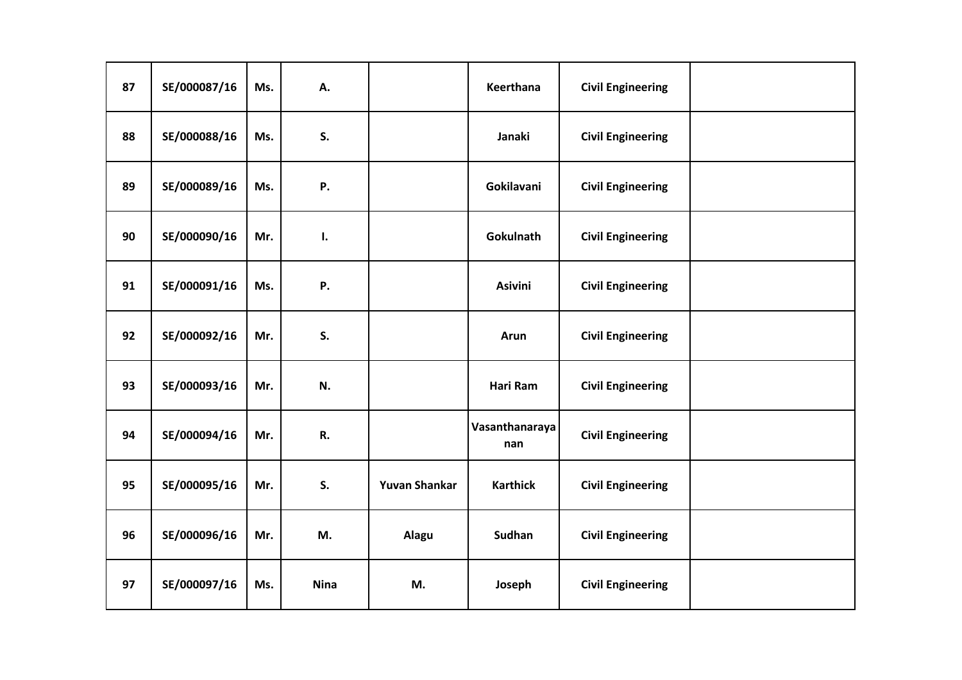| 87 | SE/000087/16 | Ms. | А.          |                      | Keerthana             | <b>Civil Engineering</b> |  |
|----|--------------|-----|-------------|----------------------|-----------------------|--------------------------|--|
| 88 | SE/000088/16 | Ms. | S.          |                      | Janaki                | <b>Civil Engineering</b> |  |
| 89 | SE/000089/16 | Ms. | Ρ.          |                      | Gokilavani            | <b>Civil Engineering</b> |  |
| 90 | SE/000090/16 | Mr. | ı.          |                      | Gokulnath             | <b>Civil Engineering</b> |  |
| 91 | SE/000091/16 | Ms. | <b>P.</b>   |                      | <b>Asivini</b>        | <b>Civil Engineering</b> |  |
| 92 | SE/000092/16 | Mr. | S.          |                      | Arun                  | <b>Civil Engineering</b> |  |
| 93 | SE/000093/16 | Mr. | N.          |                      | Hari Ram              | <b>Civil Engineering</b> |  |
| 94 | SE/000094/16 | Mr. | R.          |                      | Vasanthanaraya<br>nan | <b>Civil Engineering</b> |  |
| 95 | SE/000095/16 | Mr. | S.          | <b>Yuvan Shankar</b> | <b>Karthick</b>       | <b>Civil Engineering</b> |  |
| 96 | SE/000096/16 | Mr. | M.          | Alagu                | <b>Sudhan</b>         | <b>Civil Engineering</b> |  |
| 97 | SE/000097/16 | Ms. | <b>Nina</b> | M.                   | Joseph                | <b>Civil Engineering</b> |  |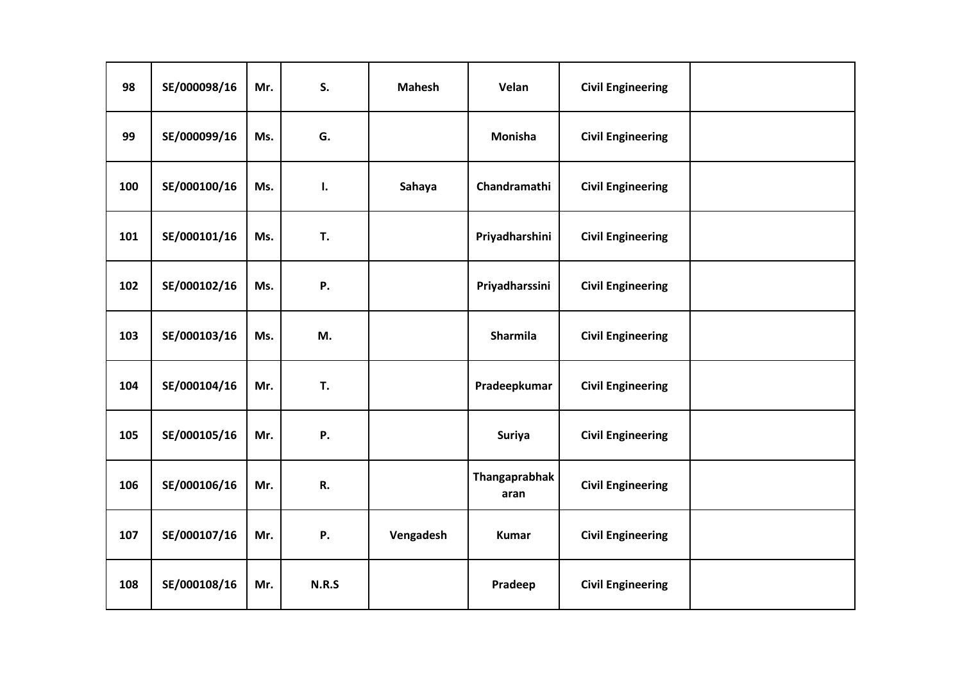| 98  | SE/000098/16 | Mr. | S.           | <b>Mahesh</b> | Velan                 | <b>Civil Engineering</b> |  |
|-----|--------------|-----|--------------|---------------|-----------------------|--------------------------|--|
| 99  | SE/000099/16 | Ms. | G.           |               | Monisha               | <b>Civil Engineering</b> |  |
| 100 | SE/000100/16 | Ms. | ı.           | Sahaya        | Chandramathi          | <b>Civil Engineering</b> |  |
| 101 | SE/000101/16 | Ms. | T.           |               | Priyadharshini        | <b>Civil Engineering</b> |  |
| 102 | SE/000102/16 | Ms. | Ρ.           |               | Priyadharssini        | <b>Civil Engineering</b> |  |
| 103 | SE/000103/16 | Ms. | M.           |               | Sharmila              | <b>Civil Engineering</b> |  |
| 104 | SE/000104/16 | Mr. | T.           |               | Pradeepkumar          | <b>Civil Engineering</b> |  |
| 105 | SE/000105/16 | Mr. | Ρ.           |               | <b>Suriya</b>         | <b>Civil Engineering</b> |  |
| 106 | SE/000106/16 | Mr. | R.           |               | Thangaprabhak<br>aran | <b>Civil Engineering</b> |  |
| 107 | SE/000107/16 | Mr. | Ρ.           | Vengadesh     | <b>Kumar</b>          | <b>Civil Engineering</b> |  |
| 108 | SE/000108/16 | Mr. | <b>N.R.S</b> |               | Pradeep               | <b>Civil Engineering</b> |  |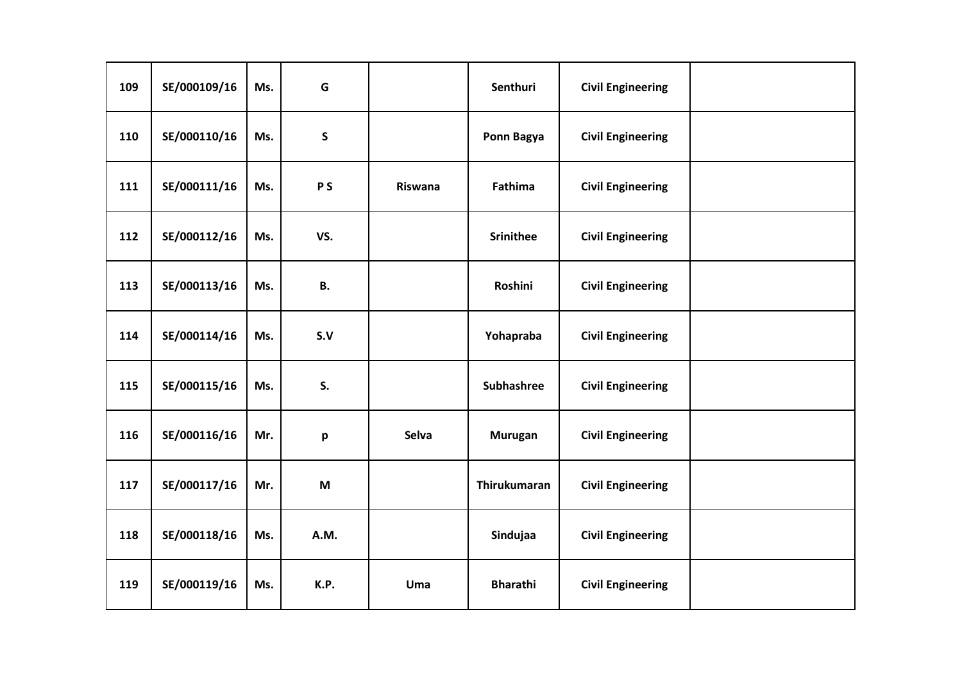| 109 | SE/000109/16 | Ms. | G         |         | Senthuri            | <b>Civil Engineering</b> |  |
|-----|--------------|-----|-----------|---------|---------------------|--------------------------|--|
| 110 | SE/000110/16 | Ms. | ${\sf S}$ |         | Ponn Bagya          | <b>Civil Engineering</b> |  |
| 111 | SE/000111/16 | Ms. | <b>PS</b> | Riswana | Fathima             | <b>Civil Engineering</b> |  |
| 112 | SE/000112/16 | Ms. | VS.       |         | <b>Srinithee</b>    | <b>Civil Engineering</b> |  |
| 113 | SE/000113/16 | Ms. | <b>B.</b> |         | <b>Roshini</b>      | <b>Civil Engineering</b> |  |
| 114 | SE/000114/16 | Ms. | S.V       |         | Yohapraba           | <b>Civil Engineering</b> |  |
| 115 | SE/000115/16 | Ms. | S.        |         | Subhashree          | <b>Civil Engineering</b> |  |
| 116 | SE/000116/16 | Mr. | p         | Selva   | <b>Murugan</b>      | <b>Civil Engineering</b> |  |
| 117 | SE/000117/16 | Mr. | M         |         | <b>Thirukumaran</b> | <b>Civil Engineering</b> |  |
| 118 | SE/000118/16 | Ms. | A.M.      |         | Sindujaa            | <b>Civil Engineering</b> |  |
| 119 | SE/000119/16 | Ms. | K.P.      | Uma     | <b>Bharathi</b>     | <b>Civil Engineering</b> |  |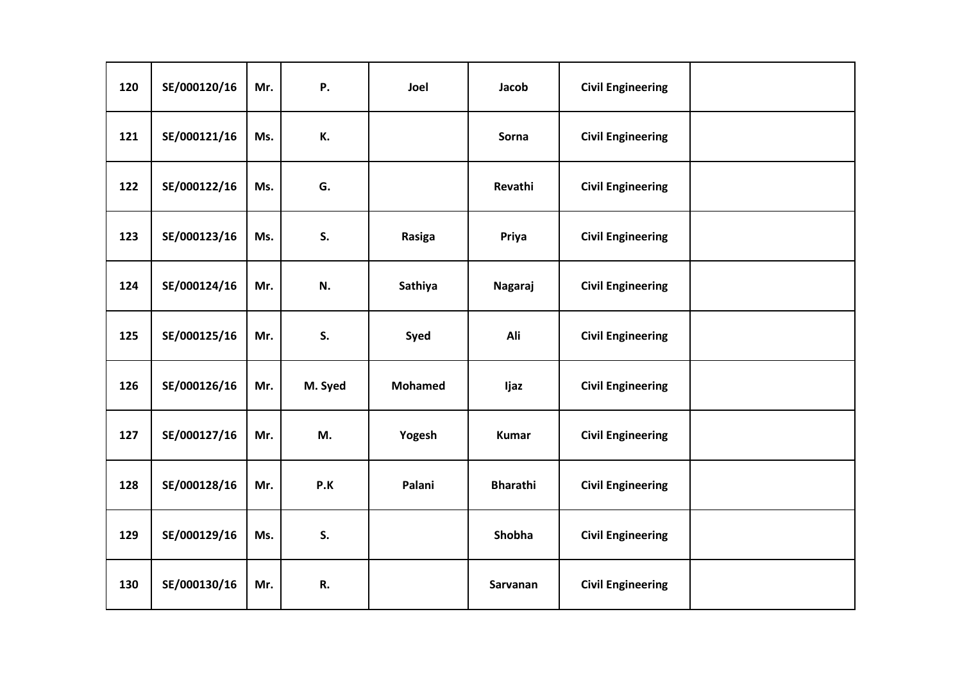| 120 | SE/000120/16 | Mr. | Ρ.      | Joel           | Jacob           | <b>Civil Engineering</b> |  |
|-----|--------------|-----|---------|----------------|-----------------|--------------------------|--|
| 121 | SE/000121/16 | Ms. | К.      |                | Sorna           | <b>Civil Engineering</b> |  |
| 122 | SE/000122/16 | Ms. | G.      |                | Revathi         | <b>Civil Engineering</b> |  |
| 123 | SE/000123/16 | Ms. | S.      | Rasiga         | Priya           | <b>Civil Engineering</b> |  |
| 124 | SE/000124/16 | Mr. | N.      | Sathiya        | Nagaraj         | <b>Civil Engineering</b> |  |
| 125 | SE/000125/16 | Mr. | S.      | Syed           | Ali             | <b>Civil Engineering</b> |  |
| 126 | SE/000126/16 | Mr. | M. Syed | <b>Mohamed</b> | Ijaz            | <b>Civil Engineering</b> |  |
| 127 | SE/000127/16 | Mr. | M.      | Yogesh         | <b>Kumar</b>    | <b>Civil Engineering</b> |  |
| 128 | SE/000128/16 | Mr. | P.K     | Palani         | <b>Bharathi</b> | <b>Civil Engineering</b> |  |
| 129 | SE/000129/16 | Ms. | S.      |                | Shobha          | <b>Civil Engineering</b> |  |
| 130 | SE/000130/16 | Mr. | R.      |                | Sarvanan        | <b>Civil Engineering</b> |  |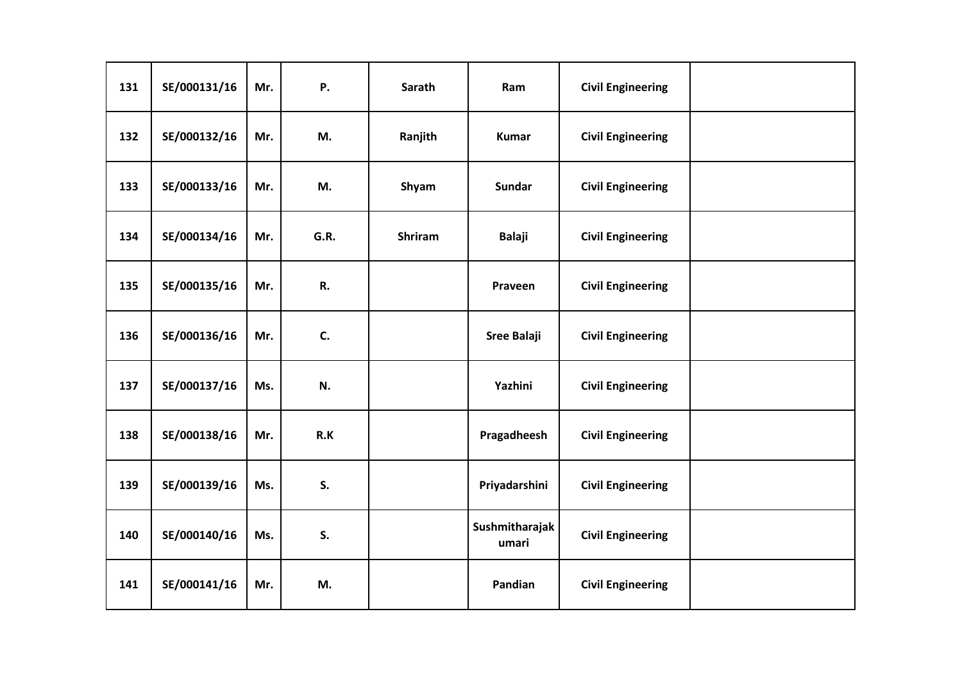| 131 | SE/000131/16 | Mr. | Ρ.   | Sarath         | Ram                     | <b>Civil Engineering</b> |  |
|-----|--------------|-----|------|----------------|-------------------------|--------------------------|--|
| 132 | SE/000132/16 | Mr. | M.   | Ranjith        | <b>Kumar</b>            | <b>Civil Engineering</b> |  |
| 133 | SE/000133/16 | Mr. | M.   | Shyam          | <b>Sundar</b>           | <b>Civil Engineering</b> |  |
| 134 | SE/000134/16 | Mr. | G.R. | <b>Shriram</b> | <b>Balaji</b>           | <b>Civil Engineering</b> |  |
| 135 | SE/000135/16 | Mr. | R.   |                | Praveen                 | <b>Civil Engineering</b> |  |
| 136 | SE/000136/16 | Mr. | C.   |                | <b>Sree Balaji</b>      | <b>Civil Engineering</b> |  |
| 137 | SE/000137/16 | Ms. | N.   |                | Yazhini                 | <b>Civil Engineering</b> |  |
| 138 | SE/000138/16 | Mr. | R.K  |                | Pragadheesh             | <b>Civil Engineering</b> |  |
| 139 | SE/000139/16 | Ms. | S.   |                | Priyadarshini           | <b>Civil Engineering</b> |  |
| 140 | SE/000140/16 | Ms. | S.   |                | Sushmitharajak<br>umari | <b>Civil Engineering</b> |  |
| 141 | SE/000141/16 | Mr. | M.   |                | Pandian                 | <b>Civil Engineering</b> |  |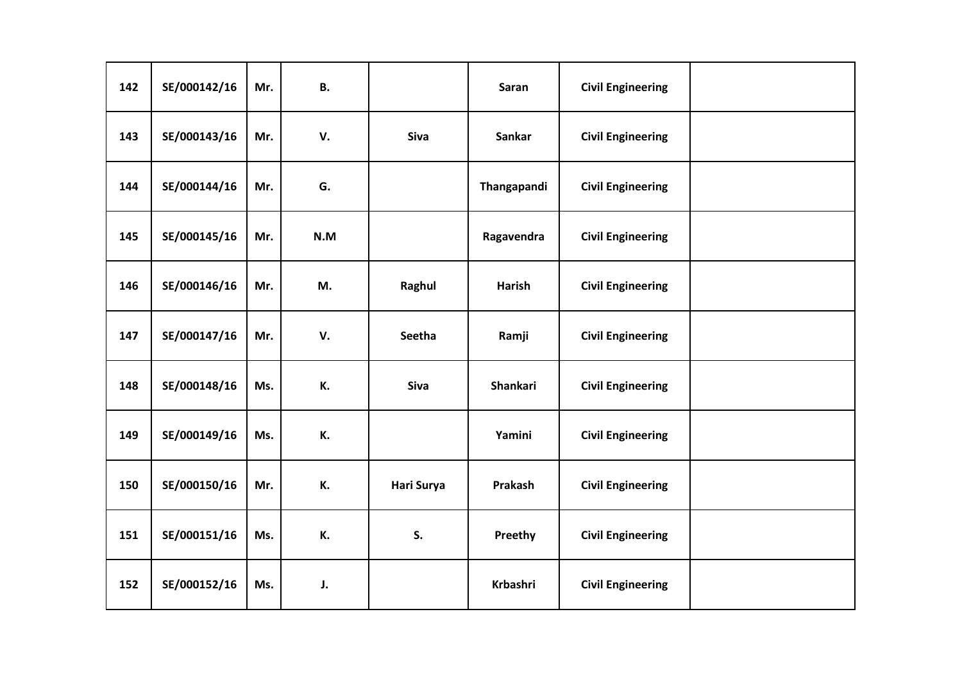| 142 | SE/000142/16 | Mr. | В.  |            | Saran           | <b>Civil Engineering</b> |  |
|-----|--------------|-----|-----|------------|-----------------|--------------------------|--|
| 143 | SE/000143/16 | Mr. | V.  | Siva       | Sankar          | <b>Civil Engineering</b> |  |
| 144 | SE/000144/16 | Mr. | G.  |            | Thangapandi     | <b>Civil Engineering</b> |  |
| 145 | SE/000145/16 | Mr. | N.M |            | Ragavendra      | <b>Civil Engineering</b> |  |
| 146 | SE/000146/16 | Mr. | M.  | Raghul     | <b>Harish</b>   | <b>Civil Engineering</b> |  |
| 147 | SE/000147/16 | Mr. | V.  | Seetha     | Ramji           | <b>Civil Engineering</b> |  |
| 148 | SE/000148/16 | Ms. | К.  | Siva       | Shankari        | <b>Civil Engineering</b> |  |
| 149 | SE/000149/16 | Ms. | К.  |            | Yamini          | <b>Civil Engineering</b> |  |
| 150 | SE/000150/16 | Mr. | К.  | Hari Surya | Prakash         | <b>Civil Engineering</b> |  |
| 151 | SE/000151/16 | Ms. | К.  | S.         | Preethy         | <b>Civil Engineering</b> |  |
| 152 | SE/000152/16 | Ms. | J.  |            | <b>Krbashri</b> | <b>Civil Engineering</b> |  |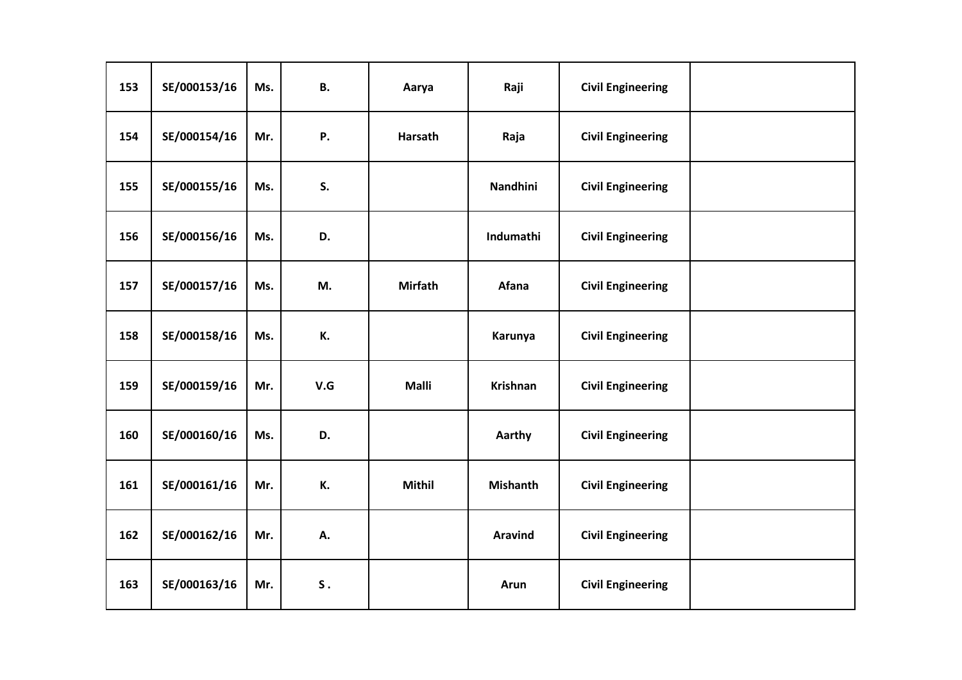| 153 | SE/000153/16 | Ms. | <b>B.</b>   | Aarya          | Raji            | <b>Civil Engineering</b> |  |
|-----|--------------|-----|-------------|----------------|-----------------|--------------------------|--|
| 154 | SE/000154/16 | Mr. | <b>P.</b>   | Harsath        | Raja            | <b>Civil Engineering</b> |  |
| 155 | SE/000155/16 | Ms. | S.          |                | Nandhini        | <b>Civil Engineering</b> |  |
| 156 | SE/000156/16 | Ms. | D.          |                | Indumathi       | <b>Civil Engineering</b> |  |
| 157 | SE/000157/16 | Ms. | M.          | <b>Mirfath</b> | Afana           | <b>Civil Engineering</b> |  |
| 158 | SE/000158/16 | Ms. | К.          |                | Karunya         | <b>Civil Engineering</b> |  |
| 159 | SE/000159/16 | Mr. | V.G         | <b>Malli</b>   | <b>Krishnan</b> | <b>Civil Engineering</b> |  |
| 160 | SE/000160/16 | Ms. | D.          |                | Aarthy          | <b>Civil Engineering</b> |  |
| 161 | SE/000161/16 | Mr. | К.          | <b>Mithil</b>  | <b>Mishanth</b> | <b>Civil Engineering</b> |  |
| 162 | SE/000162/16 | Mr. | А.          |                | <b>Aravind</b>  | <b>Civil Engineering</b> |  |
| 163 | SE/000163/16 | Mr. | ${\sf S}$ . |                | <b>Arun</b>     | <b>Civil Engineering</b> |  |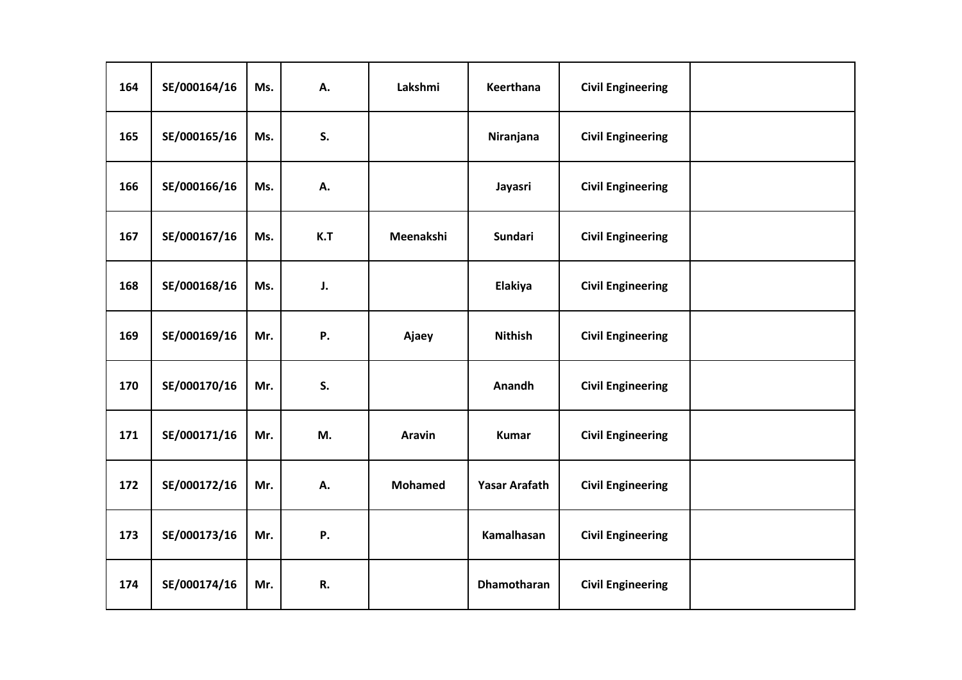| 164 | SE/000164/16 | Ms. | А.  | Lakshmi        | Keerthana            | <b>Civil Engineering</b> |  |
|-----|--------------|-----|-----|----------------|----------------------|--------------------------|--|
| 165 | SE/000165/16 | Ms. | S.  |                | Niranjana            | <b>Civil Engineering</b> |  |
| 166 | SE/000166/16 | Ms. | А.  |                | Jayasri              | <b>Civil Engineering</b> |  |
| 167 | SE/000167/16 | Ms. | K.T | Meenakshi      | <b>Sundari</b>       | <b>Civil Engineering</b> |  |
| 168 | SE/000168/16 | Ms. | J.  |                | Elakiya              | <b>Civil Engineering</b> |  |
| 169 | SE/000169/16 | Mr. | Ρ.  | Ajaey          | <b>Nithish</b>       | <b>Civil Engineering</b> |  |
| 170 | SE/000170/16 | Mr. | S.  |                | Anandh               | <b>Civil Engineering</b> |  |
| 171 | SE/000171/16 | Mr. | M.  | Aravin         | <b>Kumar</b>         | <b>Civil Engineering</b> |  |
| 172 | SE/000172/16 | Mr. | А.  | <b>Mohamed</b> | <b>Yasar Arafath</b> | <b>Civil Engineering</b> |  |
| 173 | SE/000173/16 | Mr. | Ρ.  |                | Kamalhasan           | <b>Civil Engineering</b> |  |
| 174 | SE/000174/16 | Mr. | R.  |                | <b>Dhamotharan</b>   | <b>Civil Engineering</b> |  |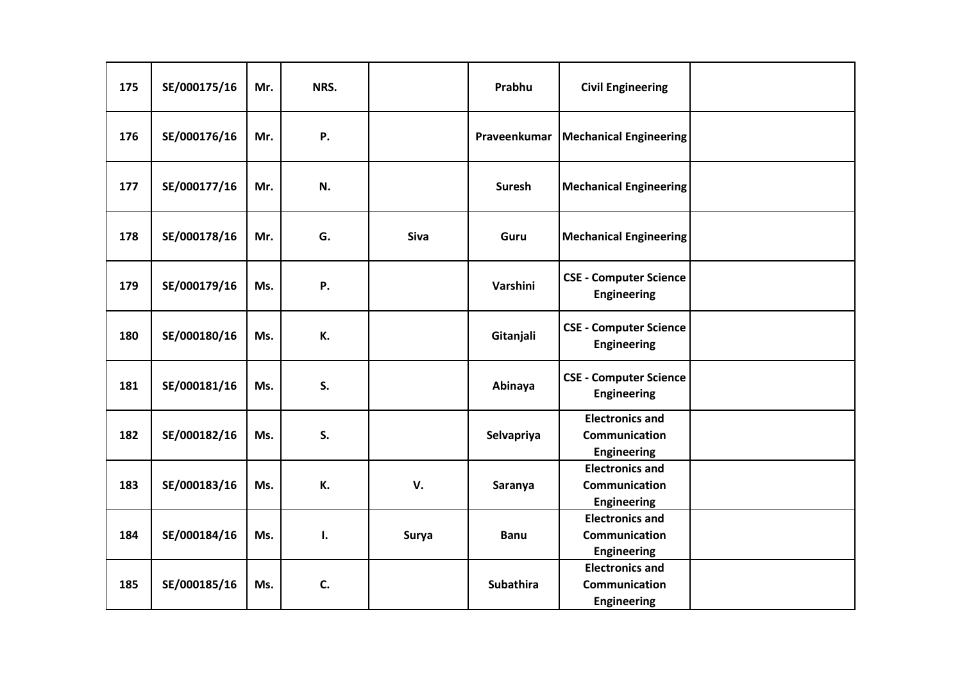| 175 | SE/000175/16 | Mr. | NRS. |       | Prabhu           | <b>Civil Engineering</b>                                      |  |
|-----|--------------|-----|------|-------|------------------|---------------------------------------------------------------|--|
| 176 | SE/000176/16 | Mr. | Ρ.   |       | Praveenkumar     | <b>Mechanical Engineering</b>                                 |  |
| 177 | SE/000177/16 | Mr. | N.   |       | <b>Suresh</b>    | <b>Mechanical Engineering</b>                                 |  |
| 178 | SE/000178/16 | Mr. | G.   | Siva  | Guru             | <b>Mechanical Engineering</b>                                 |  |
| 179 | SE/000179/16 | Ms. | Ρ.   |       | Varshini         | <b>CSE - Computer Science</b><br><b>Engineering</b>           |  |
| 180 | SE/000180/16 | Ms. | К.   |       | Gitanjali        | <b>CSE - Computer Science</b><br><b>Engineering</b>           |  |
| 181 | SE/000181/16 | Ms. | S.   |       | Abinaya          | <b>CSE - Computer Science</b><br><b>Engineering</b>           |  |
| 182 | SE/000182/16 | Ms. | S.   |       | Selvapriya       | <b>Electronics and</b><br>Communication<br><b>Engineering</b> |  |
| 183 | SE/000183/16 | Ms. | К.   | V.    | Saranya          | <b>Electronics and</b><br>Communication<br><b>Engineering</b> |  |
| 184 | SE/000184/16 | Ms. | I.   | Surya | <b>Banu</b>      | <b>Electronics and</b><br>Communication<br><b>Engineering</b> |  |
| 185 | SE/000185/16 | Ms. | C.   |       | <b>Subathira</b> | <b>Electronics and</b><br><b>Communication</b><br>Engineering |  |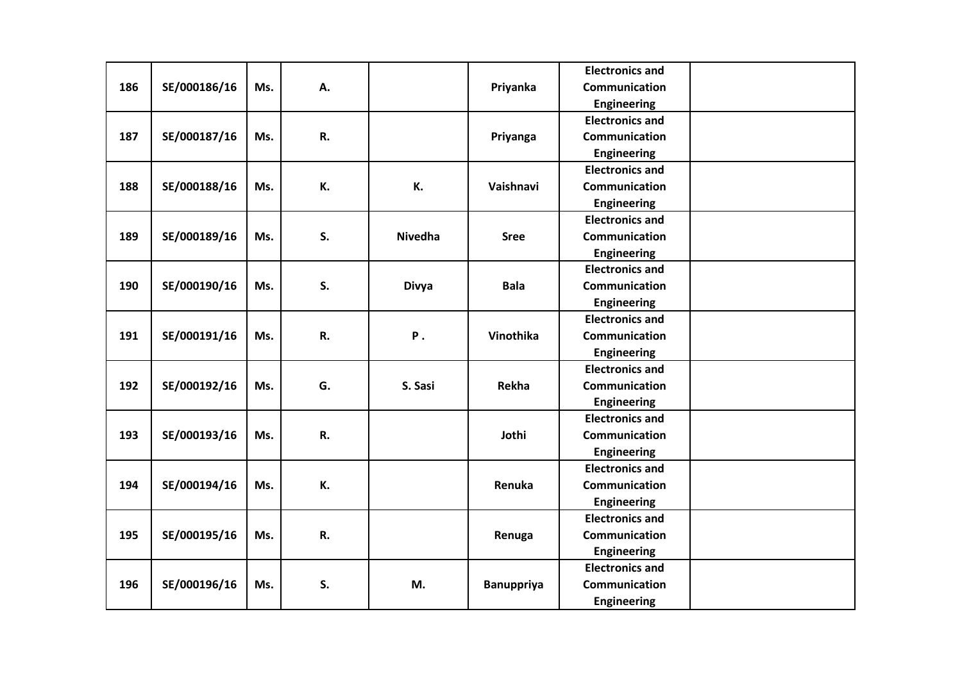|     |              |     |    |                |                   | <b>Electronics and</b> |  |
|-----|--------------|-----|----|----------------|-------------------|------------------------|--|
| 186 | SE/000186/16 | Ms. | А. |                | Priyanka          | <b>Communication</b>   |  |
|     |              |     |    |                |                   | <b>Engineering</b>     |  |
|     |              |     |    |                |                   | <b>Electronics and</b> |  |
| 187 | SE/000187/16 | Ms. | R. |                | Priyanga          | <b>Communication</b>   |  |
|     |              |     |    |                |                   | <b>Engineering</b>     |  |
|     |              |     |    |                |                   | <b>Electronics and</b> |  |
| 188 | SE/000188/16 | Ms. | К. | К.             | Vaishnavi         | Communication          |  |
|     |              |     |    |                |                   | <b>Engineering</b>     |  |
|     |              |     |    |                |                   | <b>Electronics and</b> |  |
| 189 | SE/000189/16 | Ms. | S. | <b>Nivedha</b> | <b>Sree</b>       | Communication          |  |
|     |              |     |    |                |                   | <b>Engineering</b>     |  |
|     |              |     |    |                |                   | <b>Electronics and</b> |  |
| 190 | SE/000190/16 | Ms. | S. | <b>Divya</b>   | <b>Bala</b>       | Communication          |  |
|     |              |     |    |                |                   | <b>Engineering</b>     |  |
|     |              |     |    |                |                   | <b>Electronics and</b> |  |
| 191 | SE/000191/16 | Ms. | R. | <b>P</b> .     | Vinothika         | Communication          |  |
|     |              |     |    |                |                   | <b>Engineering</b>     |  |
|     |              |     |    |                |                   | <b>Electronics and</b> |  |
| 192 | SE/000192/16 | Ms. | G. | S. Sasi        | Rekha             | Communication          |  |
|     |              |     |    |                |                   | Engineering            |  |
|     |              |     |    |                |                   | <b>Electronics and</b> |  |
| 193 | SE/000193/16 | Ms. | R. |                | Jothi             | Communication          |  |
|     |              |     |    |                |                   | <b>Engineering</b>     |  |
|     |              |     |    |                |                   | <b>Electronics and</b> |  |
| 194 | SE/000194/16 | Ms. | К. |                | Renuka            | <b>Communication</b>   |  |
|     |              |     |    |                |                   | <b>Engineering</b>     |  |
|     |              |     |    |                |                   | <b>Electronics and</b> |  |
| 195 | SE/000195/16 | Ms. | R. |                | Renuga            | Communication          |  |
|     |              |     |    |                |                   | <b>Engineering</b>     |  |
|     |              |     |    |                |                   | <b>Electronics and</b> |  |
| 196 | SE/000196/16 | Ms. | S. | M.             | <b>Banuppriya</b> | Communication          |  |
|     |              |     |    |                |                   | <b>Engineering</b>     |  |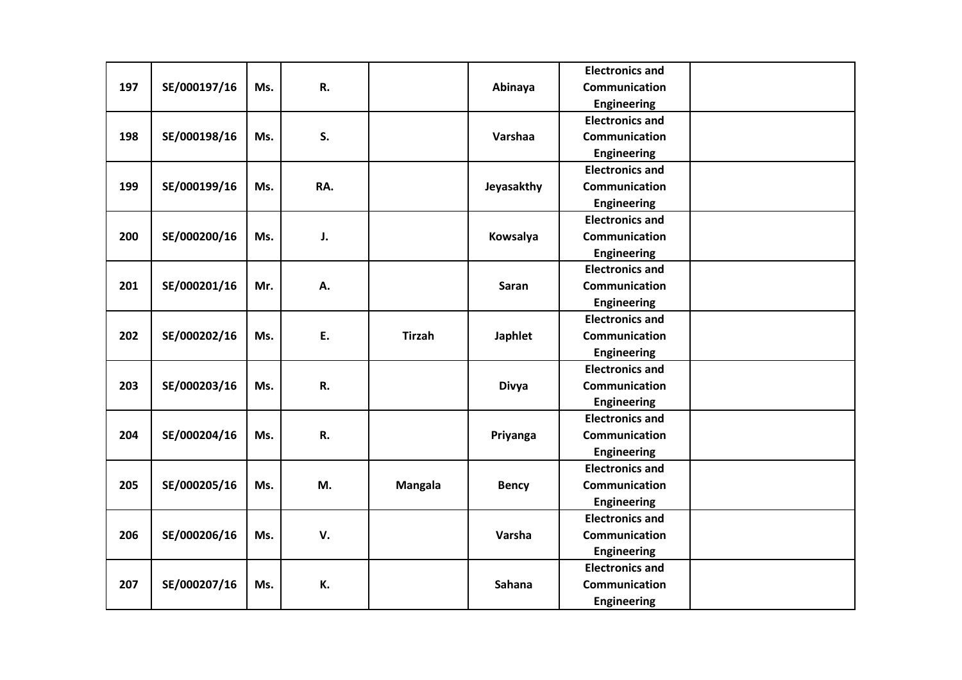|     |              |     |     |                |                | <b>Electronics and</b> |  |
|-----|--------------|-----|-----|----------------|----------------|------------------------|--|
| 197 | SE/000197/16 | Ms. | R.  |                | Abinaya        | Communication          |  |
|     |              |     |     |                |                | <b>Engineering</b>     |  |
|     |              |     |     |                |                | <b>Electronics and</b> |  |
| 198 | SE/000198/16 | Ms. | S.  |                | Varshaa        | <b>Communication</b>   |  |
|     |              |     |     |                |                | <b>Engineering</b>     |  |
|     |              |     |     |                |                | <b>Electronics and</b> |  |
| 199 | SE/000199/16 | Ms. | RA. |                | Jeyasakthy     | Communication          |  |
|     |              |     |     |                |                | <b>Engineering</b>     |  |
|     |              |     |     |                |                | <b>Electronics and</b> |  |
| 200 | SE/000200/16 | Ms. | J.  |                | Kowsalya       | Communication          |  |
|     |              |     |     |                |                | <b>Engineering</b>     |  |
|     |              |     |     |                |                | <b>Electronics and</b> |  |
| 201 | SE/000201/16 | Mr. | А.  |                | <b>Saran</b>   | Communication          |  |
|     |              |     |     |                |                | <b>Engineering</b>     |  |
|     |              |     |     |                |                | <b>Electronics and</b> |  |
| 202 | SE/000202/16 | Ms. | E.  | <b>Tirzah</b>  | <b>Japhlet</b> | Communication          |  |
|     |              |     |     |                |                | <b>Engineering</b>     |  |
|     |              |     |     |                |                | <b>Electronics and</b> |  |
| 203 | SE/000203/16 | Ms. | R.  |                | <b>Divya</b>   | Communication          |  |
|     |              |     |     |                |                | <b>Engineering</b>     |  |
|     |              |     |     |                |                | <b>Electronics and</b> |  |
| 204 | SE/000204/16 | Ms. | R.  |                | Priyanga       | Communication          |  |
|     |              |     |     |                |                | <b>Engineering</b>     |  |
|     |              |     |     |                |                | <b>Electronics and</b> |  |
| 205 | SE/000205/16 | Ms. | M.  | <b>Mangala</b> | <b>Bency</b>   | Communication          |  |
|     |              |     |     |                |                | <b>Engineering</b>     |  |
|     |              |     |     |                |                | <b>Electronics and</b> |  |
| 206 | SE/000206/16 | Ms. | V.  |                | Varsha         | Communication          |  |
|     |              |     |     |                |                | <b>Engineering</b>     |  |
|     |              |     |     |                |                | <b>Electronics and</b> |  |
| 207 | SE/000207/16 | Ms. | К.  |                | <b>Sahana</b>  | Communication          |  |
|     |              |     |     |                |                | Engineering            |  |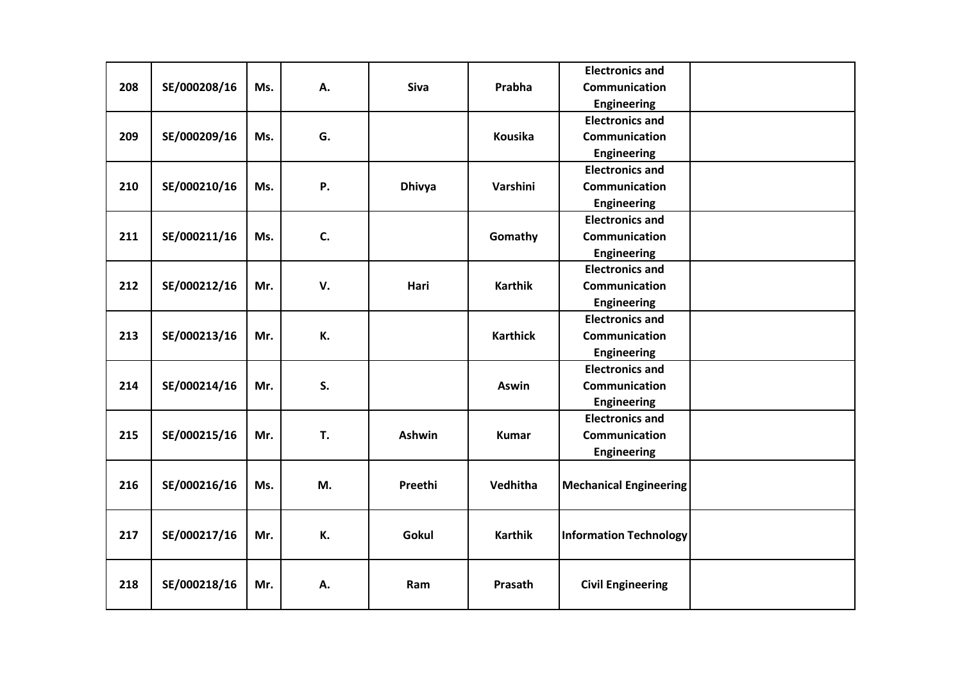|     |              |     |    |               |                 | <b>Electronics and</b>        |  |
|-----|--------------|-----|----|---------------|-----------------|-------------------------------|--|
| 208 | SE/000208/16 | Ms. | А. | <b>Siva</b>   | Prabha          | <b>Communication</b>          |  |
|     |              |     |    |               |                 | <b>Engineering</b>            |  |
|     |              |     |    |               |                 | <b>Electronics and</b>        |  |
| 209 | SE/000209/16 | Ms. | G. |               | Kousika         | <b>Communication</b>          |  |
|     |              |     |    |               |                 | <b>Engineering</b>            |  |
|     |              |     |    |               |                 | <b>Electronics and</b>        |  |
| 210 | SE/000210/16 | Ms. | Ρ. | <b>Dhivya</b> | Varshini        | Communication                 |  |
|     |              |     |    |               |                 | <b>Engineering</b>            |  |
|     |              |     |    |               |                 | <b>Electronics and</b>        |  |
| 211 | SE/000211/16 | Ms. | C. |               | Gomathy         | Communication                 |  |
|     |              |     |    |               |                 | <b>Engineering</b>            |  |
|     |              |     |    |               |                 | <b>Electronics and</b>        |  |
| 212 | SE/000212/16 | Mr. | V. | Hari          | <b>Karthik</b>  | Communication                 |  |
|     |              |     |    |               |                 | Engineering                   |  |
|     |              |     |    |               |                 | <b>Electronics and</b>        |  |
| 213 | SE/000213/16 | Mr. | К. |               | <b>Karthick</b> | Communication                 |  |
|     |              |     |    |               |                 | <b>Engineering</b>            |  |
|     |              |     |    |               |                 | <b>Electronics and</b>        |  |
| 214 | SE/000214/16 | Mr. | S. |               | <b>Aswin</b>    | Communication                 |  |
|     |              |     |    |               |                 | Engineering                   |  |
|     |              |     |    |               |                 | <b>Electronics and</b>        |  |
| 215 | SE/000215/16 | Mr. | T. | <b>Ashwin</b> | <b>Kumar</b>    | Communication                 |  |
|     |              |     |    |               |                 | Engineering                   |  |
|     |              |     |    |               |                 |                               |  |
| 216 | SE/000216/16 | Ms. | M. | Preethi       | Vedhitha        | <b>Mechanical Engineering</b> |  |
|     |              |     |    |               |                 |                               |  |
|     |              |     |    |               |                 |                               |  |
| 217 | SE/000217/16 | Mr. | К. | Gokul         | <b>Karthik</b>  | <b>Information Technology</b> |  |
|     |              |     |    |               |                 |                               |  |
|     |              |     |    |               |                 |                               |  |
| 218 | SE/000218/16 | Mr. | Α. | Ram           | Prasath         | <b>Civil Engineering</b>      |  |
|     |              |     |    |               |                 |                               |  |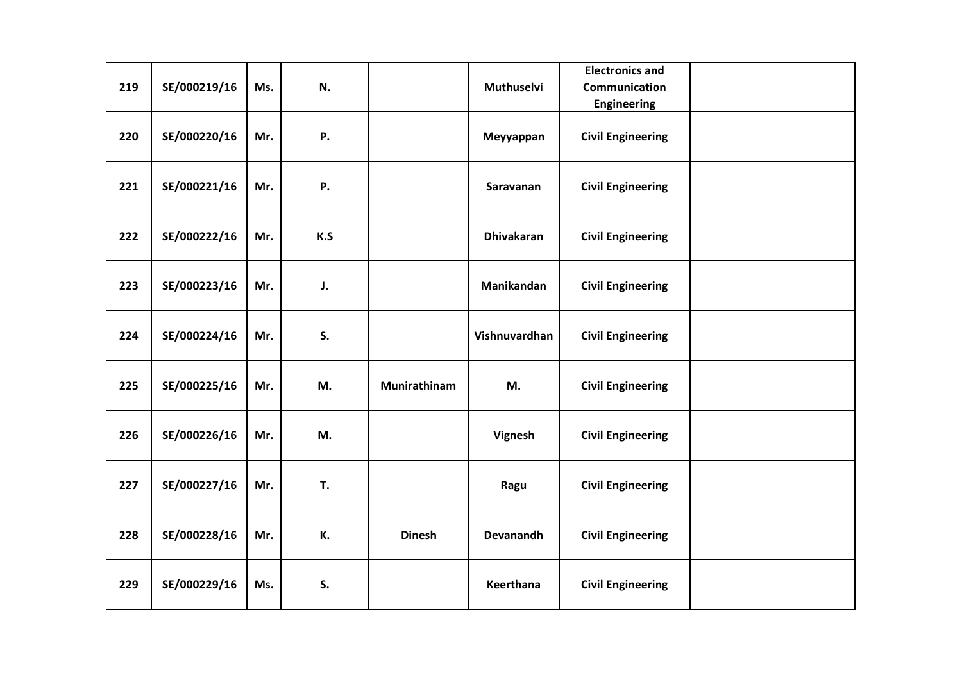| 219 | SE/000219/16 | Ms. | N.  |               | Muthuselvi        | <b>Electronics and</b><br><b>Communication</b><br><b>Engineering</b> |  |
|-----|--------------|-----|-----|---------------|-------------------|----------------------------------------------------------------------|--|
| 220 | SE/000220/16 | Mr. | Ρ.  |               | Meyyappan         | <b>Civil Engineering</b>                                             |  |
| 221 | SE/000221/16 | Mr. | Ρ.  |               | Saravanan         | <b>Civil Engineering</b>                                             |  |
| 222 | SE/000222/16 | Mr. | K.S |               | <b>Dhivakaran</b> | <b>Civil Engineering</b>                                             |  |
| 223 | SE/000223/16 | Mr. | J.  |               | Manikandan        | <b>Civil Engineering</b>                                             |  |
| 224 | SE/000224/16 | Mr. | S.  |               | Vishnuvardhan     | <b>Civil Engineering</b>                                             |  |
| 225 | SE/000225/16 | Mr. | M.  | Munirathinam  | M.                | <b>Civil Engineering</b>                                             |  |
| 226 | SE/000226/16 | Mr. | M.  |               | Vignesh           | <b>Civil Engineering</b>                                             |  |
| 227 | SE/000227/16 | Mr. | T.  |               | Ragu              | <b>Civil Engineering</b>                                             |  |
| 228 | SE/000228/16 | Mr. | К.  | <b>Dinesh</b> | <b>Devanandh</b>  | <b>Civil Engineering</b>                                             |  |
| 229 | SE/000229/16 | Ms. | S.  |               | Keerthana         | <b>Civil Engineering</b>                                             |  |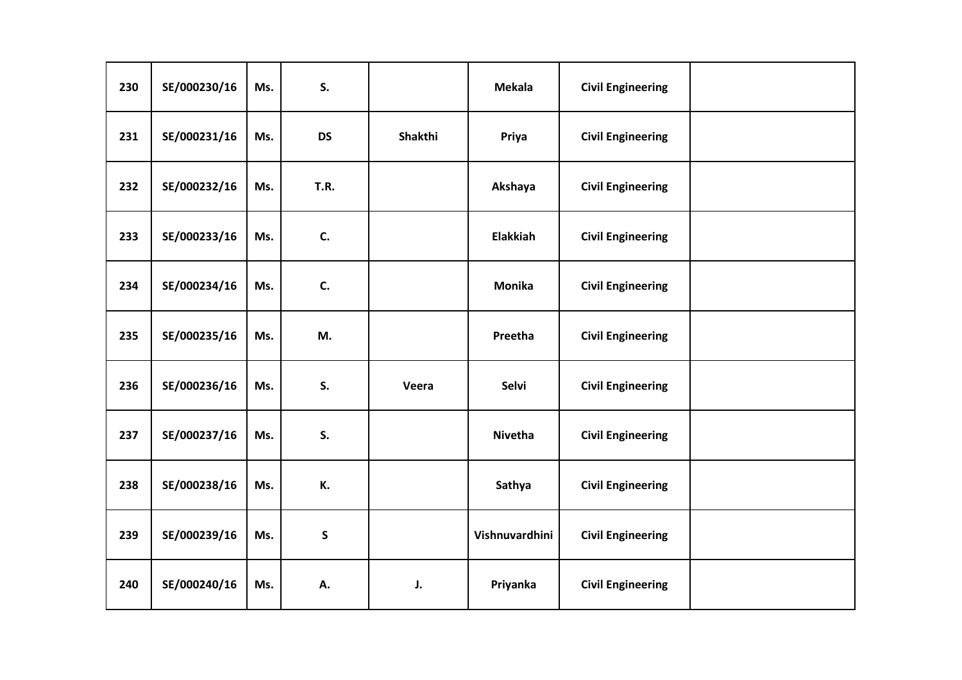| 230 | SE/000230/16 | Ms. | S.          |         | <b>Mekala</b>   | <b>Civil Engineering</b> |  |
|-----|--------------|-----|-------------|---------|-----------------|--------------------------|--|
| 231 | SE/000231/16 | Ms. | <b>DS</b>   | Shakthi | Priya           | <b>Civil Engineering</b> |  |
| 232 | SE/000232/16 | Ms. | <b>T.R.</b> |         | Akshaya         | <b>Civil Engineering</b> |  |
| 233 | SE/000233/16 | Ms. | C.          |         | <b>Elakkiah</b> | <b>Civil Engineering</b> |  |
| 234 | SE/000234/16 | Ms. | C.          |         | <b>Monika</b>   | <b>Civil Engineering</b> |  |
| 235 | SE/000235/16 | Ms. | M.          |         | Preetha         | <b>Civil Engineering</b> |  |
| 236 | SE/000236/16 | Ms. | S.          | Veera   | Selvi           | <b>Civil Engineering</b> |  |
| 237 | SE/000237/16 | Ms. | S.          |         | Nivetha         | <b>Civil Engineering</b> |  |
| 238 | SE/000238/16 | Ms. | К.          |         | Sathya          | <b>Civil Engineering</b> |  |
| 239 | SE/000239/16 | Ms. | ${\sf S}$   |         | Vishnuvardhini  | <b>Civil Engineering</b> |  |
| 240 | SE/000240/16 | Ms. | А.          | J.      | Priyanka        | <b>Civil Engineering</b> |  |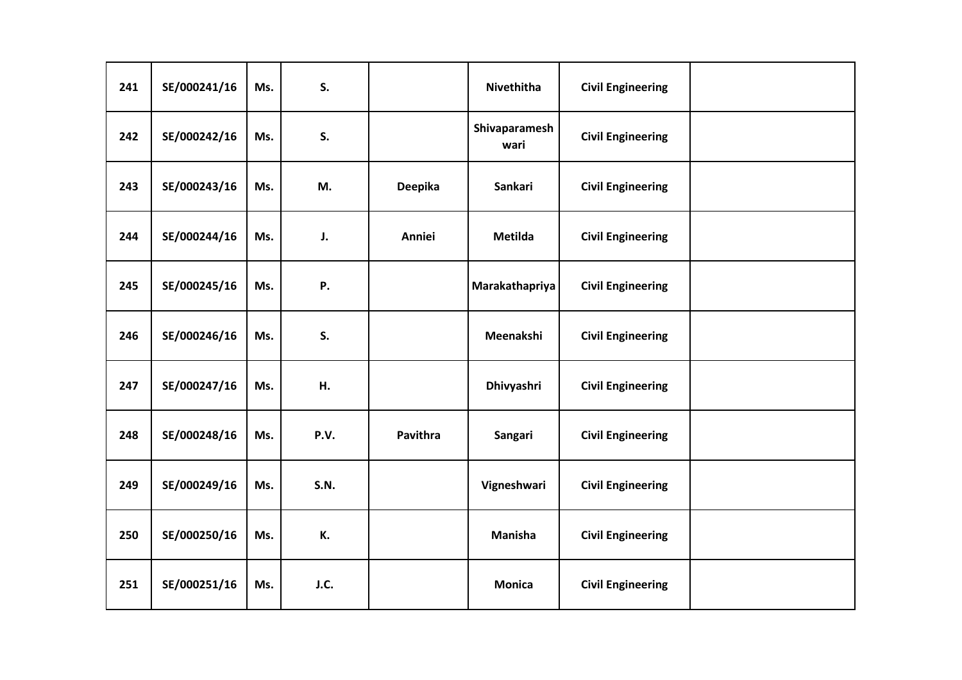| 241 | SE/000241/16 | Ms. | S.          |                | Nivethitha            | <b>Civil Engineering</b> |  |
|-----|--------------|-----|-------------|----------------|-----------------------|--------------------------|--|
| 242 | SE/000242/16 | Ms. | S.          |                | Shivaparamesh<br>wari | <b>Civil Engineering</b> |  |
| 243 | SE/000243/16 | Ms. | M.          | <b>Deepika</b> | <b>Sankari</b>        | <b>Civil Engineering</b> |  |
| 244 | SE/000244/16 | Ms. | J.          | Anniei         | <b>Metilda</b>        | <b>Civil Engineering</b> |  |
| 245 | SE/000245/16 | Ms. | Ρ.          |                | Marakathapriya        | <b>Civil Engineering</b> |  |
| 246 | SE/000246/16 | Ms. | S.          |                | Meenakshi             | <b>Civil Engineering</b> |  |
| 247 | SE/000247/16 | Ms. | Н.          |                | Dhivyashri            | <b>Civil Engineering</b> |  |
| 248 | SE/000248/16 | Ms. | P.V.        | Pavithra       | Sangari               | <b>Civil Engineering</b> |  |
| 249 | SE/000249/16 | Ms. | <b>S.N.</b> |                | Vigneshwari           | <b>Civil Engineering</b> |  |
| 250 | SE/000250/16 | Ms. | К.          |                | <b>Manisha</b>        | <b>Civil Engineering</b> |  |
| 251 | SE/000251/16 | Ms. | J.C.        |                | <b>Monica</b>         | <b>Civil Engineering</b> |  |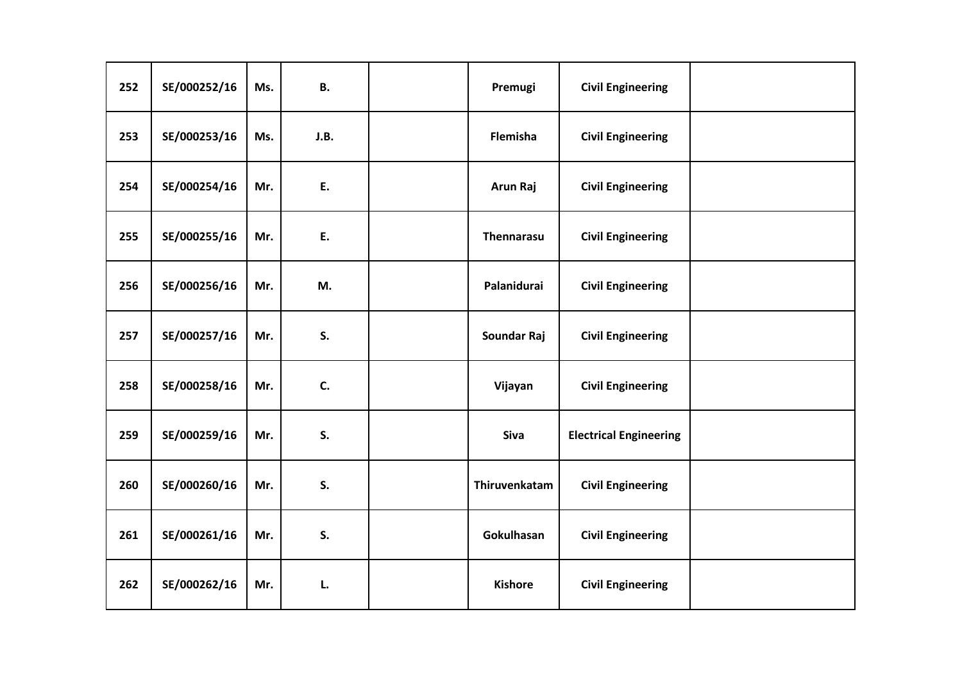| 252 | SE/000252/16 | Ms. | В.   | Premugi        | <b>Civil Engineering</b>      |  |
|-----|--------------|-----|------|----------------|-------------------------------|--|
| 253 | SE/000253/16 | Ms. | J.B. | Flemisha       | <b>Civil Engineering</b>      |  |
| 254 | SE/000254/16 | Mr. | E.   | Arun Raj       | <b>Civil Engineering</b>      |  |
| 255 | SE/000255/16 | Mr. | E.   | Thennarasu     | <b>Civil Engineering</b>      |  |
| 256 | SE/000256/16 | Mr. | M.   | Palanidurai    | <b>Civil Engineering</b>      |  |
| 257 | SE/000257/16 | Mr. | S.   | Soundar Raj    | <b>Civil Engineering</b>      |  |
| 258 | SE/000258/16 | Mr. | C.   | Vijayan        | <b>Civil Engineering</b>      |  |
| 259 | SE/000259/16 | Mr. | S.   | Siva           | <b>Electrical Engineering</b> |  |
| 260 | SE/000260/16 | Mr. | S.   | Thiruvenkatam  | <b>Civil Engineering</b>      |  |
| 261 | SE/000261/16 | Mr. | S.   | Gokulhasan     | <b>Civil Engineering</b>      |  |
| 262 | SE/000262/16 | Mr. | L.   | <b>Kishore</b> | <b>Civil Engineering</b>      |  |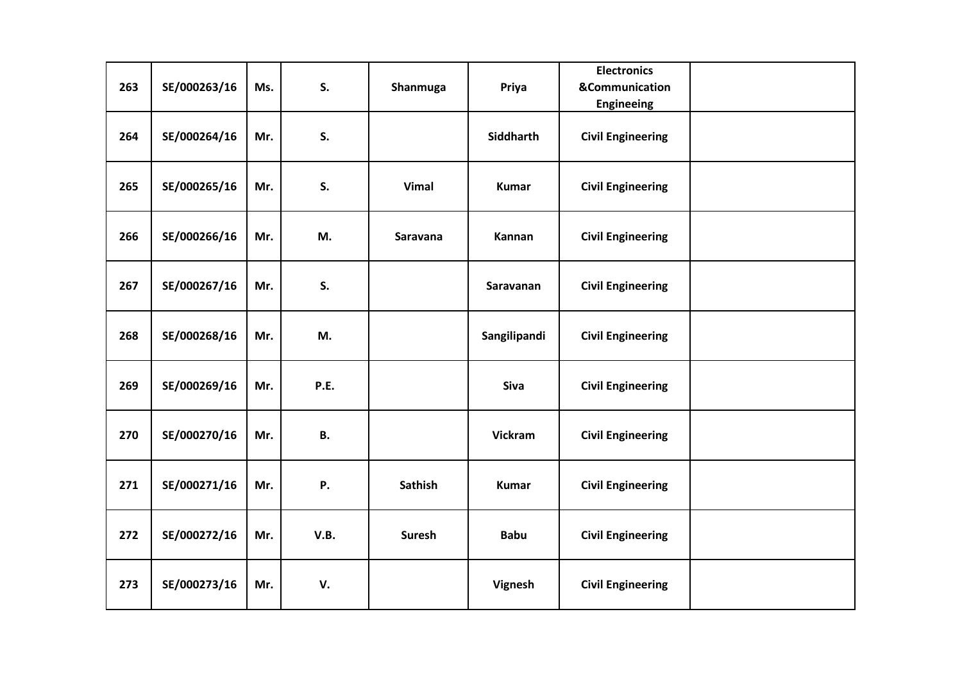| 263 | SE/000263/16 | Ms. | S.        | Shanmuga       | Priya          | <b>Electronics</b><br><b>&amp;Communication</b><br><b>Engineeing</b> |  |
|-----|--------------|-----|-----------|----------------|----------------|----------------------------------------------------------------------|--|
| 264 | SE/000264/16 | Mr. | S.        |                | Siddharth      | <b>Civil Engineering</b>                                             |  |
| 265 | SE/000265/16 | Mr. | S.        | <b>Vimal</b>   | <b>Kumar</b>   | <b>Civil Engineering</b>                                             |  |
| 266 | SE/000266/16 | Mr. | M.        | Saravana       | Kannan         | <b>Civil Engineering</b>                                             |  |
| 267 | SE/000267/16 | Mr. | S.        |                | Saravanan      | <b>Civil Engineering</b>                                             |  |
| 268 | SE/000268/16 | Mr. | M.        |                | Sangilipandi   | <b>Civil Engineering</b>                                             |  |
| 269 | SE/000269/16 | Mr. | P.E.      |                | Siva           | <b>Civil Engineering</b>                                             |  |
| 270 | SE/000270/16 | Mr. | <b>B.</b> |                | <b>Vickram</b> | <b>Civil Engineering</b>                                             |  |
| 271 | SE/000271/16 | Mr. | Ρ.        | <b>Sathish</b> | <b>Kumar</b>   | <b>Civil Engineering</b>                                             |  |
| 272 | SE/000272/16 | Mr. | V.B.      | <b>Suresh</b>  | <b>Babu</b>    | <b>Civil Engineering</b>                                             |  |
| 273 | SE/000273/16 | Mr. | V.        |                | Vignesh        | <b>Civil Engineering</b>                                             |  |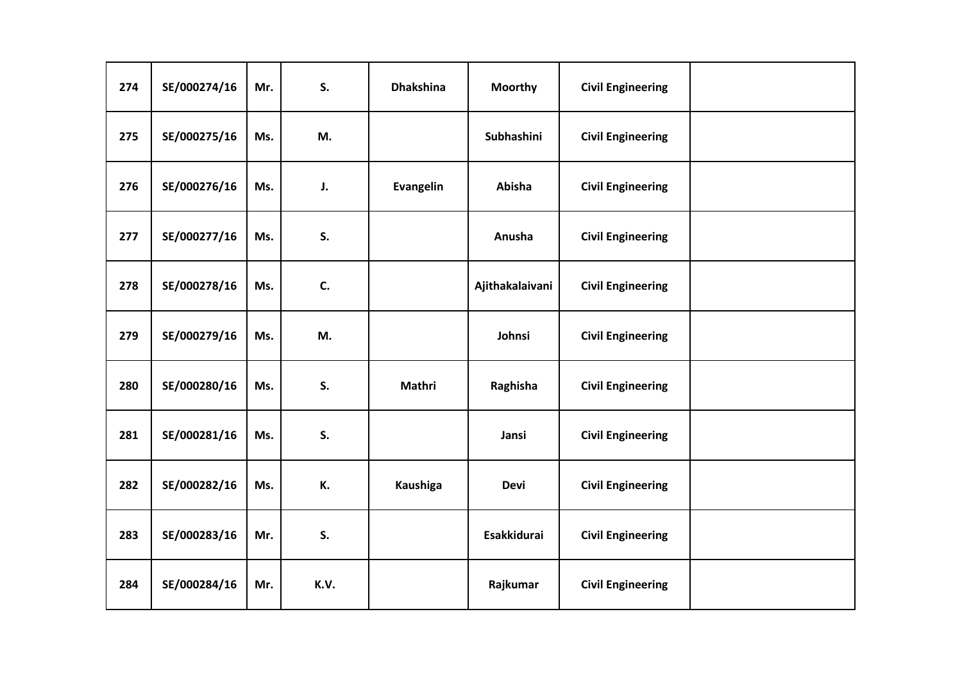| 274 | SE/000274/16 | Mr. | S.   | <b>Dhakshina</b> | <b>Moorthy</b>     | <b>Civil Engineering</b> |  |
|-----|--------------|-----|------|------------------|--------------------|--------------------------|--|
| 275 | SE/000275/16 | Ms. | M.   |                  | <b>Subhashini</b>  | <b>Civil Engineering</b> |  |
| 276 | SE/000276/16 | Ms. | J.   | <b>Evangelin</b> | Abisha             | <b>Civil Engineering</b> |  |
| 277 | SE/000277/16 | Ms. | S.   |                  | Anusha             | <b>Civil Engineering</b> |  |
| 278 | SE/000278/16 | Ms. | C.   |                  | Ajithakalaivani    | <b>Civil Engineering</b> |  |
| 279 | SE/000279/16 | Ms. | M.   |                  | Johnsi             | <b>Civil Engineering</b> |  |
| 280 | SE/000280/16 | Ms. | S.   | Mathri           | Raghisha           | <b>Civil Engineering</b> |  |
| 281 | SE/000281/16 | Ms. | S.   |                  | Jansi              | <b>Civil Engineering</b> |  |
| 282 | SE/000282/16 | Ms. | К.   | Kaushiga         | <b>Devi</b>        | <b>Civil Engineering</b> |  |
| 283 | SE/000283/16 | Mr. | S.   |                  | <b>Esakkidurai</b> | <b>Civil Engineering</b> |  |
| 284 | SE/000284/16 | Mr. | K.V. |                  | Rajkumar           | <b>Civil Engineering</b> |  |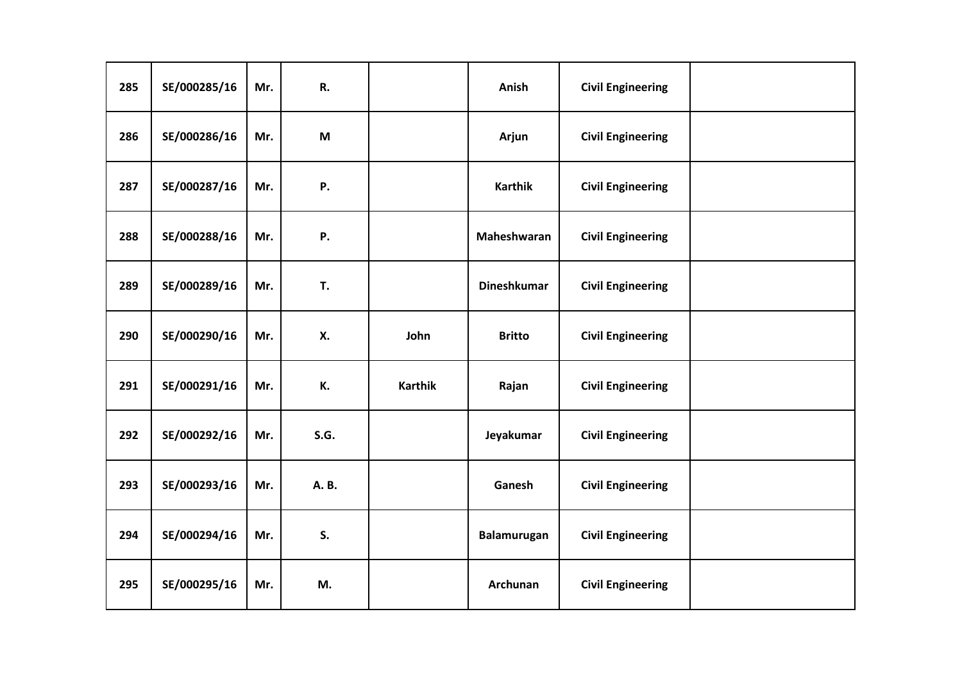| 285 | SE/000285/16 | Mr. | R.          |                | Anish              | <b>Civil Engineering</b> |  |
|-----|--------------|-----|-------------|----------------|--------------------|--------------------------|--|
| 286 | SE/000286/16 | Mr. | M           |                | Arjun              | <b>Civil Engineering</b> |  |
| 287 | SE/000287/16 | Mr. | Ρ.          |                | <b>Karthik</b>     | <b>Civil Engineering</b> |  |
| 288 | SE/000288/16 | Mr. | Ρ.          |                | Maheshwaran        | <b>Civil Engineering</b> |  |
| 289 | SE/000289/16 | Mr. | T.          |                | <b>Dineshkumar</b> | <b>Civil Engineering</b> |  |
| 290 | SE/000290/16 | Mr. | Х.          | John           | <b>Britto</b>      | <b>Civil Engineering</b> |  |
| 291 | SE/000291/16 | Mr. | К.          | <b>Karthik</b> | Rajan              | <b>Civil Engineering</b> |  |
| 292 | SE/000292/16 | Mr. | <b>S.G.</b> |                | Jeyakumar          | <b>Civil Engineering</b> |  |
| 293 | SE/000293/16 | Mr. | A. B.       |                | Ganesh             | <b>Civil Engineering</b> |  |
| 294 | SE/000294/16 | Mr. | S.          |                | Balamurugan        | <b>Civil Engineering</b> |  |
| 295 | SE/000295/16 | Mr. | M.          |                | Archunan           | <b>Civil Engineering</b> |  |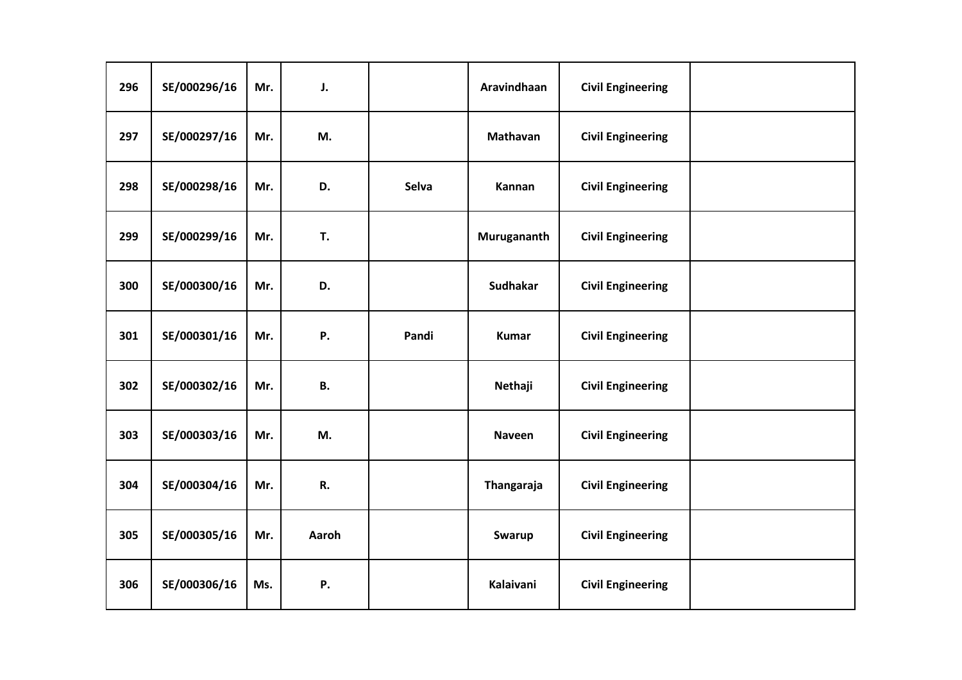| 296 | SE/000296/16 | Mr. | J.        |       | Aravindhaan     | <b>Civil Engineering</b> |  |
|-----|--------------|-----|-----------|-------|-----------------|--------------------------|--|
| 297 | SE/000297/16 | Mr. | M.        |       | Mathavan        | <b>Civil Engineering</b> |  |
| 298 | SE/000298/16 | Mr. | D.        | Selva | Kannan          | <b>Civil Engineering</b> |  |
| 299 | SE/000299/16 | Mr. | T.        |       | Murugananth     | <b>Civil Engineering</b> |  |
| 300 | SE/000300/16 | Mr. | D.        |       | <b>Sudhakar</b> | <b>Civil Engineering</b> |  |
| 301 | SE/000301/16 | Mr. | Ρ.        | Pandi | <b>Kumar</b>    | <b>Civil Engineering</b> |  |
| 302 | SE/000302/16 | Mr. | <b>B.</b> |       | Nethaji         | <b>Civil Engineering</b> |  |
| 303 | SE/000303/16 | Mr. | M.        |       | Naveen          | <b>Civil Engineering</b> |  |
| 304 | SE/000304/16 | Mr. | R.        |       | Thangaraja      | <b>Civil Engineering</b> |  |
| 305 | SE/000305/16 | Mr. | Aaroh     |       | Swarup          | <b>Civil Engineering</b> |  |
| 306 | SE/000306/16 | Ms. | Ρ.        |       | Kalaivani       | <b>Civil Engineering</b> |  |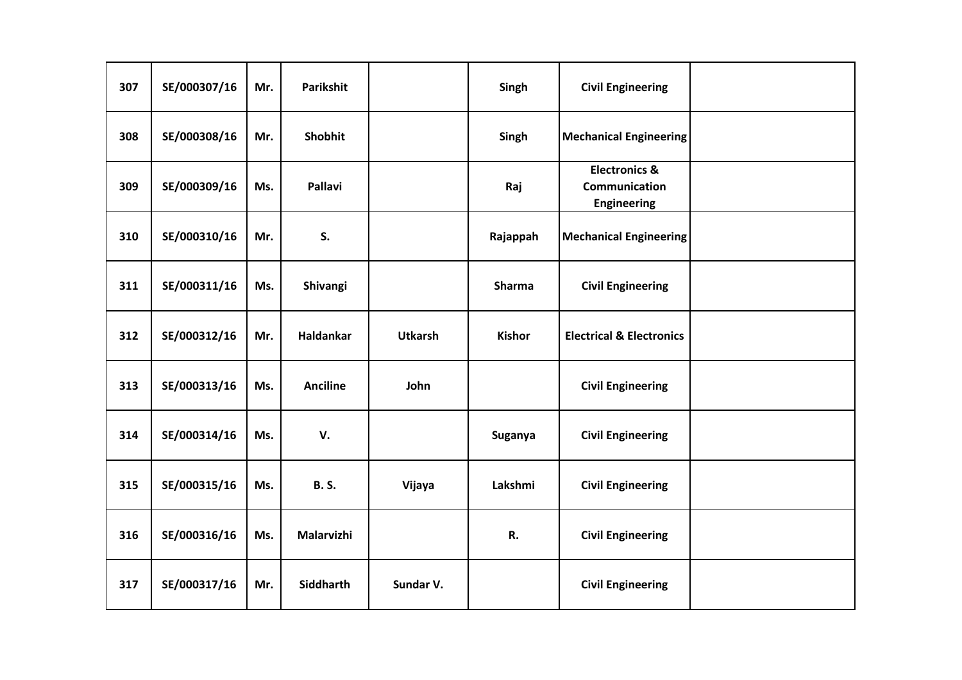| 307 | SE/000307/16 | Mr. | Parikshit       |                | Singh         | <b>Civil Engineering</b>                                               |  |
|-----|--------------|-----|-----------------|----------------|---------------|------------------------------------------------------------------------|--|
| 308 | SE/000308/16 | Mr. | Shobhit         |                | Singh         | <b>Mechanical Engineering</b>                                          |  |
| 309 | SE/000309/16 | Ms. | <b>Pallavi</b>  |                | Raj           | <b>Electronics &amp;</b><br><b>Communication</b><br><b>Engineering</b> |  |
| 310 | SE/000310/16 | Mr. | S.              |                | Rajappah      | <b>Mechanical Engineering</b>                                          |  |
| 311 | SE/000311/16 | Ms. | Shivangi        |                | <b>Sharma</b> | <b>Civil Engineering</b>                                               |  |
| 312 | SE/000312/16 | Mr. | Haldankar       | <b>Utkarsh</b> | <b>Kishor</b> | <b>Electrical &amp; Electronics</b>                                    |  |
| 313 | SE/000313/16 | Ms. | <b>Anciline</b> | John           |               | <b>Civil Engineering</b>                                               |  |
| 314 | SE/000314/16 | Ms. | V.              |                | Suganya       | <b>Civil Engineering</b>                                               |  |
| 315 | SE/000315/16 | Ms. | <b>B.S.</b>     | Vijaya         | Lakshmi       | <b>Civil Engineering</b>                                               |  |
| 316 | SE/000316/16 | Ms. | Malarvizhi      |                | R.            | <b>Civil Engineering</b>                                               |  |
| 317 | SE/000317/16 | Mr. | Siddharth       | Sundar V.      |               | <b>Civil Engineering</b>                                               |  |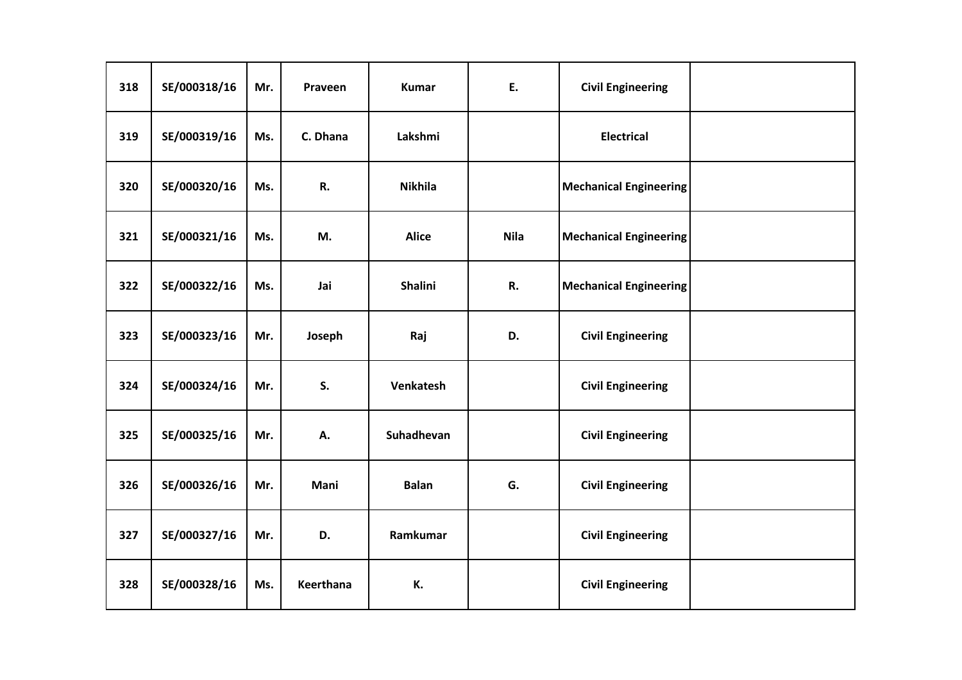| 318 | SE/000318/16 | Mr. | Praveen   | <b>Kumar</b>   | E.          | <b>Civil Engineering</b>      |  |
|-----|--------------|-----|-----------|----------------|-------------|-------------------------------|--|
| 319 | SE/000319/16 | Ms. | C. Dhana  | Lakshmi        |             | <b>Electrical</b>             |  |
| 320 | SE/000320/16 | Ms. | R.        | <b>Nikhila</b> |             | <b>Mechanical Engineering</b> |  |
| 321 | SE/000321/16 | Ms. | M.        | <b>Alice</b>   | <b>Nila</b> | <b>Mechanical Engineering</b> |  |
| 322 | SE/000322/16 | Ms. | Jai       | <b>Shalini</b> | R.          | <b>Mechanical Engineering</b> |  |
| 323 | SE/000323/16 | Mr. | Joseph    | Raj            | D.          | <b>Civil Engineering</b>      |  |
| 324 | SE/000324/16 | Mr. | S.        | Venkatesh      |             | <b>Civil Engineering</b>      |  |
| 325 | SE/000325/16 | Mr. | А.        | Suhadhevan     |             | <b>Civil Engineering</b>      |  |
| 326 | SE/000326/16 | Mr. | Mani      | <b>Balan</b>   | G.          | <b>Civil Engineering</b>      |  |
| 327 | SE/000327/16 | Mr. | D.        | Ramkumar       |             | <b>Civil Engineering</b>      |  |
| 328 | SE/000328/16 | Ms. | Keerthana | К.             |             | <b>Civil Engineering</b>      |  |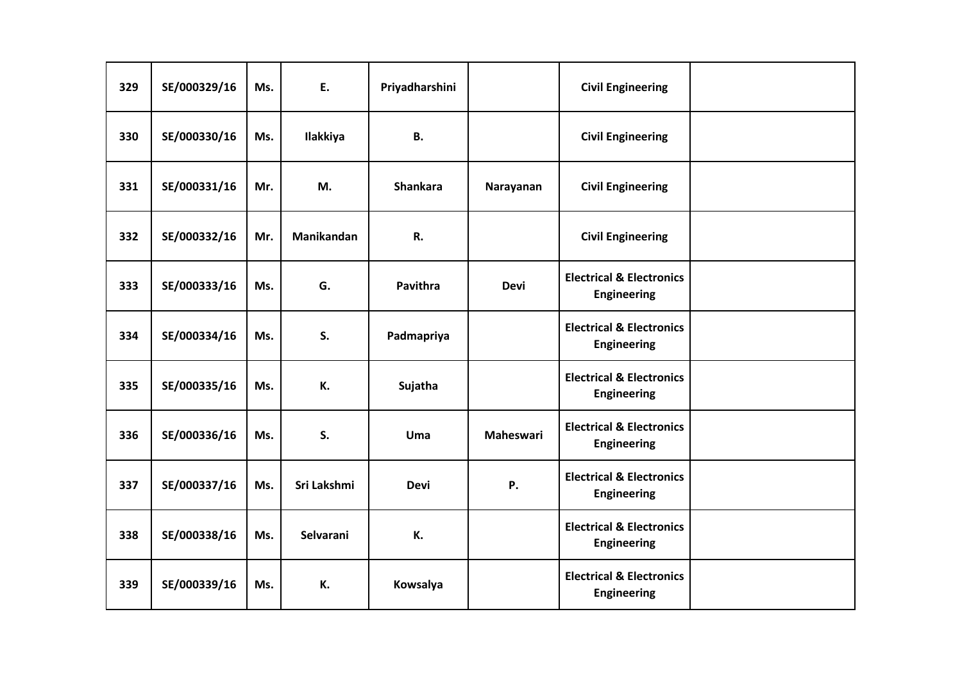| 329 | SE/000329/16 | Ms. | E.          | Priyadharshini  |             | <b>Civil Engineering</b>                                  |  |
|-----|--------------|-----|-------------|-----------------|-------------|-----------------------------------------------------------|--|
| 330 | SE/000330/16 | Ms. | Ilakkiya    | <b>B.</b>       |             | <b>Civil Engineering</b>                                  |  |
| 331 | SE/000331/16 | Mr. | M.          | <b>Shankara</b> | Narayanan   | <b>Civil Engineering</b>                                  |  |
| 332 | SE/000332/16 | Mr. | Manikandan  | R.              |             | <b>Civil Engineering</b>                                  |  |
| 333 | SE/000333/16 | Ms. | G.          | <b>Pavithra</b> | <b>Devi</b> | <b>Electrical &amp; Electronics</b><br><b>Engineering</b> |  |
| 334 | SE/000334/16 | Ms. | S.          | Padmapriya      |             | <b>Electrical &amp; Electronics</b><br><b>Engineering</b> |  |
| 335 | SE/000335/16 | Ms. | К.          | Sujatha         |             | <b>Electrical &amp; Electronics</b><br><b>Engineering</b> |  |
| 336 | SE/000336/16 | Ms. | S.          | Uma             | Maheswari   | <b>Electrical &amp; Electronics</b><br><b>Engineering</b> |  |
| 337 | SE/000337/16 | Ms. | Sri Lakshmi | <b>Devi</b>     | <b>P.</b>   | <b>Electrical &amp; Electronics</b><br>Engineering        |  |
| 338 | SE/000338/16 | Ms. | Selvarani   | К.              |             | <b>Electrical &amp; Electronics</b><br>Engineering        |  |
| 339 | SE/000339/16 | Ms. | К.          | Kowsalya        |             | <b>Electrical &amp; Electronics</b><br><b>Engineering</b> |  |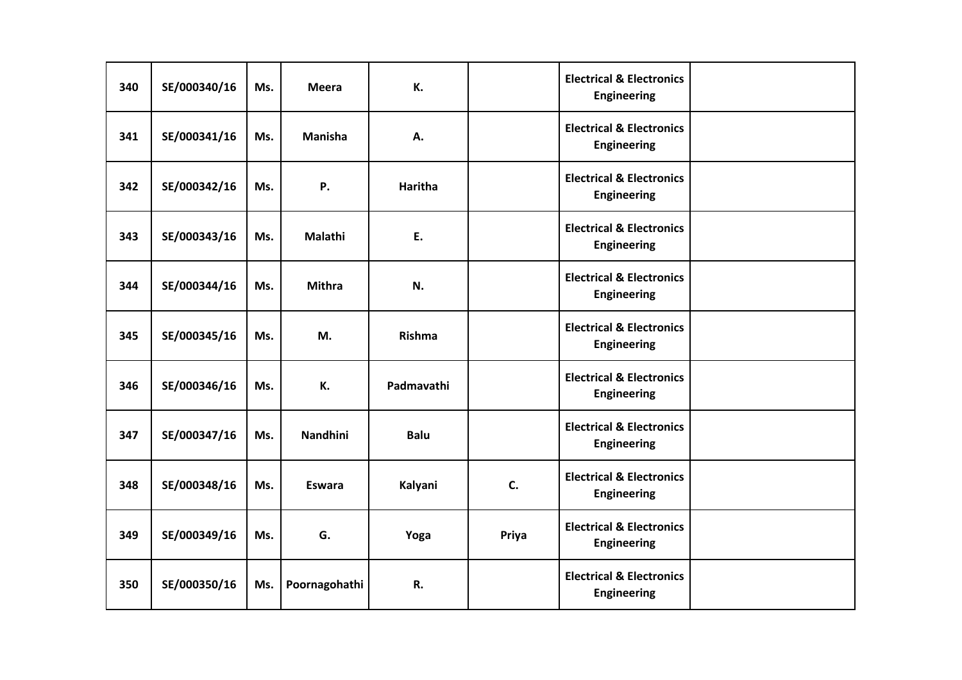| 340 | SE/000340/16 | Ms. | <b>Meera</b>    | К.             |       | <b>Electrical &amp; Electronics</b><br>Engineering        |  |
|-----|--------------|-----|-----------------|----------------|-------|-----------------------------------------------------------|--|
| 341 | SE/000341/16 | Ms. | <b>Manisha</b>  | А.             |       | <b>Electrical &amp; Electronics</b><br><b>Engineering</b> |  |
| 342 | SE/000342/16 | Ms. | Ρ.              | <b>Haritha</b> |       | <b>Electrical &amp; Electronics</b><br><b>Engineering</b> |  |
| 343 | SE/000343/16 | Ms. | Malathi         | E.             |       | <b>Electrical &amp; Electronics</b><br><b>Engineering</b> |  |
| 344 | SE/000344/16 | Ms. | <b>Mithra</b>   | N.             |       | <b>Electrical &amp; Electronics</b><br><b>Engineering</b> |  |
| 345 | SE/000345/16 | Ms. | М.              | Rishma         |       | <b>Electrical &amp; Electronics</b><br><b>Engineering</b> |  |
| 346 | SE/000346/16 | Ms. | К.              | Padmavathi     |       | <b>Electrical &amp; Electronics</b><br><b>Engineering</b> |  |
| 347 | SE/000347/16 | Ms. | <b>Nandhini</b> | <b>Balu</b>    |       | <b>Electrical &amp; Electronics</b><br><b>Engineering</b> |  |
| 348 | SE/000348/16 | Ms. | <b>Eswara</b>   | Kalyani        | C.    | <b>Electrical &amp; Electronics</b><br>Engineering        |  |
| 349 | SE/000349/16 | Ms. | G.              | Yoga           | Priya | <b>Electrical &amp; Electronics</b><br>Engineering        |  |
| 350 | SE/000350/16 | Ms. | Poornagohathi   | R.             |       | <b>Electrical &amp; Electronics</b><br><b>Engineering</b> |  |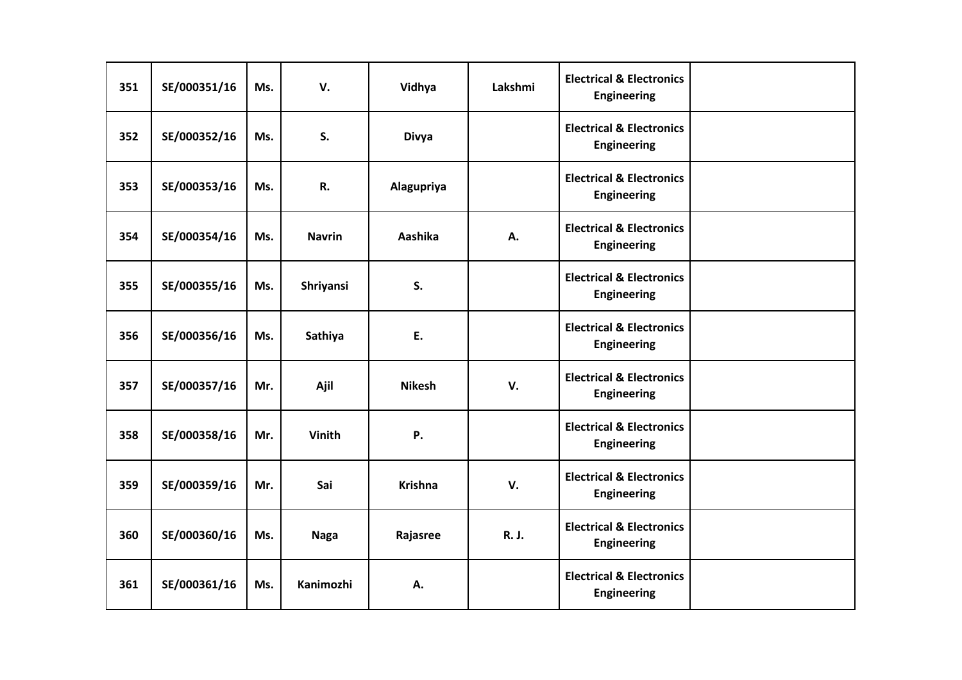| 351 | SE/000351/16 | Ms. | V.            | Vidhya         | Lakshmi | <b>Electrical &amp; Electronics</b><br><b>Engineering</b> |  |
|-----|--------------|-----|---------------|----------------|---------|-----------------------------------------------------------|--|
| 352 | SE/000352/16 | Ms. | S.            | <b>Divya</b>   |         | <b>Electrical &amp; Electronics</b><br><b>Engineering</b> |  |
| 353 | SE/000353/16 | Ms. | R.            | Alagupriya     |         | <b>Electrical &amp; Electronics</b><br>Engineering        |  |
| 354 | SE/000354/16 | Ms. | <b>Navrin</b> | Aashika        | А.      | <b>Electrical &amp; Electronics</b><br><b>Engineering</b> |  |
| 355 | SE/000355/16 | Ms. | Shriyansi     | S.             |         | <b>Electrical &amp; Electronics</b><br>Engineering        |  |
| 356 | SE/000356/16 | Ms. | Sathiya       | E.             |         | <b>Electrical &amp; Electronics</b><br><b>Engineering</b> |  |
| 357 | SE/000357/16 | Mr. | Ajil          | <b>Nikesh</b>  | V.      | <b>Electrical &amp; Electronics</b><br><b>Engineering</b> |  |
| 358 | SE/000358/16 | Mr. | <b>Vinith</b> | Ρ.             |         | <b>Electrical &amp; Electronics</b><br><b>Engineering</b> |  |
| 359 | SE/000359/16 | Mr. | Sai           | <b>Krishna</b> | V.      | <b>Electrical &amp; Electronics</b><br><b>Engineering</b> |  |
| 360 | SE/000360/16 | Ms. | <b>Naga</b>   | Rajasree       | R. J.   | <b>Electrical &amp; Electronics</b><br>Engineering        |  |
| 361 | SE/000361/16 | Ms. | Kanimozhi     | Α.             |         | <b>Electrical &amp; Electronics</b><br><b>Engineering</b> |  |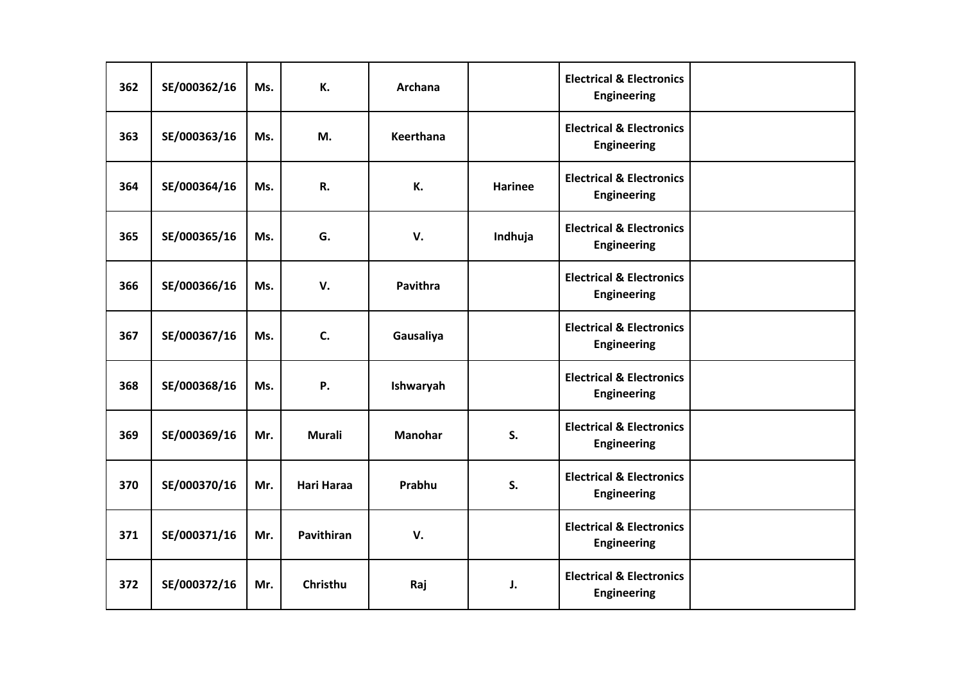| 362 | SE/000362/16 | Ms. | К.         | <b>Archana</b>  |                | <b>Electrical &amp; Electronics</b><br>Engineering        |  |
|-----|--------------|-----|------------|-----------------|----------------|-----------------------------------------------------------|--|
| 363 | SE/000363/16 | Ms. | M.         | Keerthana       |                | <b>Electrical &amp; Electronics</b><br><b>Engineering</b> |  |
| 364 | SE/000364/16 | Ms. | R.         | К.              | <b>Harinee</b> | <b>Electrical &amp; Electronics</b><br><b>Engineering</b> |  |
| 365 | SE/000365/16 | Ms. | G.         | V.              | Indhuja        | <b>Electrical &amp; Electronics</b><br><b>Engineering</b> |  |
| 366 | SE/000366/16 | Ms. | V.         | <b>Pavithra</b> |                | <b>Electrical &amp; Electronics</b><br><b>Engineering</b> |  |
| 367 | SE/000367/16 | Ms. | C.         | Gausaliya       |                | <b>Electrical &amp; Electronics</b><br><b>Engineering</b> |  |
| 368 | SE/000368/16 | Ms. | Ρ.         | Ishwaryah       |                | <b>Electrical &amp; Electronics</b><br><b>Engineering</b> |  |
| 369 | SE/000369/16 | Mr. | Murali     | <b>Manohar</b>  | S.             | <b>Electrical &amp; Electronics</b><br><b>Engineering</b> |  |
| 370 | SE/000370/16 | Mr. | Hari Haraa | Prabhu          | S.             | <b>Electrical &amp; Electronics</b><br>Engineering        |  |
| 371 | SE/000371/16 | Mr. | Pavithiran | V.              |                | <b>Electrical &amp; Electronics</b><br>Engineering        |  |
| 372 | SE/000372/16 | Mr. | Christhu   | Raj             | J.             | <b>Electrical &amp; Electronics</b><br><b>Engineering</b> |  |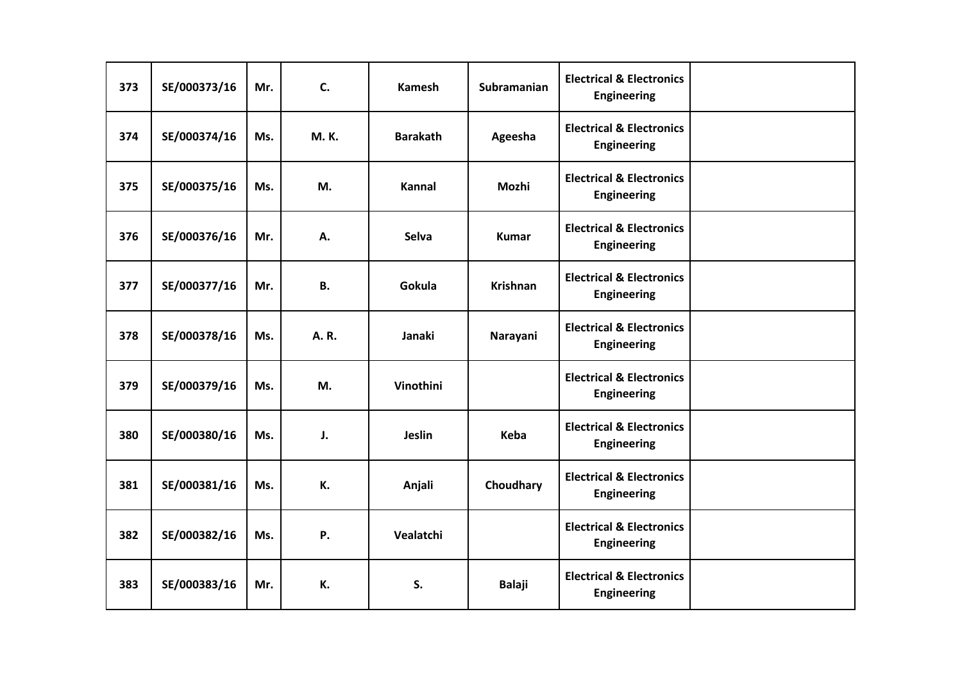| 373 | SE/000373/16 | Mr. | C.          | <b>Kamesh</b>   | Subramanian     | <b>Electrical &amp; Electronics</b><br><b>Engineering</b> |  |
|-----|--------------|-----|-------------|-----------------|-----------------|-----------------------------------------------------------|--|
| 374 | SE/000374/16 | Ms. | <b>M.K.</b> | <b>Barakath</b> | Ageesha         | <b>Electrical &amp; Electronics</b><br><b>Engineering</b> |  |
| 375 | SE/000375/16 | Ms. | M.          | <b>Kannal</b>   | Mozhi           | <b>Electrical &amp; Electronics</b><br><b>Engineering</b> |  |
| 376 | SE/000376/16 | Mr. | Α.          | <b>Selva</b>    | <b>Kumar</b>    | <b>Electrical &amp; Electronics</b><br><b>Engineering</b> |  |
| 377 | SE/000377/16 | Mr. | <b>B.</b>   | Gokula          | <b>Krishnan</b> | <b>Electrical &amp; Electronics</b><br><b>Engineering</b> |  |
| 378 | SE/000378/16 | Ms. | A.R.        | Janaki          | Narayani        | <b>Electrical &amp; Electronics</b><br><b>Engineering</b> |  |
| 379 | SE/000379/16 | Ms. | M.          | Vinothini       |                 | <b>Electrical &amp; Electronics</b><br><b>Engineering</b> |  |
| 380 | SE/000380/16 | Ms. | J.          | Jeslin          | Keba            | <b>Electrical &amp; Electronics</b><br><b>Engineering</b> |  |
| 381 | SE/000381/16 | Ms. | К.          | Anjali          | Choudhary       | <b>Electrical &amp; Electronics</b><br><b>Engineering</b> |  |
| 382 | SE/000382/16 | Ms. | Ρ.          | Vealatchi       |                 | <b>Electrical &amp; Electronics</b><br><b>Engineering</b> |  |
| 383 | SE/000383/16 | Mr. | К.          | S.              | <b>Balaji</b>   | <b>Electrical &amp; Electronics</b><br>Engineering        |  |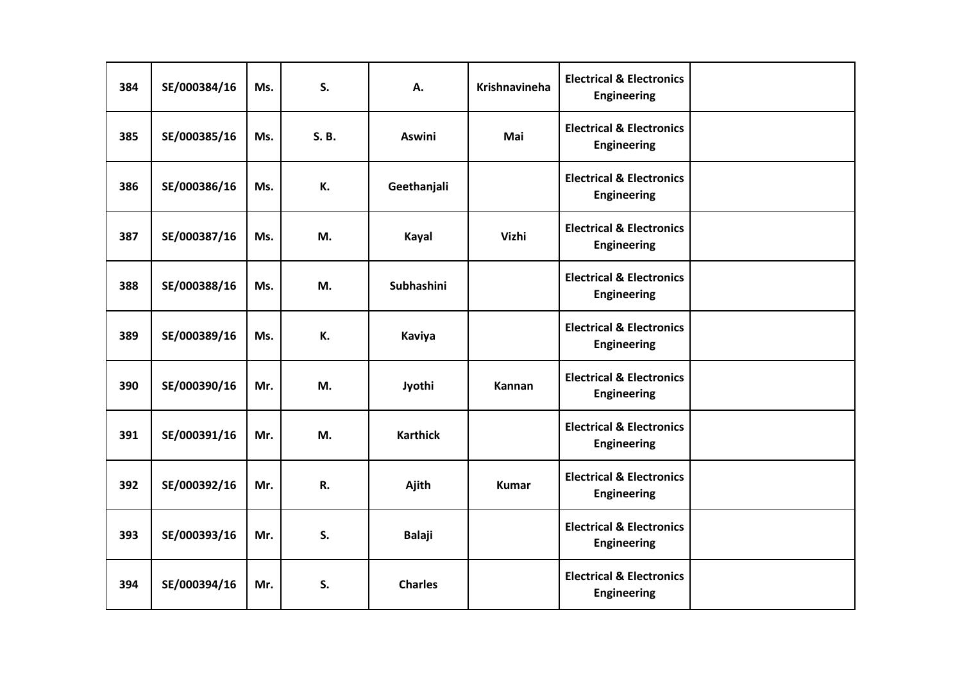| 384 | SE/000384/16 | Ms. | S.    | Α.                | Krishnavineha | <b>Electrical &amp; Electronics</b><br>Engineering        |  |
|-----|--------------|-----|-------|-------------------|---------------|-----------------------------------------------------------|--|
| 385 | SE/000385/16 | Ms. | S. B. | <b>Aswini</b>     | Mai           | <b>Electrical &amp; Electronics</b><br><b>Engineering</b> |  |
| 386 | SE/000386/16 | Ms. | К.    | Geethanjali       |               | <b>Electrical &amp; Electronics</b><br>Engineering        |  |
| 387 | SE/000387/16 | Ms. | M.    | Kayal             | Vizhi         | <b>Electrical &amp; Electronics</b><br><b>Engineering</b> |  |
| 388 | SE/000388/16 | Ms. | M.    | <b>Subhashini</b> |               | <b>Electrical &amp; Electronics</b><br>Engineering        |  |
| 389 | SE/000389/16 | Ms. | К.    | Kaviya            |               | <b>Electrical &amp; Electronics</b><br><b>Engineering</b> |  |
| 390 | SE/000390/16 | Mr. | M.    | Jyothi            | Kannan        | <b>Electrical &amp; Electronics</b><br><b>Engineering</b> |  |
| 391 | SE/000391/16 | Mr. | M.    | <b>Karthick</b>   |               | <b>Electrical &amp; Electronics</b><br><b>Engineering</b> |  |
| 392 | SE/000392/16 | Mr. | R.    | Ajith             | <b>Kumar</b>  | <b>Electrical &amp; Electronics</b><br><b>Engineering</b> |  |
| 393 | SE/000393/16 | Mr. | S.    | <b>Balaji</b>     |               | <b>Electrical &amp; Electronics</b><br><b>Engineering</b> |  |
| 394 | SE/000394/16 | Mr. | S.    | <b>Charles</b>    |               | <b>Electrical &amp; Electronics</b><br><b>Engineering</b> |  |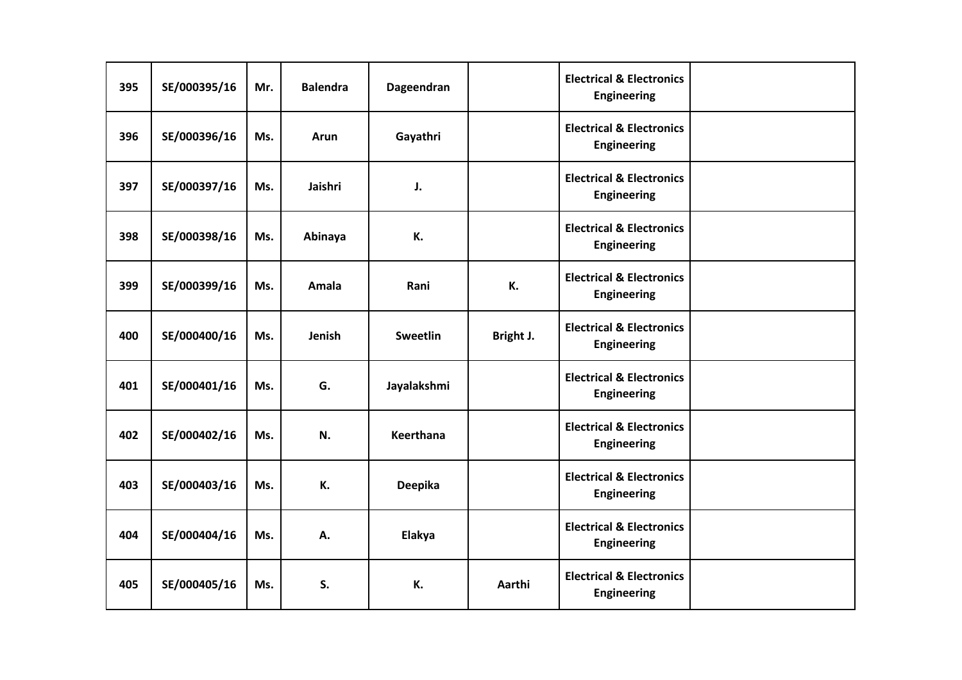| 395 | SE/000395/16 | Mr. | <b>Balendra</b> | Dageendran      |           | <b>Electrical &amp; Electronics</b><br>Engineering        |  |
|-----|--------------|-----|-----------------|-----------------|-----------|-----------------------------------------------------------|--|
| 396 | SE/000396/16 | Ms. | Arun            | Gayathri        |           | <b>Electrical &amp; Electronics</b><br><b>Engineering</b> |  |
| 397 | SE/000397/16 | Ms. | Jaishri         | J.              |           | <b>Electrical &amp; Electronics</b><br>Engineering        |  |
| 398 | SE/000398/16 | Ms. | Abinaya         | К.              |           | <b>Electrical &amp; Electronics</b><br><b>Engineering</b> |  |
| 399 | SE/000399/16 | Ms. | Amala           | Rani            | К.        | <b>Electrical &amp; Electronics</b><br>Engineering        |  |
| 400 | SE/000400/16 | Ms. | Jenish          | <b>Sweetlin</b> | Bright J. | <b>Electrical &amp; Electronics</b><br><b>Engineering</b> |  |
| 401 | SE/000401/16 | Ms. | G.              | Jayalakshmi     |           | <b>Electrical &amp; Electronics</b><br><b>Engineering</b> |  |
| 402 | SE/000402/16 | Ms. | N.              | Keerthana       |           | <b>Electrical &amp; Electronics</b><br><b>Engineering</b> |  |
| 403 | SE/000403/16 | Ms. | К.              | Deepika         |           | <b>Electrical &amp; Electronics</b><br><b>Engineering</b> |  |
| 404 | SE/000404/16 | Ms. | А.              | Elakya          |           | <b>Electrical &amp; Electronics</b><br><b>Engineering</b> |  |
| 405 | SE/000405/16 | Ms. | S.              | К.              | Aarthi    | <b>Electrical &amp; Electronics</b><br><b>Engineering</b> |  |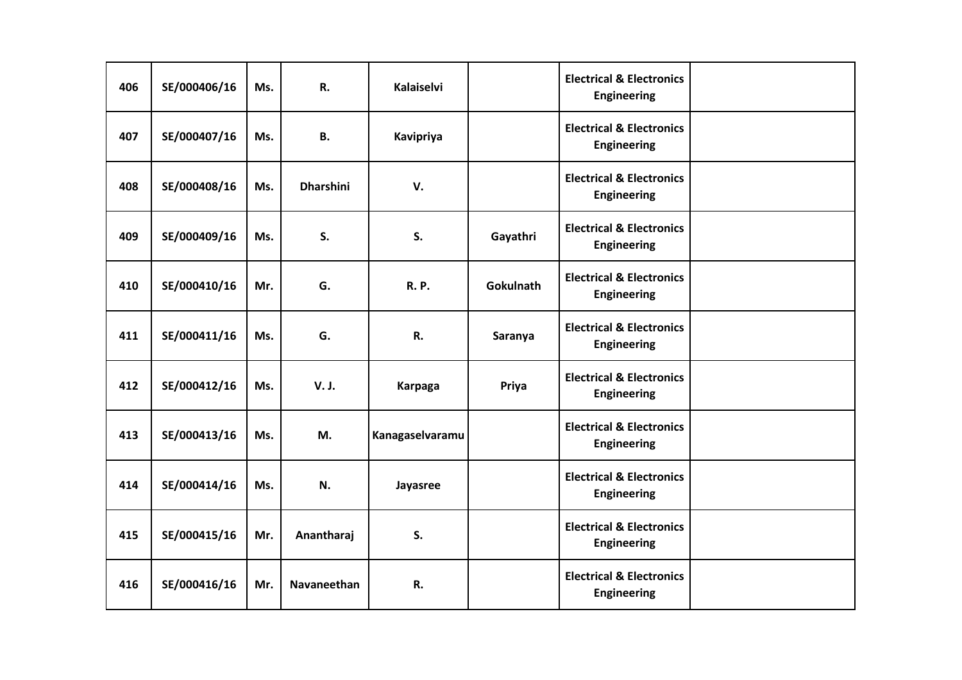| 406 | SE/000406/16 | Ms. | R.                 | Kalaiselvi      |           | <b>Electrical &amp; Electronics</b><br><b>Engineering</b> |  |
|-----|--------------|-----|--------------------|-----------------|-----------|-----------------------------------------------------------|--|
| 407 | SE/000407/16 | Ms. | <b>B.</b>          | Kavipriya       |           | <b>Electrical &amp; Electronics</b><br><b>Engineering</b> |  |
| 408 | SE/000408/16 | Ms. | <b>Dharshini</b>   | V.              |           | <b>Electrical &amp; Electronics</b><br><b>Engineering</b> |  |
| 409 | SE/000409/16 | Ms. | S.                 | S.              | Gayathri  | <b>Electrical &amp; Electronics</b><br><b>Engineering</b> |  |
| 410 | SE/000410/16 | Mr. | G.                 | <b>R.P.</b>     | Gokulnath | <b>Electrical &amp; Electronics</b><br><b>Engineering</b> |  |
| 411 | SE/000411/16 | Ms. | G.                 | R.              | Saranya   | <b>Electrical &amp; Electronics</b><br><b>Engineering</b> |  |
| 412 | SE/000412/16 | Ms. | V. J.              | <b>Karpaga</b>  | Priya     | <b>Electrical &amp; Electronics</b><br><b>Engineering</b> |  |
| 413 | SE/000413/16 | Ms. | M.                 | Kanagaselvaramu |           | <b>Electrical &amp; Electronics</b><br><b>Engineering</b> |  |
| 414 | SE/000414/16 | Ms. | N.                 | Jayasree        |           | <b>Electrical &amp; Electronics</b><br>Engineering        |  |
| 415 | SE/000415/16 | Mr. | Anantharaj         | S.              |           | <b>Electrical &amp; Electronics</b><br><b>Engineering</b> |  |
| 416 | SE/000416/16 | Mr. | <b>Navaneethan</b> | R.              |           | <b>Electrical &amp; Electronics</b><br><b>Engineering</b> |  |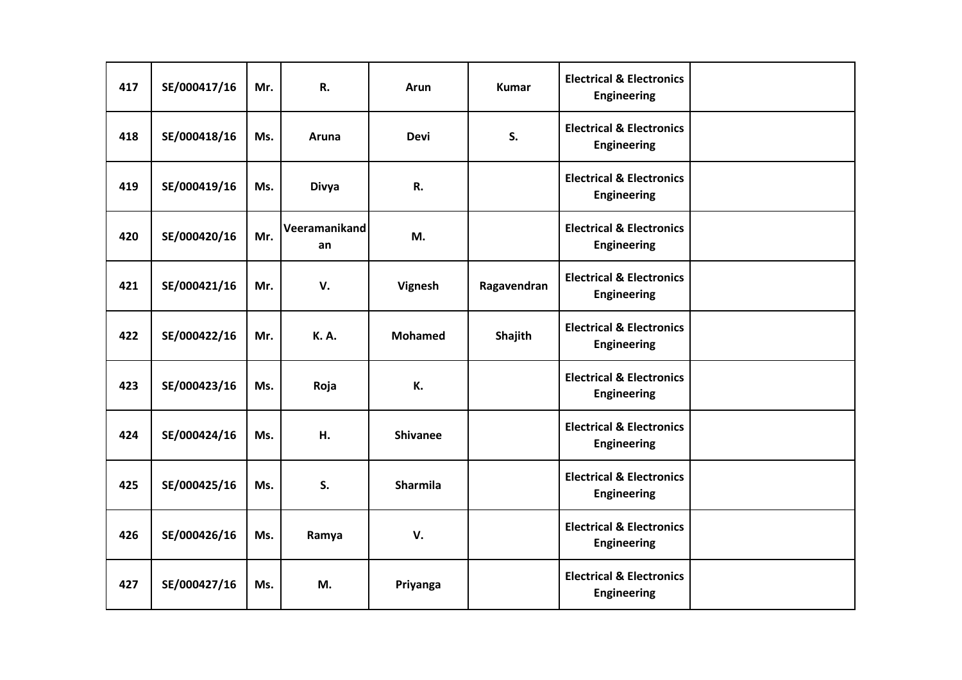| 417 | SE/000417/16 | Mr. | R.                  | Arun            | <b>Kumar</b> | <b>Electrical &amp; Electronics</b><br><b>Engineering</b> |  |
|-----|--------------|-----|---------------------|-----------------|--------------|-----------------------------------------------------------|--|
| 418 | SE/000418/16 | Ms. | Aruna               | <b>Devi</b>     | S.           | <b>Electrical &amp; Electronics</b><br><b>Engineering</b> |  |
| 419 | SE/000419/16 | Ms. | <b>Divya</b>        | R.              |              | <b>Electrical &amp; Electronics</b><br>Engineering        |  |
| 420 | SE/000420/16 | Mr. | Veeramanikand<br>an | M.              |              | <b>Electrical &amp; Electronics</b><br><b>Engineering</b> |  |
| 421 | SE/000421/16 | Mr. | V.                  | Vignesh         | Ragavendran  | <b>Electrical &amp; Electronics</b><br>Engineering        |  |
| 422 | SE/000422/16 | Mr. | <b>K.A.</b>         | <b>Mohamed</b>  | Shajith      | <b>Electrical &amp; Electronics</b><br><b>Engineering</b> |  |
| 423 | SE/000423/16 | Ms. | Roja                | К.              |              | <b>Electrical &amp; Electronics</b><br><b>Engineering</b> |  |
| 424 | SE/000424/16 | Ms. | Н.                  | <b>Shivanee</b> |              | <b>Electrical &amp; Electronics</b><br><b>Engineering</b> |  |
| 425 | SE/000425/16 | Ms. | S.                  | <b>Sharmila</b> |              | <b>Electrical &amp; Electronics</b><br><b>Engineering</b> |  |
| 426 | SE/000426/16 | Ms. | Ramya               | V.              |              | <b>Electrical &amp; Electronics</b><br>Engineering        |  |
| 427 | SE/000427/16 | Ms. | M.                  | Priyanga        |              | <b>Electrical &amp; Electronics</b><br><b>Engineering</b> |  |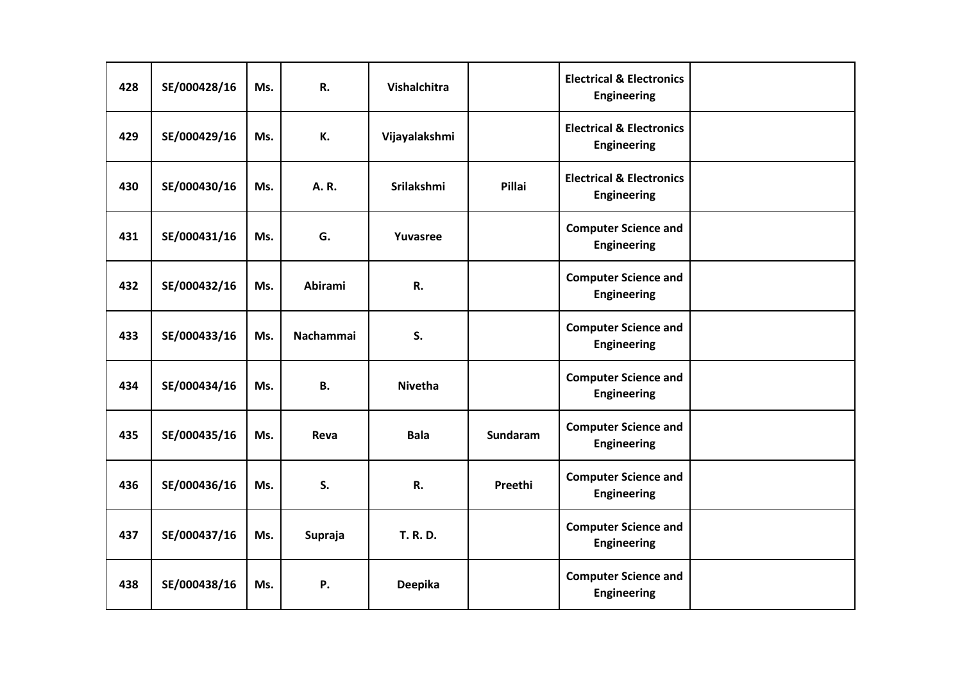| 428 | SE/000428/16 | Ms. | R.               | Vishalchitra      |                 | <b>Electrical &amp; Electronics</b><br><b>Engineering</b> |  |
|-----|--------------|-----|------------------|-------------------|-----------------|-----------------------------------------------------------|--|
| 429 | SE/000429/16 | Ms. | К.               | Vijayalakshmi     |                 | <b>Electrical &amp; Electronics</b><br><b>Engineering</b> |  |
| 430 | SE/000430/16 | Ms. | A.R.             | <b>Srilakshmi</b> | <b>Pillai</b>   | <b>Electrical &amp; Electronics</b><br><b>Engineering</b> |  |
| 431 | SE/000431/16 | Ms. | G.               | Yuvasree          |                 | <b>Computer Science and</b><br><b>Engineering</b>         |  |
| 432 | SE/000432/16 | Ms. | <b>Abirami</b>   | R.                |                 | <b>Computer Science and</b><br><b>Engineering</b>         |  |
| 433 | SE/000433/16 | Ms. | <b>Nachammai</b> | S.                |                 | <b>Computer Science and</b><br><b>Engineering</b>         |  |
| 434 | SE/000434/16 | Ms. | <b>B.</b>        | <b>Nivetha</b>    |                 | <b>Computer Science and</b><br><b>Engineering</b>         |  |
| 435 | SE/000435/16 | Ms. | Reva             | <b>Bala</b>       | <b>Sundaram</b> | <b>Computer Science and</b><br><b>Engineering</b>         |  |
| 436 | SE/000436/16 | Ms. | S.               | R.                | Preethi         | <b>Computer Science and</b><br><b>Engineering</b>         |  |
| 437 | SE/000437/16 | Ms. | Supraja          | <b>T. R. D.</b>   |                 | <b>Computer Science and</b><br><b>Engineering</b>         |  |
| 438 | SE/000438/16 | Ms. | Ρ.               | <b>Deepika</b>    |                 | <b>Computer Science and</b><br><b>Engineering</b>         |  |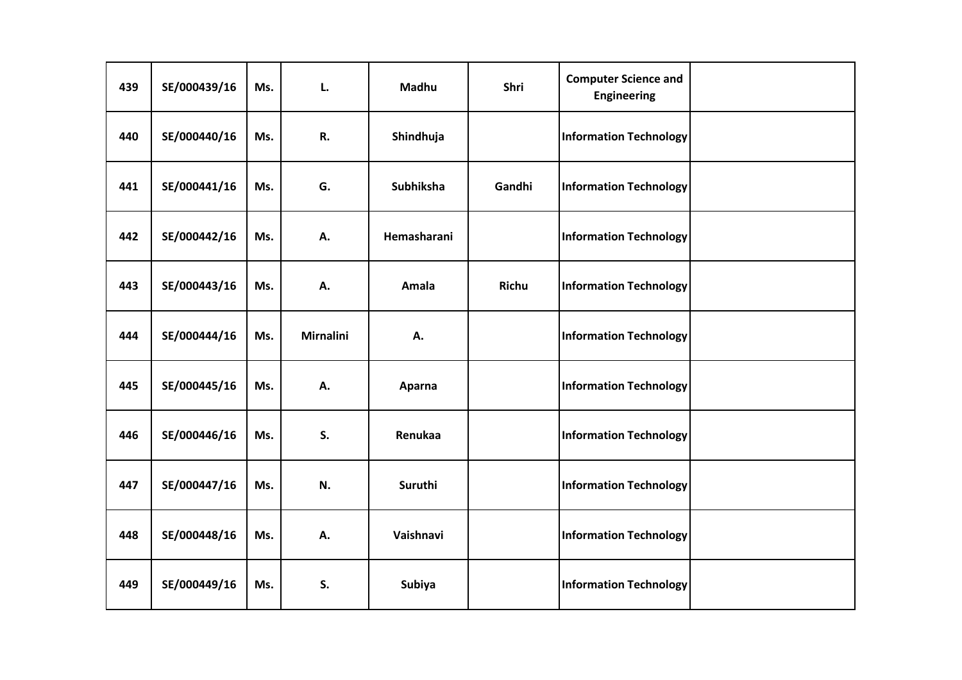| 439 | SE/000439/16 | Ms. | L.               | Madhu       | Shri         | <b>Computer Science and</b><br><b>Engineering</b> |  |
|-----|--------------|-----|------------------|-------------|--------------|---------------------------------------------------|--|
| 440 | SE/000440/16 | Ms. | R.               | Shindhuja   |              | <b>Information Technology</b>                     |  |
| 441 | SE/000441/16 | Ms. | G.               | Subhiksha   | Gandhi       | <b>Information Technology</b>                     |  |
| 442 | SE/000442/16 | Ms. | Α.               | Hemasharani |              | <b>Information Technology</b>                     |  |
| 443 | SE/000443/16 | Ms. | А.               | Amala       | <b>Richu</b> | <b>Information Technology</b>                     |  |
| 444 | SE/000444/16 | Ms. | <b>Mirnalini</b> | А.          |              | <b>Information Technology</b>                     |  |
| 445 | SE/000445/16 | Ms. | Α.               | Aparna      |              | <b>Information Technology</b>                     |  |
| 446 | SE/000446/16 | Ms. | S.               | Renukaa     |              | <b>Information Technology</b>                     |  |
| 447 | SE/000447/16 | Ms. | N.               | Suruthi     |              | <b>Information Technology</b>                     |  |
| 448 | SE/000448/16 | Ms. | А.               | Vaishnavi   |              | <b>Information Technology</b>                     |  |
| 449 | SE/000449/16 | Ms. | S.               | Subiya      |              | <b>Information Technology</b>                     |  |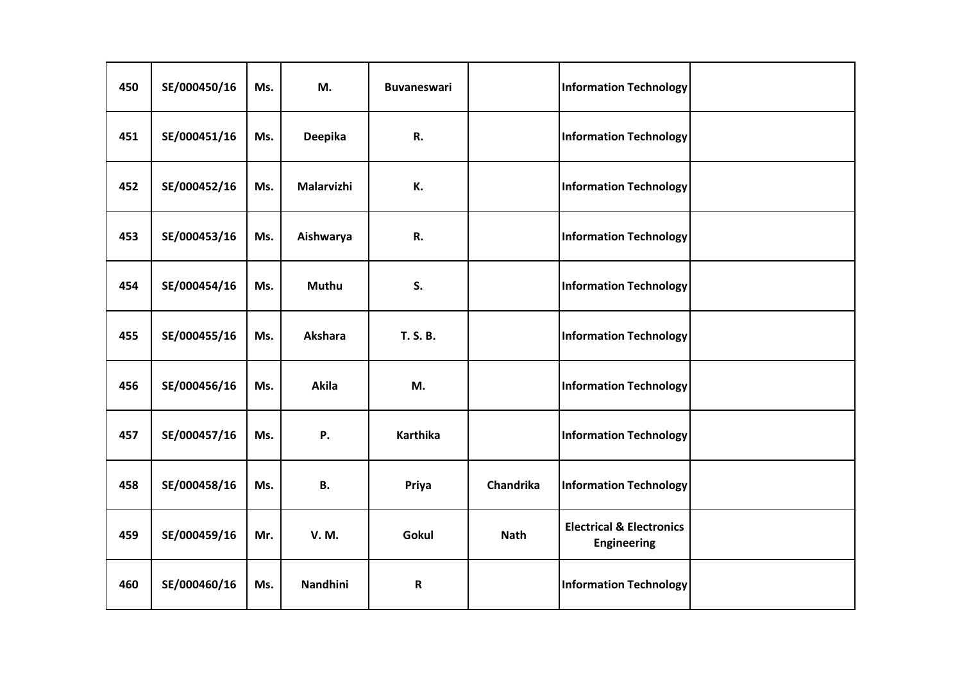| 450 | SE/000450/16 | Ms. | M.              | <b>Buvaneswari</b> |             | <b>Information Technology</b>                             |  |
|-----|--------------|-----|-----------------|--------------------|-------------|-----------------------------------------------------------|--|
| 451 | SE/000451/16 | Ms. | <b>Deepika</b>  | R.                 |             | <b>Information Technology</b>                             |  |
| 452 | SE/000452/16 | Ms. | Malarvizhi      | К.                 |             | <b>Information Technology</b>                             |  |
| 453 | SE/000453/16 | Ms. | Aishwarya       | R.                 |             | <b>Information Technology</b>                             |  |
| 454 | SE/000454/16 | Ms. | <b>Muthu</b>    | S.                 |             | <b>Information Technology</b>                             |  |
| 455 | SE/000455/16 | Ms. | <b>Akshara</b>  | <b>T. S. B.</b>    |             | <b>Information Technology</b>                             |  |
| 456 | SE/000456/16 | Ms. | Akila           | M.                 |             | <b>Information Technology</b>                             |  |
| 457 | SE/000457/16 | Ms. | Ρ.              | <b>Karthika</b>    |             | <b>Information Technology</b>                             |  |
| 458 | SE/000458/16 | Ms. | <b>B.</b>       | Priya              | Chandrika   | <b>Information Technology</b>                             |  |
| 459 | SE/000459/16 | Mr. | <b>V.M.</b>     | Gokul              | <b>Nath</b> | <b>Electrical &amp; Electronics</b><br><b>Engineering</b> |  |
| 460 | SE/000460/16 | Ms. | <b>Nandhini</b> | $\mathbf R$        |             | <b>Information Technology</b>                             |  |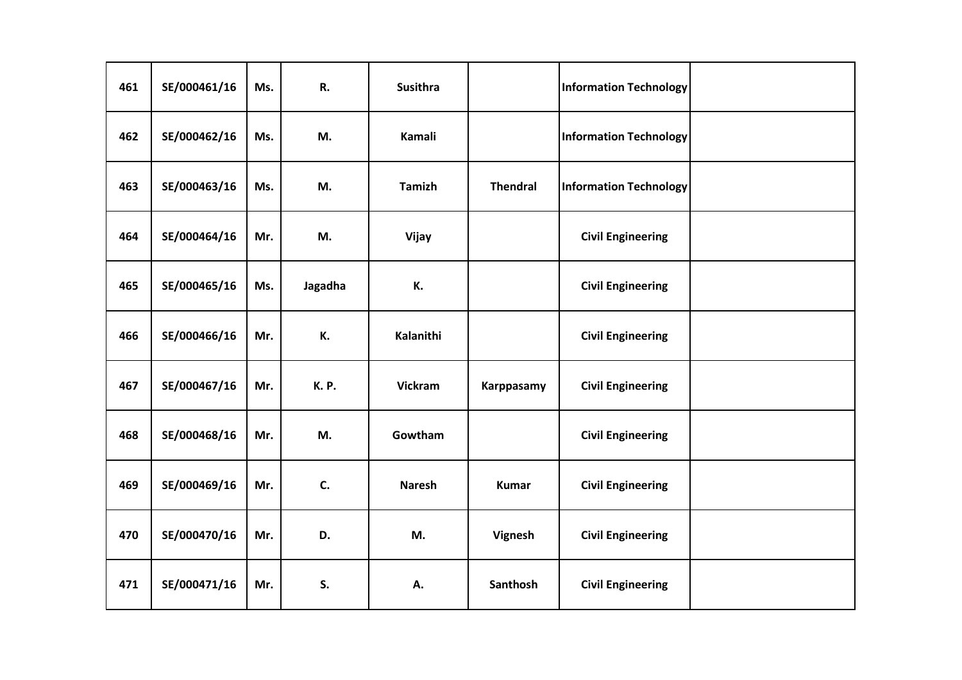| 461 | SE/000461/16 | Ms. | R.          | <b>Susithra</b> |                 | <b>Information Technology</b> |  |
|-----|--------------|-----|-------------|-----------------|-----------------|-------------------------------|--|
| 462 | SE/000462/16 | Ms. | M.          | Kamali          |                 | <b>Information Technology</b> |  |
| 463 | SE/000463/16 | Ms. | M.          | <b>Tamizh</b>   | <b>Thendral</b> | <b>Information Technology</b> |  |
| 464 | SE/000464/16 | Mr. | M.          | Vijay           |                 | <b>Civil Engineering</b>      |  |
| 465 | SE/000465/16 | Ms. | Jagadha     | К.              |                 | <b>Civil Engineering</b>      |  |
| 466 | SE/000466/16 | Mr. | К.          | Kalanithi       |                 | <b>Civil Engineering</b>      |  |
| 467 | SE/000467/16 | Mr. | <b>K.P.</b> | <b>Vickram</b>  | Karppasamy      | <b>Civil Engineering</b>      |  |
| 468 | SE/000468/16 | Mr. | M.          | Gowtham         |                 | <b>Civil Engineering</b>      |  |
| 469 | SE/000469/16 | Mr. | C.          | <b>Naresh</b>   | <b>Kumar</b>    | <b>Civil Engineering</b>      |  |
| 470 | SE/000470/16 | Mr. | D.          | M.              | Vignesh         | <b>Civil Engineering</b>      |  |
| 471 | SE/000471/16 | Mr. | S.          | А.              | Santhosh        | <b>Civil Engineering</b>      |  |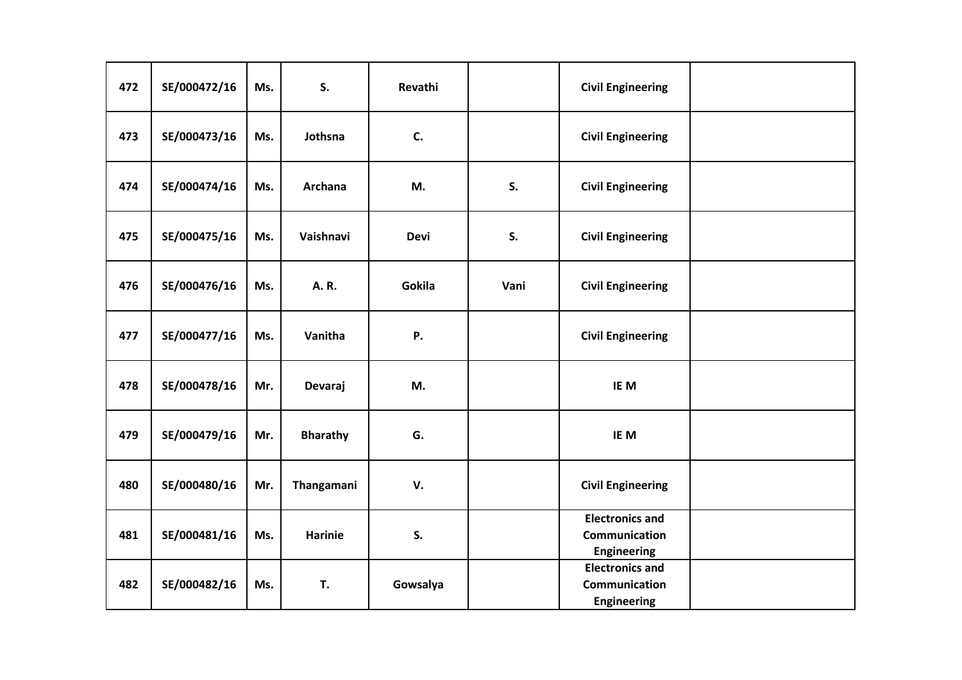| 472 | SE/000472/16 | Ms. | S.              | Revathi     |      | <b>Civil Engineering</b>                                      |  |
|-----|--------------|-----|-----------------|-------------|------|---------------------------------------------------------------|--|
| 473 | SE/000473/16 | Ms. | Jothsna         | C.          |      | <b>Civil Engineering</b>                                      |  |
| 474 | SE/000474/16 | Ms. | <b>Archana</b>  | M.          | S.   | <b>Civil Engineering</b>                                      |  |
| 475 | SE/000475/16 | Ms. | Vaishnavi       | <b>Devi</b> | S.   | <b>Civil Engineering</b>                                      |  |
| 476 | SE/000476/16 | Ms. | A.R.            | Gokila      | Vani | <b>Civil Engineering</b>                                      |  |
| 477 | SE/000477/16 | Ms. | Vanitha         | Ρ.          |      | <b>Civil Engineering</b>                                      |  |
| 478 | SE/000478/16 | Mr. | Devaraj         | M.          |      | IE M                                                          |  |
| 479 | SE/000479/16 | Mr. | <b>Bharathy</b> | G.          |      | IE M                                                          |  |
| 480 | SE/000480/16 | Mr. | Thangamani      | V.          |      | <b>Civil Engineering</b>                                      |  |
| 481 | SE/000481/16 | Ms. | <b>Harinie</b>  | S.          |      | <b>Electronics and</b><br>Communication<br><b>Engineering</b> |  |
| 482 | SE/000482/16 | Ms. | T.              | Gowsalya    |      | <b>Electronics and</b><br>Communication<br><b>Engineering</b> |  |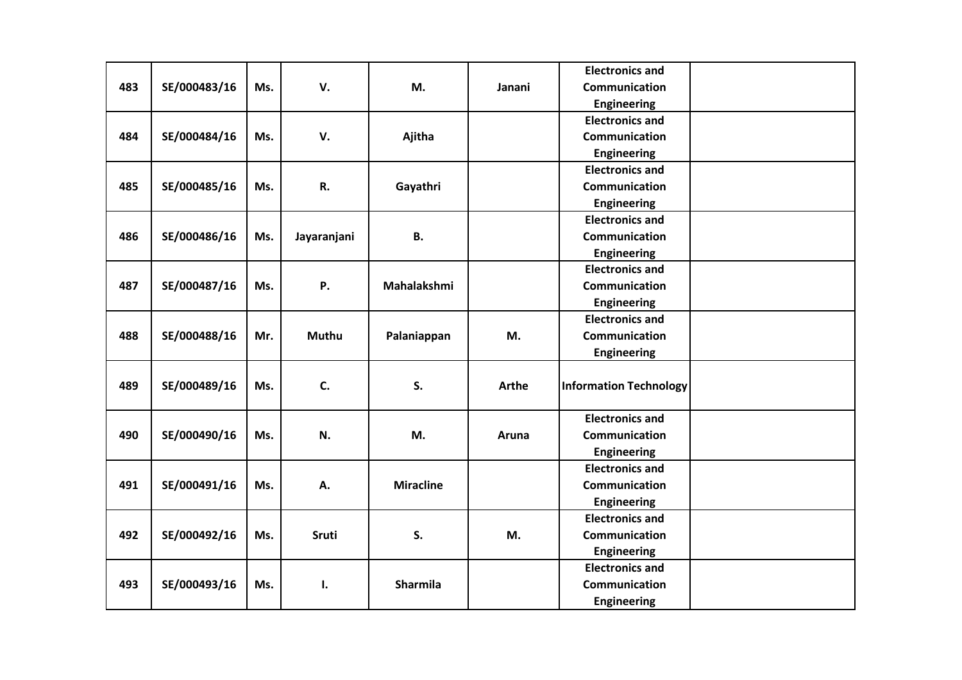|     |              |     |              |                  |              | <b>Electronics and</b>        |  |
|-----|--------------|-----|--------------|------------------|--------------|-------------------------------|--|
| 483 | SE/000483/16 | Ms. | V.           | M.               | Janani       | <b>Communication</b>          |  |
|     |              |     |              |                  |              | <b>Engineering</b>            |  |
|     |              |     |              |                  |              | <b>Electronics and</b>        |  |
| 484 | SE/000484/16 | Ms. | V.           | Ajitha           |              | <b>Communication</b>          |  |
|     |              |     |              |                  |              | <b>Engineering</b>            |  |
|     |              |     |              |                  |              | <b>Electronics and</b>        |  |
| 485 | SE/000485/16 | Ms. | R.           | Gayathri         |              | Communication                 |  |
|     |              |     |              |                  |              | <b>Engineering</b>            |  |
|     |              |     |              |                  |              | <b>Electronics and</b>        |  |
| 486 | SE/000486/16 | Ms. | Jayaranjani  | <b>B.</b>        |              | Communication                 |  |
|     |              |     |              |                  |              | <b>Engineering</b>            |  |
|     |              |     |              |                  |              | <b>Electronics and</b>        |  |
| 487 | SE/000487/16 | Ms. | Ρ.           | Mahalakshmi      |              | Communication                 |  |
|     |              |     |              |                  |              | <b>Engineering</b>            |  |
|     |              |     |              |                  |              | <b>Electronics and</b>        |  |
| 488 | SE/000488/16 | Mr. | <b>Muthu</b> | Palaniappan      | M.           | Communication                 |  |
|     |              |     |              |                  |              | Engineering                   |  |
|     |              |     |              |                  |              |                               |  |
| 489 | SE/000489/16 | Ms. | C.           | S.               | <b>Arthe</b> | <b>Information Technology</b> |  |
|     |              |     |              |                  |              |                               |  |
|     |              |     |              |                  |              | <b>Electronics and</b>        |  |
| 490 | SE/000490/16 | Ms. | N.           | M.               | Aruna        | <b>Communication</b>          |  |
|     |              |     |              |                  |              | <b>Engineering</b>            |  |
|     |              |     |              |                  |              | <b>Electronics and</b>        |  |
| 491 | SE/000491/16 | Ms. | А.           | <b>Miracline</b> |              | Communication                 |  |
|     |              |     |              |                  |              | <b>Engineering</b>            |  |
|     |              |     |              |                  |              | <b>Electronics and</b>        |  |
| 492 | SE/000492/16 | Ms. | Sruti        | S.               | M.           | Communication                 |  |
|     |              |     |              |                  |              | <b>Engineering</b>            |  |
|     |              |     |              |                  |              | <b>Electronics and</b>        |  |
| 493 | SE/000493/16 | Ms. | Ι.           | Sharmila         |              | Communication                 |  |
|     |              |     |              |                  |              | Engineering                   |  |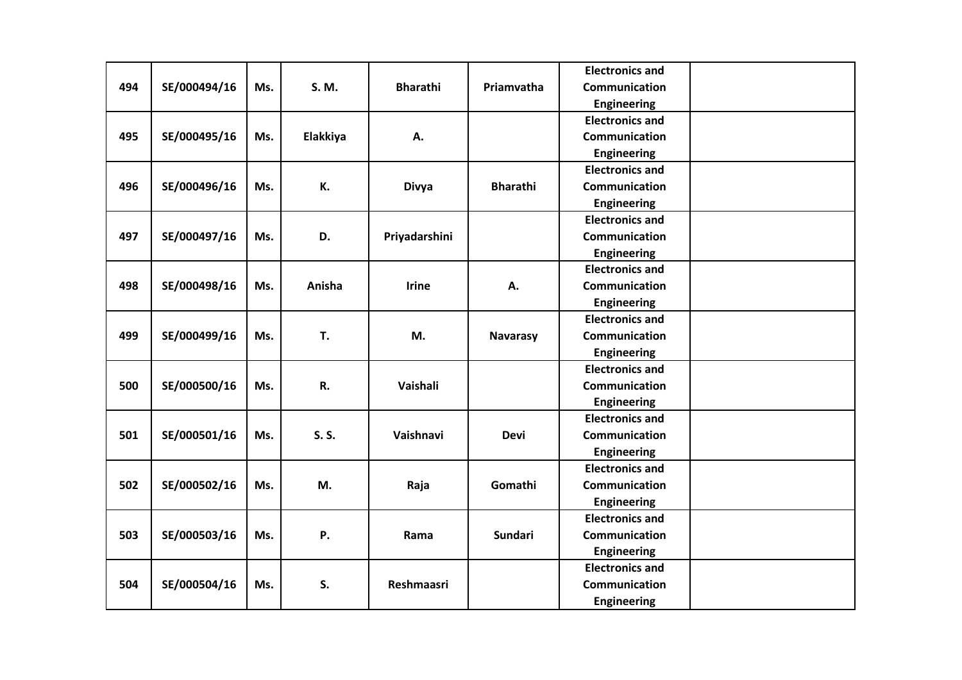|     |              |     |          |                   |                 | <b>Electronics and</b> |  |
|-----|--------------|-----|----------|-------------------|-----------------|------------------------|--|
| 494 | SE/000494/16 | Ms. | S. M.    | <b>Bharathi</b>   | Priamvatha      | <b>Communication</b>   |  |
|     |              |     |          |                   |                 | <b>Engineering</b>     |  |
|     |              |     |          |                   |                 | <b>Electronics and</b> |  |
| 495 | SE/000495/16 | Ms. | Elakkiya | А.                |                 | <b>Communication</b>   |  |
|     |              |     |          |                   |                 | <b>Engineering</b>     |  |
|     |              |     |          |                   |                 | <b>Electronics and</b> |  |
| 496 | SE/000496/16 | Ms. | К.       | <b>Divya</b>      | <b>Bharathi</b> | Communication          |  |
|     |              |     |          |                   |                 | <b>Engineering</b>     |  |
|     |              |     |          |                   |                 | <b>Electronics and</b> |  |
| 497 | SE/000497/16 | Ms. | D.       | Priyadarshini     |                 | Communication          |  |
|     |              |     |          |                   |                 | <b>Engineering</b>     |  |
|     |              |     |          |                   |                 | <b>Electronics and</b> |  |
| 498 | SE/000498/16 | Ms. | Anisha   | <b>Irine</b>      | А.              | Communication          |  |
|     |              |     |          |                   |                 | <b>Engineering</b>     |  |
|     |              |     |          |                   |                 | <b>Electronics and</b> |  |
| 499 | SE/000499/16 | Ms. | T.       | M.                | <b>Navarasy</b> | Communication          |  |
|     |              |     |          |                   |                 | <b>Engineering</b>     |  |
|     |              |     |          |                   |                 | <b>Electronics and</b> |  |
| 500 | SE/000500/16 | Ms. | R.       | Vaishali          |                 | Communication          |  |
|     |              |     |          |                   |                 | Engineering            |  |
|     |              |     |          |                   |                 | <b>Electronics and</b> |  |
| 501 | SE/000501/16 | Ms. | S. S.    | Vaishnavi         | <b>Devi</b>     | Communication          |  |
|     |              |     |          |                   |                 | <b>Engineering</b>     |  |
|     |              |     |          |                   |                 | <b>Electronics and</b> |  |
| 502 | SE/000502/16 | Ms. | M.       | Raja              | Gomathi         | Communication          |  |
|     |              |     |          |                   |                 | <b>Engineering</b>     |  |
|     |              |     |          |                   |                 | <b>Electronics and</b> |  |
| 503 | SE/000503/16 | Ms. | Ρ.       | Rama              | <b>Sundari</b>  | Communication          |  |
|     |              |     |          |                   |                 | <b>Engineering</b>     |  |
|     |              |     |          |                   |                 | <b>Electronics and</b> |  |
| 504 | SE/000504/16 | Ms. | S.       | <b>Reshmaasri</b> |                 | Communication          |  |
|     |              |     |          |                   |                 | <b>Engineering</b>     |  |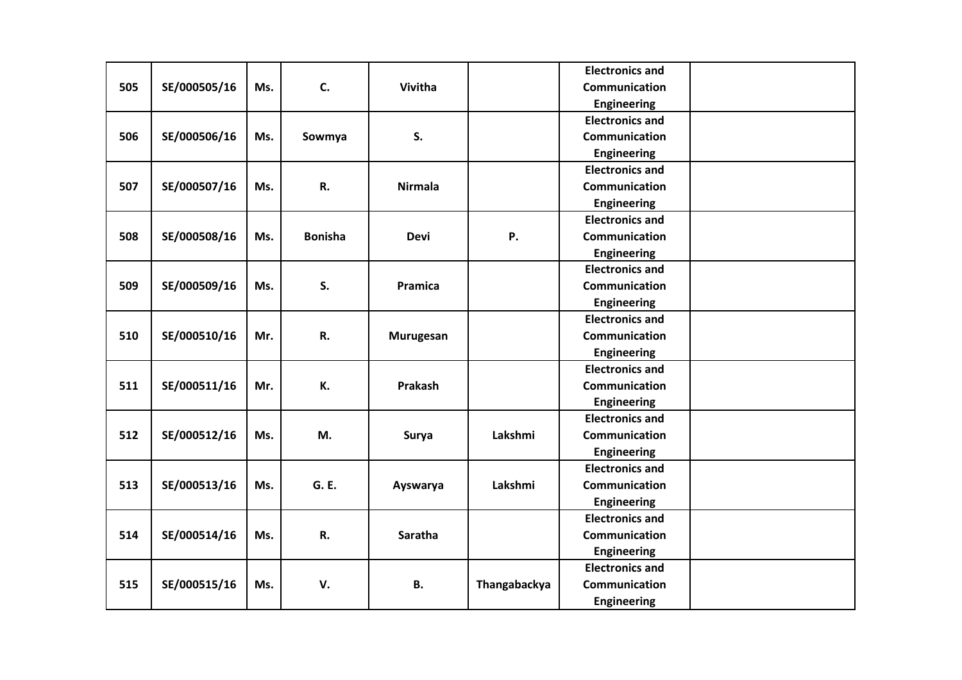|     |              |     |                |                |              | <b>Electronics and</b> |  |
|-----|--------------|-----|----------------|----------------|--------------|------------------------|--|
| 505 | SE/000505/16 | Ms. | C.             | Vivitha        |              | <b>Communication</b>   |  |
|     |              |     |                |                |              | <b>Engineering</b>     |  |
|     |              |     |                |                |              | <b>Electronics and</b> |  |
| 506 | SE/000506/16 | Ms. | Sowmya         | S.             |              | <b>Communication</b>   |  |
|     |              |     |                |                |              | <b>Engineering</b>     |  |
|     |              |     |                |                |              | <b>Electronics and</b> |  |
| 507 | SE/000507/16 | Ms. | R.             | <b>Nirmala</b> |              | <b>Communication</b>   |  |
|     |              |     |                |                |              | <b>Engineering</b>     |  |
|     |              |     |                |                |              | <b>Electronics and</b> |  |
| 508 | SE/000508/16 | Ms. | <b>Bonisha</b> | <b>Devi</b>    | <b>P.</b>    | <b>Communication</b>   |  |
|     |              |     |                |                |              | <b>Engineering</b>     |  |
|     |              |     |                |                |              | <b>Electronics and</b> |  |
| 509 | SE/000509/16 | Ms. | S.             | Pramica        |              | Communication          |  |
|     |              |     |                |                |              | <b>Engineering</b>     |  |
|     |              |     |                |                |              | <b>Electronics and</b> |  |
| 510 | SE/000510/16 | Mr. | R.             | Murugesan      |              | Communication          |  |
|     |              |     |                |                |              | Engineering            |  |
|     |              |     |                |                |              | <b>Electronics and</b> |  |
| 511 | SE/000511/16 | Mr. | К.             | Prakash        |              | <b>Communication</b>   |  |
|     |              |     |                |                |              | <b>Engineering</b>     |  |
|     |              |     |                |                |              | <b>Electronics and</b> |  |
| 512 | SE/000512/16 | Ms. | M.             | Surya          | Lakshmi      | <b>Communication</b>   |  |
|     |              |     |                |                |              | Engineering            |  |
|     |              |     |                |                |              | <b>Electronics and</b> |  |
| 513 | SE/000513/16 | Ms. | G. E.          | Ayswarya       | Lakshmi      | Communication          |  |
|     |              |     |                |                |              | <b>Engineering</b>     |  |
|     |              |     |                |                |              | <b>Electronics and</b> |  |
| 514 | SE/000514/16 | Ms. | R.             | Saratha        |              | Communication          |  |
|     |              |     |                |                |              | <b>Engineering</b>     |  |
|     |              |     |                |                |              | <b>Electronics and</b> |  |
| 515 | SE/000515/16 | Ms. | V.             | <b>B.</b>      | Thangabackya | Communication          |  |
|     |              |     |                |                |              | Engineering            |  |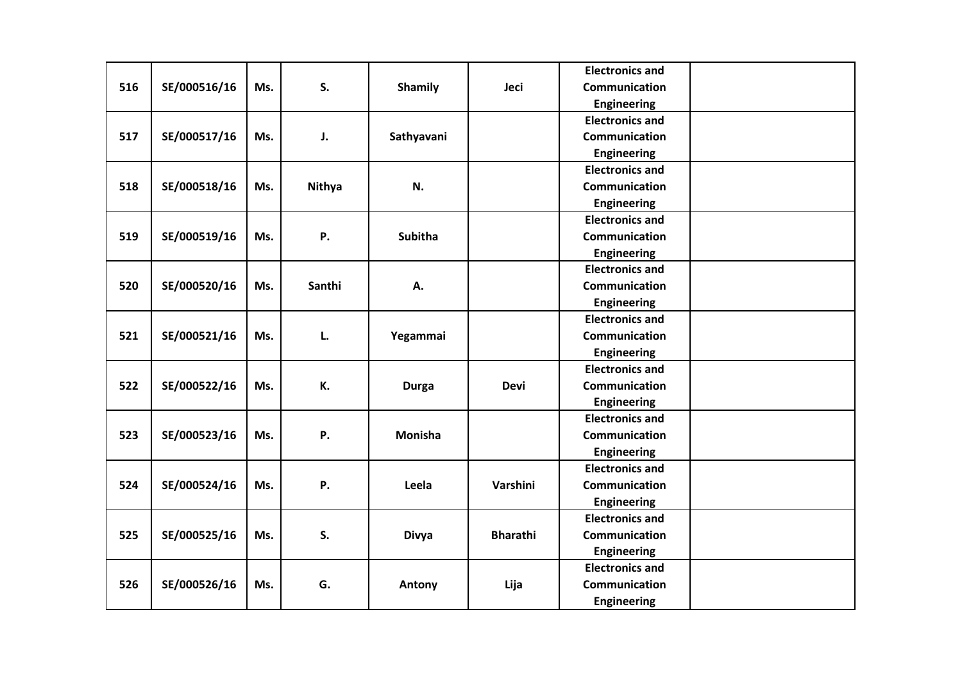|     |              |     |        |                |                 | <b>Electronics and</b> |  |
|-----|--------------|-----|--------|----------------|-----------------|------------------------|--|
| 516 | SE/000516/16 | Ms. | S.     | <b>Shamily</b> | Jeci            | <b>Communication</b>   |  |
|     |              |     |        |                |                 | <b>Engineering</b>     |  |
|     |              |     |        |                |                 | <b>Electronics and</b> |  |
| 517 | SE/000517/16 | Ms. | J.     | Sathyavani     |                 | <b>Communication</b>   |  |
|     |              |     |        |                |                 | <b>Engineering</b>     |  |
|     |              |     |        |                |                 | <b>Electronics and</b> |  |
| 518 | SE/000518/16 | Ms. | Nithya | N.             |                 | Communication          |  |
|     |              |     |        |                |                 | <b>Engineering</b>     |  |
|     |              |     |        |                |                 | <b>Electronics and</b> |  |
| 519 | SE/000519/16 | Ms. | Ρ.     | <b>Subitha</b> |                 | Communication          |  |
|     |              |     |        |                |                 | <b>Engineering</b>     |  |
|     |              |     |        |                |                 | <b>Electronics and</b> |  |
| 520 | SE/000520/16 | Ms. | Santhi | А.             |                 | Communication          |  |
|     |              |     |        |                |                 | <b>Engineering</b>     |  |
|     |              |     |        |                |                 | <b>Electronics and</b> |  |
| 521 | SE/000521/16 | Ms. | L.     | Yegammai       |                 | Communication          |  |
|     |              |     |        |                |                 | <b>Engineering</b>     |  |
|     |              |     |        |                |                 | <b>Electronics and</b> |  |
| 522 | SE/000522/16 | Ms. | К.     | <b>Durga</b>   | <b>Devi</b>     | Communication          |  |
|     |              |     |        |                |                 | Engineering            |  |
|     |              |     |        |                |                 | <b>Electronics and</b> |  |
| 523 | SE/000523/16 | Ms. | Ρ.     | <b>Monisha</b> |                 | Communication          |  |
|     |              |     |        |                |                 | <b>Engineering</b>     |  |
|     |              |     |        |                |                 | <b>Electronics and</b> |  |
| 524 | SE/000524/16 | Ms. | Ρ.     | Leela          | Varshini        | <b>Communication</b>   |  |
|     |              |     |        |                |                 | <b>Engineering</b>     |  |
|     |              |     |        |                |                 | <b>Electronics and</b> |  |
| 525 | SE/000525/16 | Ms. | S.     | <b>Divya</b>   | <b>Bharathi</b> | Communication          |  |
|     |              |     |        |                |                 | Engineering            |  |
|     |              |     |        |                |                 | <b>Electronics and</b> |  |
| 526 | SE/000526/16 | Ms. | G.     | Antony         | Lija            | Communication          |  |
|     |              |     |        |                |                 | <b>Engineering</b>     |  |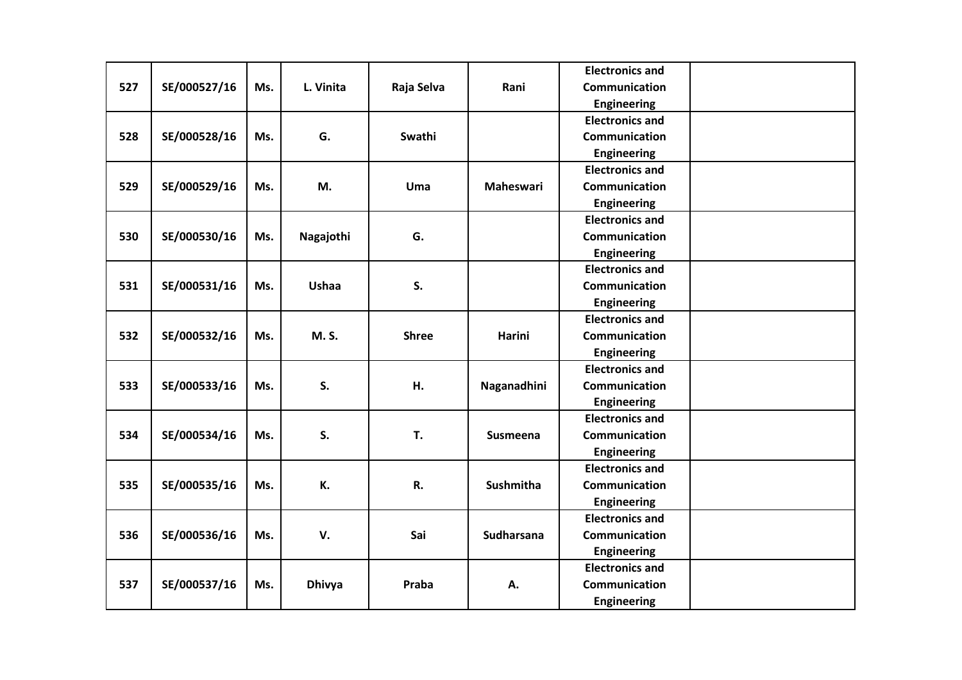|     |              |     |               |              |                  | <b>Electronics and</b> |  |
|-----|--------------|-----|---------------|--------------|------------------|------------------------|--|
| 527 | SE/000527/16 | Ms. | L. Vinita     | Raja Selva   | Rani             | Communication          |  |
|     |              |     |               |              |                  | <b>Engineering</b>     |  |
|     |              |     |               |              |                  | <b>Electronics and</b> |  |
| 528 | SE/000528/16 | Ms. | G.            | Swathi       |                  | <b>Communication</b>   |  |
|     |              |     |               |              |                  | <b>Engineering</b>     |  |
|     |              |     |               |              |                  | <b>Electronics and</b> |  |
| 529 | SE/000529/16 | Ms. | M.            | Uma          | Maheswari        | Communication          |  |
|     |              |     |               |              |                  | <b>Engineering</b>     |  |
|     |              |     |               |              |                  | <b>Electronics and</b> |  |
| 530 | SE/000530/16 | Ms. | Nagajothi     | G.           |                  | Communication          |  |
|     |              |     |               |              |                  | <b>Engineering</b>     |  |
|     |              |     |               |              |                  | <b>Electronics and</b> |  |
| 531 | SE/000531/16 | Ms. | <b>Ushaa</b>  | S.           |                  | Communication          |  |
|     |              |     |               |              |                  | <b>Engineering</b>     |  |
|     |              |     |               |              |                  | <b>Electronics and</b> |  |
| 532 | SE/000532/16 | Ms. | M. S.         | <b>Shree</b> | <b>Harini</b>    | Communication          |  |
|     |              |     |               |              |                  | <b>Engineering</b>     |  |
|     |              |     |               |              |                  | <b>Electronics and</b> |  |
| 533 | SE/000533/16 | Ms. | S.            | Н.           | Naganadhini      | Communication          |  |
|     |              |     |               |              |                  | <b>Engineering</b>     |  |
|     |              |     |               |              |                  | <b>Electronics and</b> |  |
| 534 | SE/000534/16 | Ms. | S.            | T.           | Susmeena         | Communication          |  |
|     |              |     |               |              |                  | <b>Engineering</b>     |  |
|     |              |     |               |              |                  | <b>Electronics and</b> |  |
| 535 | SE/000535/16 | Ms. | К.            | R.           | <b>Sushmitha</b> | Communication          |  |
|     |              |     |               |              |                  | <b>Engineering</b>     |  |
|     |              |     |               |              |                  | <b>Electronics and</b> |  |
| 536 | SE/000536/16 | Ms. | V.            | Sai          | Sudharsana       | Communication          |  |
|     |              |     |               |              |                  | <b>Engineering</b>     |  |
|     |              |     |               |              |                  | <b>Electronics and</b> |  |
| 537 | SE/000537/16 | Ms. | <b>Dhivya</b> | Praba        | А.               | Communication          |  |
|     |              |     |               |              |                  | <b>Engineering</b>     |  |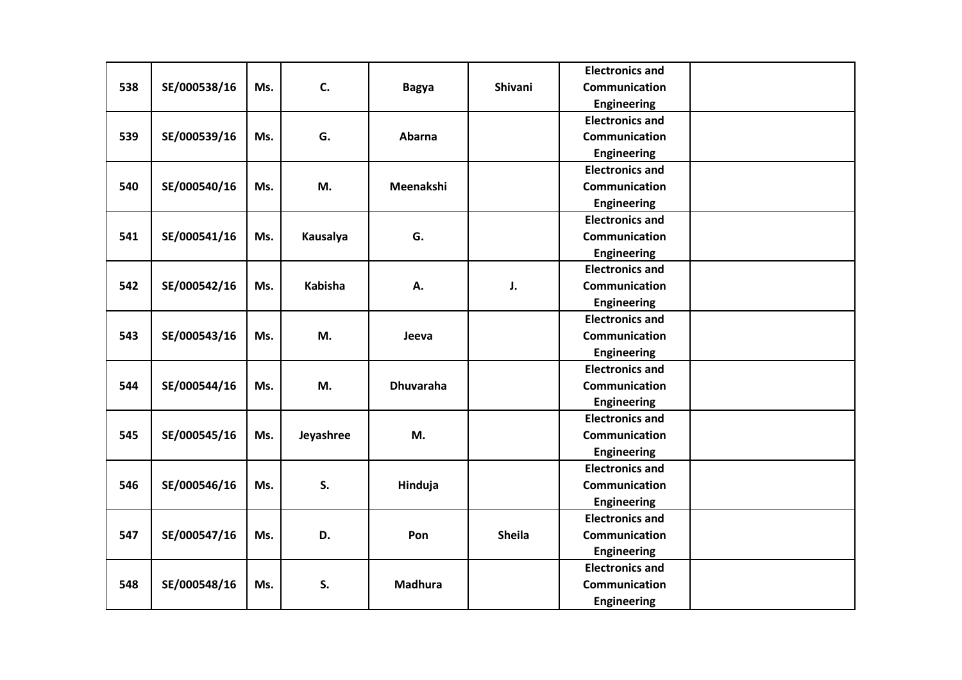|     |              |     |                |                  |               | <b>Electronics and</b> |  |
|-----|--------------|-----|----------------|------------------|---------------|------------------------|--|
| 538 | SE/000538/16 | Ms. | C.             | <b>Bagya</b>     | Shivani       | Communication          |  |
|     |              |     |                |                  |               | <b>Engineering</b>     |  |
|     |              |     |                |                  |               | <b>Electronics and</b> |  |
| 539 | SE/000539/16 | Ms. | G.             | Abarna           |               | <b>Communication</b>   |  |
|     |              |     |                |                  |               | <b>Engineering</b>     |  |
|     |              |     |                |                  |               | <b>Electronics and</b> |  |
| 540 | SE/000540/16 | Ms. | M.             | Meenakshi        |               | Communication          |  |
|     |              |     |                |                  |               | <b>Engineering</b>     |  |
|     |              |     |                |                  |               | <b>Electronics and</b> |  |
| 541 | SE/000541/16 | Ms. | Kausalya       | G.               |               | Communication          |  |
|     |              |     |                |                  |               | <b>Engineering</b>     |  |
|     |              |     |                |                  |               | <b>Electronics and</b> |  |
| 542 | SE/000542/16 | Ms. | <b>Kabisha</b> | А.               | J.            | Communication          |  |
|     |              |     |                |                  |               | <b>Engineering</b>     |  |
|     |              |     |                |                  |               | <b>Electronics and</b> |  |
| 543 | SE/000543/16 | Ms. | M.             | Jeeva            |               | Communication          |  |
|     |              |     |                |                  |               | <b>Engineering</b>     |  |
|     |              |     |                |                  |               | <b>Electronics and</b> |  |
| 544 | SE/000544/16 | Ms. | M.             | <b>Dhuvaraha</b> |               | Communication          |  |
|     |              |     |                |                  |               | <b>Engineering</b>     |  |
|     |              |     |                |                  |               | <b>Electronics and</b> |  |
| 545 | SE/000545/16 | Ms. | Jeyashree      | M.               |               | Communication          |  |
|     |              |     |                |                  |               | <b>Engineering</b>     |  |
|     |              |     |                |                  |               | <b>Electronics and</b> |  |
| 546 | SE/000546/16 | Ms. | S.             | Hinduja          |               | Communication          |  |
|     |              |     |                |                  |               | <b>Engineering</b>     |  |
|     |              |     |                |                  |               | <b>Electronics and</b> |  |
| 547 | SE/000547/16 | Ms. | D.             | Pon              | <b>Sheila</b> | Communication          |  |
|     |              |     |                |                  |               | <b>Engineering</b>     |  |
|     |              |     |                |                  |               | <b>Electronics and</b> |  |
| 548 | SE/000548/16 | Ms. | S.             | <b>Madhura</b>   |               | Communication          |  |
|     |              |     |                |                  |               | Engineering            |  |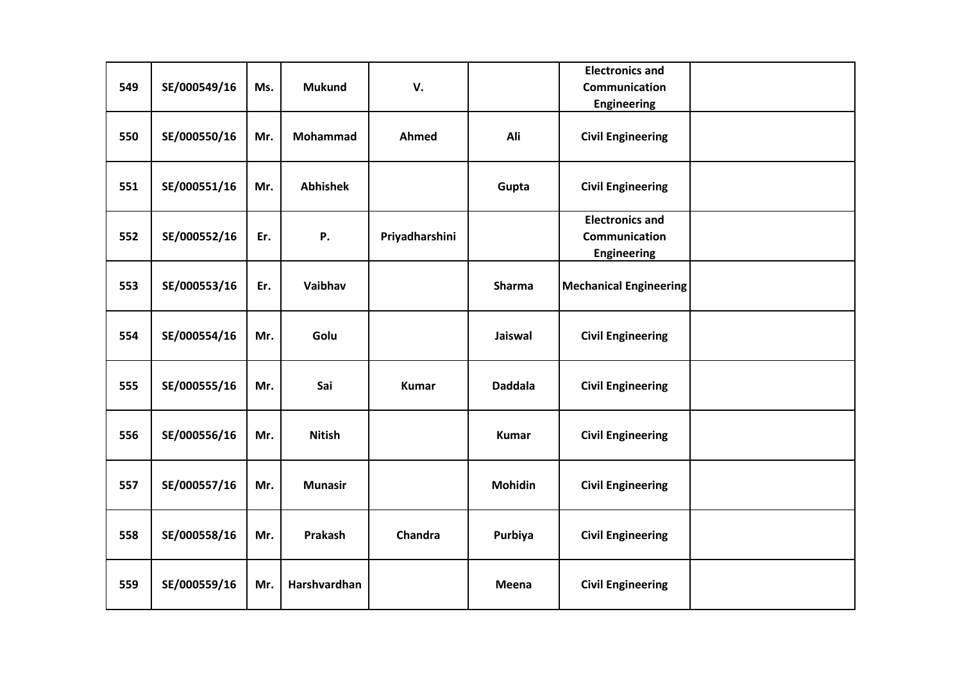| 549 | SE/000549/16 | Ms. | <b>Mukund</b>   | V.             |                | <b>Electronics and</b><br><b>Communication</b><br>Engineering |  |
|-----|--------------|-----|-----------------|----------------|----------------|---------------------------------------------------------------|--|
| 550 | SE/000550/16 | Mr. | <b>Mohammad</b> | Ahmed          | Ali            | <b>Civil Engineering</b>                                      |  |
| 551 | SE/000551/16 | Mr. | <b>Abhishek</b> |                | Gupta          | <b>Civil Engineering</b>                                      |  |
| 552 | SE/000552/16 | Er. | Ρ.              | Priyadharshini |                | <b>Electronics and</b><br>Communication<br>Engineering        |  |
| 553 | SE/000553/16 | Er. | Vaibhav         |                | <b>Sharma</b>  | <b>Mechanical Engineering</b>                                 |  |
| 554 | SE/000554/16 | Mr. | Golu            |                | Jaiswal        | <b>Civil Engineering</b>                                      |  |
| 555 | SE/000555/16 | Mr. | Sai             | <b>Kumar</b>   | <b>Daddala</b> | <b>Civil Engineering</b>                                      |  |
| 556 | SE/000556/16 | Mr. | <b>Nitish</b>   |                | <b>Kumar</b>   | <b>Civil Engineering</b>                                      |  |
| 557 | SE/000557/16 | Mr. | <b>Munasir</b>  |                | <b>Mohidin</b> | <b>Civil Engineering</b>                                      |  |
| 558 | SE/000558/16 | Mr. | Prakash         | Chandra        | Purbiya        | <b>Civil Engineering</b>                                      |  |
| 559 | SE/000559/16 | Mr. | Harshvardhan    |                | Meena          | <b>Civil Engineering</b>                                      |  |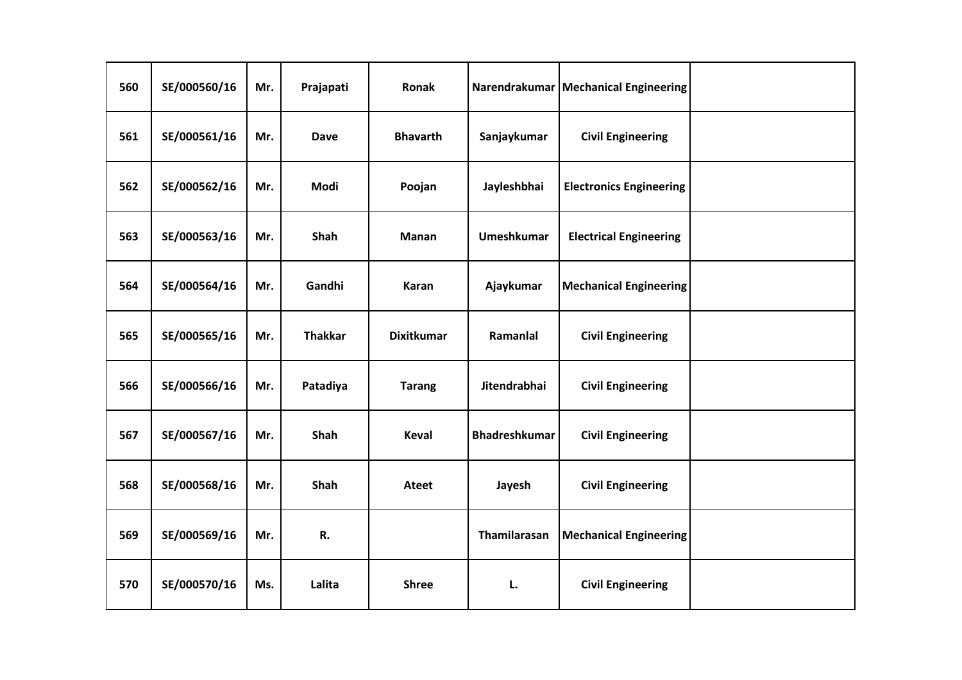| 560 | SE/000560/16 | Mr. | Prajapati      | Ronak             |                      | Narendrakumar   Mechanical Engineering |  |
|-----|--------------|-----|----------------|-------------------|----------------------|----------------------------------------|--|
| 561 | SE/000561/16 | Mr. | Dave           | <b>Bhavarth</b>   | Sanjaykumar          | <b>Civil Engineering</b>               |  |
| 562 | SE/000562/16 | Mr. | Modi           | Poojan            | Jayleshbhai          | <b>Electronics Engineering</b>         |  |
| 563 | SE/000563/16 | Mr. | Shah           | Manan             | Umeshkumar           | <b>Electrical Engineering</b>          |  |
| 564 | SE/000564/16 | Mr. | Gandhi         | Karan             | Ajaykumar            | <b>Mechanical Engineering</b>          |  |
| 565 | SE/000565/16 | Mr. | <b>Thakkar</b> | <b>Dixitkumar</b> | Ramanlal             | <b>Civil Engineering</b>               |  |
| 566 | SE/000566/16 | Mr. | Patadiya       | <b>Tarang</b>     | Jitendrabhai         | <b>Civil Engineering</b>               |  |
| 567 | SE/000567/16 | Mr. | Shah           | <b>Keval</b>      | <b>Bhadreshkumar</b> | <b>Civil Engineering</b>               |  |
| 568 | SE/000568/16 | Mr. | Shah           | <b>Ateet</b>      | Jayesh               | <b>Civil Engineering</b>               |  |
| 569 | SE/000569/16 | Mr. | R.             |                   | Thamilarasan         | <b>Mechanical Engineering</b>          |  |
| 570 | SE/000570/16 | Ms. | Lalita         | <b>Shree</b>      | L.                   | <b>Civil Engineering</b>               |  |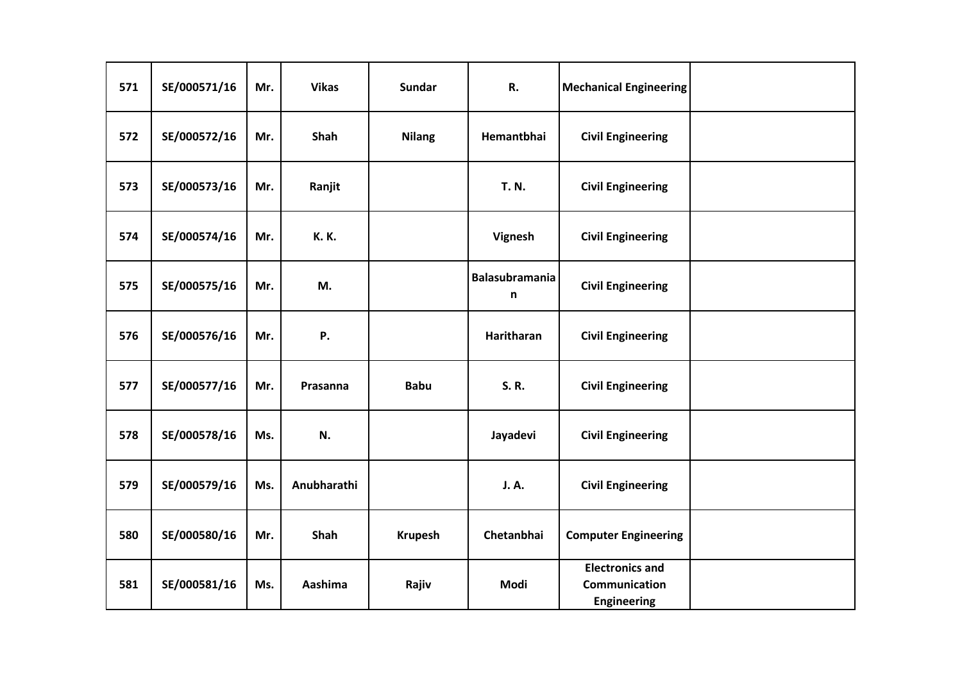| 571 | SE/000571/16 | Mr. | <b>Vikas</b> | <b>Sundar</b>  | R.                         | <b>Mechanical Engineering</b>                                 |  |
|-----|--------------|-----|--------------|----------------|----------------------------|---------------------------------------------------------------|--|
| 572 | SE/000572/16 | Mr. | Shah         | <b>Nilang</b>  | Hemantbhai                 | <b>Civil Engineering</b>                                      |  |
| 573 | SE/000573/16 | Mr. | Ranjit       |                | <b>T. N.</b>               | <b>Civil Engineering</b>                                      |  |
| 574 | SE/000574/16 | Mr. | <b>K.K.</b>  |                | Vignesh                    | <b>Civil Engineering</b>                                      |  |
| 575 | SE/000575/16 | Mr. | M.           |                | <b>Balasubramania</b><br>n | <b>Civil Engineering</b>                                      |  |
| 576 | SE/000576/16 | Mr. | Ρ.           |                | Haritharan                 | <b>Civil Engineering</b>                                      |  |
| 577 | SE/000577/16 | Mr. | Prasanna     | <b>Babu</b>    | S.R.                       | <b>Civil Engineering</b>                                      |  |
| 578 | SE/000578/16 | Ms. | N.           |                | Jayadevi                   | <b>Civil Engineering</b>                                      |  |
| 579 | SE/000579/16 | Ms. | Anubharathi  |                | <b>J.A.</b>                | <b>Civil Engineering</b>                                      |  |
| 580 | SE/000580/16 | Mr. | Shah         | <b>Krupesh</b> | Chetanbhai                 | <b>Computer Engineering</b>                                   |  |
| 581 | SE/000581/16 | Ms. | Aashima      | Rajiv          | Modi                       | <b>Electronics and</b><br>Communication<br><b>Engineering</b> |  |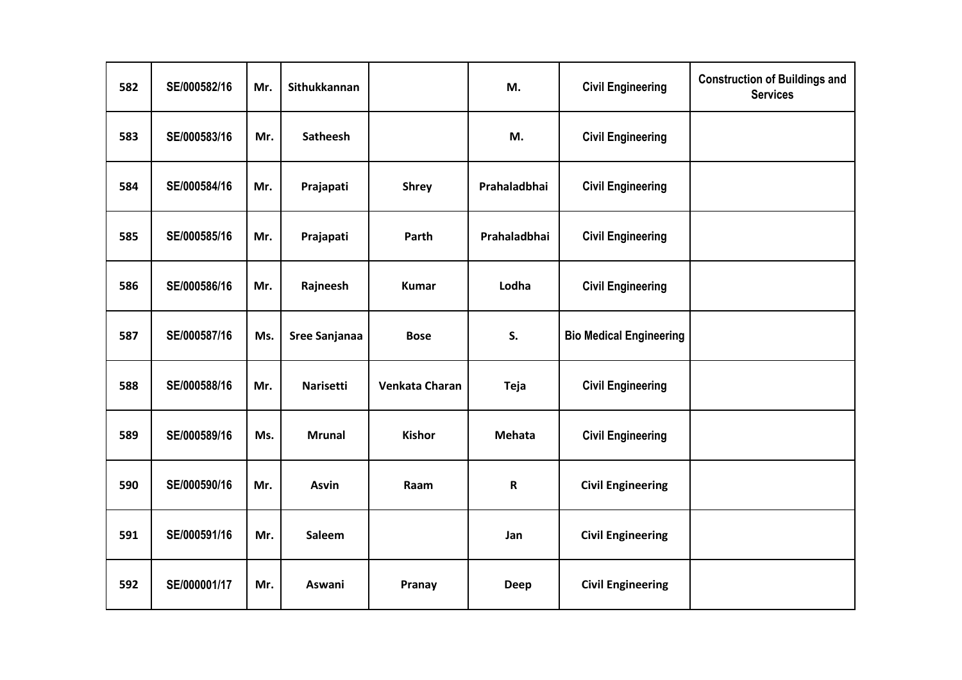| 582 | SE/000582/16 | Mr. | Sithukkannan     |                | M.           | <b>Civil Engineering</b>       | <b>Construction of Buildings and</b><br><b>Services</b> |
|-----|--------------|-----|------------------|----------------|--------------|--------------------------------|---------------------------------------------------------|
| 583 | SE/000583/16 | Mr. | <b>Satheesh</b>  |                | M.           | <b>Civil Engineering</b>       |                                                         |
| 584 | SE/000584/16 | Mr. | Prajapati        | <b>Shrey</b>   | Prahaladbhai | <b>Civil Engineering</b>       |                                                         |
| 585 | SE/000585/16 | Mr. | Prajapati        | Parth          | Prahaladbhai | <b>Civil Engineering</b>       |                                                         |
| 586 | SE/000586/16 | Mr. | Rajneesh         | <b>Kumar</b>   | Lodha        | <b>Civil Engineering</b>       |                                                         |
| 587 | SE/000587/16 | Ms. | Sree Sanjanaa    | <b>Bose</b>    | S.           | <b>Bio Medical Engineering</b> |                                                         |
| 588 | SE/000588/16 | Mr. | <b>Narisetti</b> | Venkata Charan | <b>Teja</b>  | <b>Civil Engineering</b>       |                                                         |
| 589 | SE/000589/16 | Ms. | <b>Mrunal</b>    | <b>Kishor</b>  | Mehata       | <b>Civil Engineering</b>       |                                                         |
| 590 | SE/000590/16 | Mr. | <b>Asvin</b>     | Raam           | $\mathsf R$  | <b>Civil Engineering</b>       |                                                         |
| 591 | SE/000591/16 | Mr. | Saleem           |                | Jan          | <b>Civil Engineering</b>       |                                                         |
| 592 | SE/000001/17 | Mr. | Aswani           | Pranay         | <b>Deep</b>  | <b>Civil Engineering</b>       |                                                         |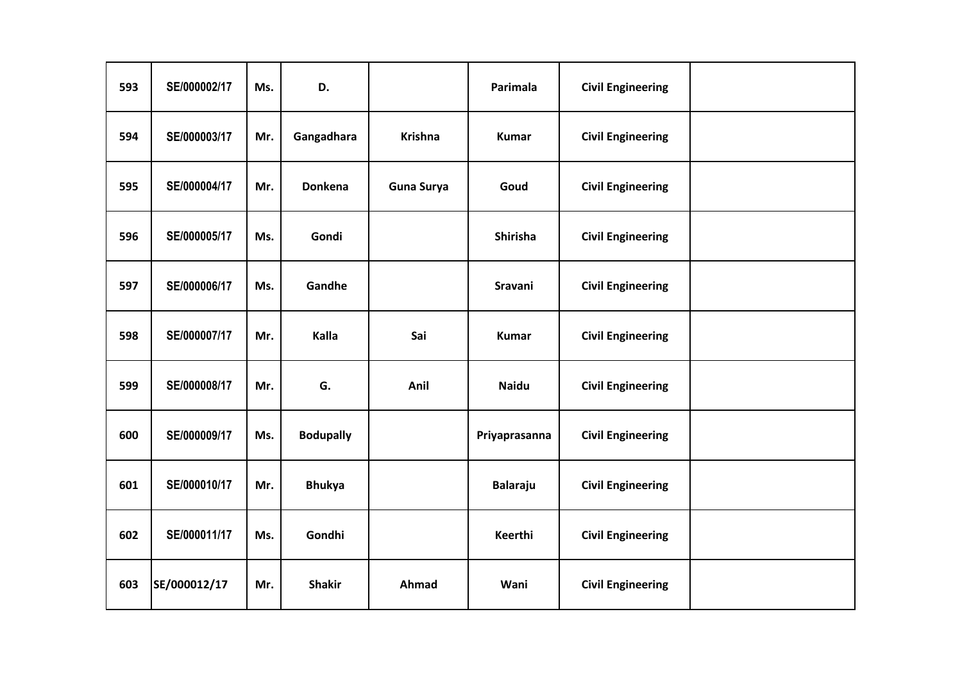| 593 | SE/000002/17 | Ms. | D.               |                   | Parimala        | <b>Civil Engineering</b> |  |
|-----|--------------|-----|------------------|-------------------|-----------------|--------------------------|--|
| 594 | SE/000003/17 | Mr. | Gangadhara       | <b>Krishna</b>    | <b>Kumar</b>    | <b>Civil Engineering</b> |  |
| 595 | SE/000004/17 | Mr. | Donkena          | <b>Guna Surya</b> | Goud            | <b>Civil Engineering</b> |  |
| 596 | SE/000005/17 | Ms. | Gondi            |                   | Shirisha        | <b>Civil Engineering</b> |  |
| 597 | SE/000006/17 | Ms. | Gandhe           |                   | Sravani         | <b>Civil Engineering</b> |  |
| 598 | SE/000007/17 | Mr. | Kalla            | Sai               | <b>Kumar</b>    | <b>Civil Engineering</b> |  |
| 599 | SE/000008/17 | Mr. | G.               | Anil              | <b>Naidu</b>    | <b>Civil Engineering</b> |  |
| 600 | SE/000009/17 | Ms. | <b>Bodupally</b> |                   | Priyaprasanna   | <b>Civil Engineering</b> |  |
| 601 | SE/000010/17 | Mr. | <b>Bhukya</b>    |                   | <b>Balaraju</b> | <b>Civil Engineering</b> |  |
| 602 | SE/000011/17 | Ms. | Gondhi           |                   | Keerthi         | <b>Civil Engineering</b> |  |
| 603 | SE/000012/17 | Mr. | <b>Shakir</b>    | Ahmad             | Wani            | <b>Civil Engineering</b> |  |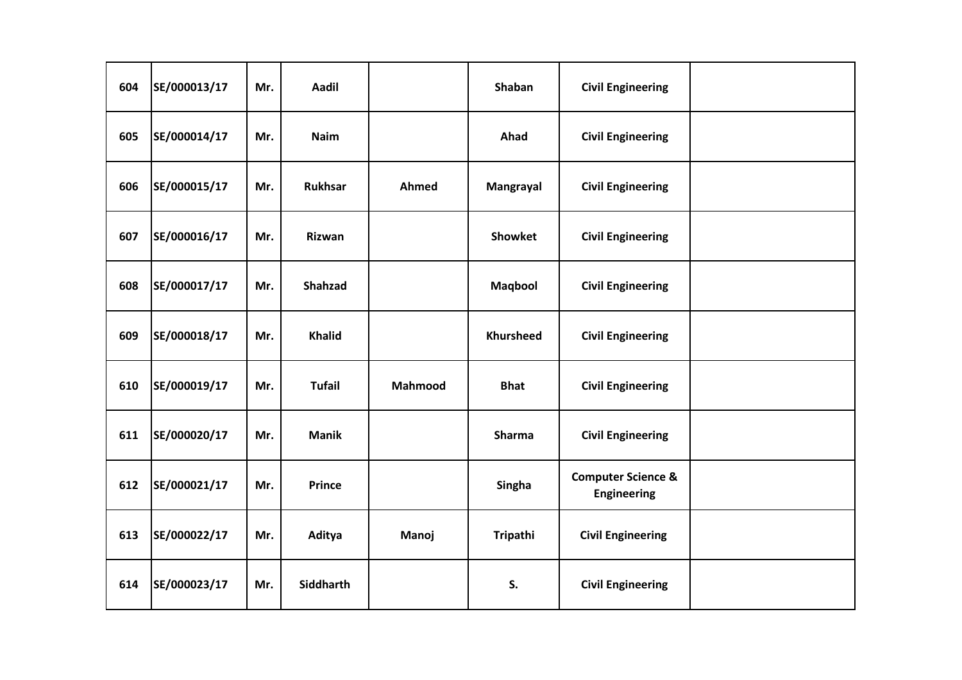| 604 | SE/000013/17 | Mr. | Aadil            |         | Shaban           | <b>Civil Engineering</b>                            |  |
|-----|--------------|-----|------------------|---------|------------------|-----------------------------------------------------|--|
| 605 | SE/000014/17 | Mr. | <b>Naim</b>      |         | Ahad             | <b>Civil Engineering</b>                            |  |
| 606 | SE/000015/17 | Mr. | <b>Rukhsar</b>   | Ahmed   | Mangrayal        | <b>Civil Engineering</b>                            |  |
| 607 | SE/000016/17 | Mr. | Rizwan           |         | <b>Showket</b>   | <b>Civil Engineering</b>                            |  |
| 608 | SE/000017/17 | Mr. | Shahzad          |         | Maqbool          | <b>Civil Engineering</b>                            |  |
| 609 | SE/000018/17 | Mr. | <b>Khalid</b>    |         | <b>Khursheed</b> | <b>Civil Engineering</b>                            |  |
| 610 | SE/000019/17 | Mr. | <b>Tufail</b>    | Mahmood | <b>Bhat</b>      | <b>Civil Engineering</b>                            |  |
| 611 | SE/000020/17 | Mr. | <b>Manik</b>     |         | <b>Sharma</b>    | <b>Civil Engineering</b>                            |  |
| 612 | SE/000021/17 | Mr. | <b>Prince</b>    |         | Singha           | <b>Computer Science &amp;</b><br><b>Engineering</b> |  |
| 613 | SE/000022/17 | Mr. | Aditya           | Manoj   | Tripathi         | <b>Civil Engineering</b>                            |  |
| 614 | SE/000023/17 | Mr. | <b>Siddharth</b> |         | S.               | <b>Civil Engineering</b>                            |  |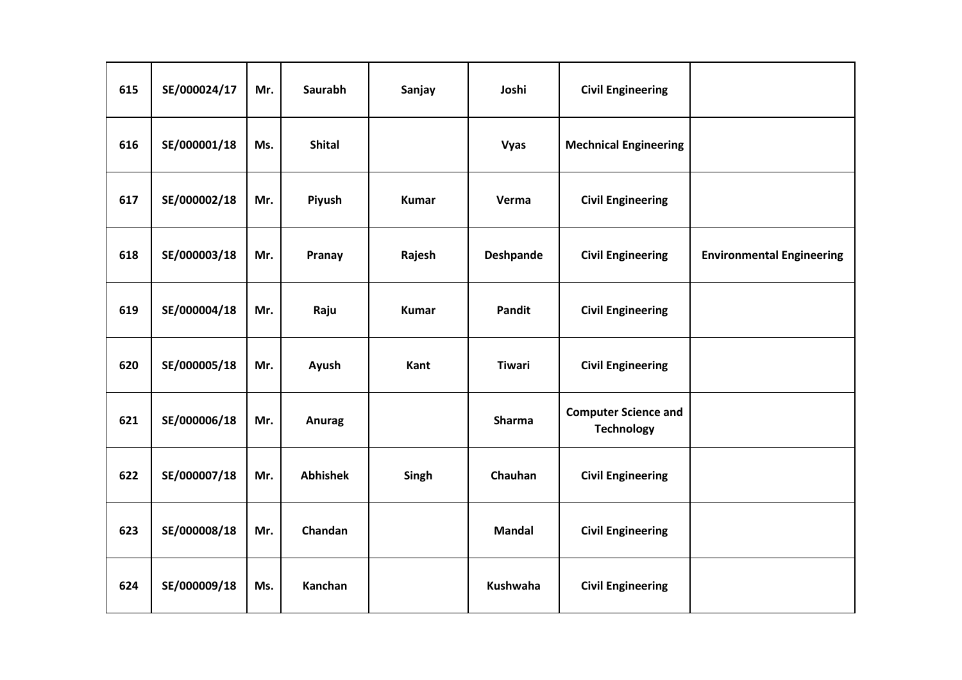| 615 | SE/000024/17 | Mr. | <b>Saurabh</b>  | Sanjay       | Joshi            | <b>Civil Engineering</b>                         |                                  |
|-----|--------------|-----|-----------------|--------------|------------------|--------------------------------------------------|----------------------------------|
| 616 | SE/000001/18 | Ms. | <b>Shital</b>   |              | <b>Vyas</b>      | <b>Mechnical Engineering</b>                     |                                  |
| 617 | SE/000002/18 | Mr. | Piyush          | <b>Kumar</b> | Verma            | <b>Civil Engineering</b>                         |                                  |
| 618 | SE/000003/18 | Mr. | Pranay          | Rajesh       | <b>Deshpande</b> | <b>Civil Engineering</b>                         | <b>Environmental Engineering</b> |
| 619 | SE/000004/18 | Mr. | Raju            | <b>Kumar</b> | Pandit           | <b>Civil Engineering</b>                         |                                  |
| 620 | SE/000005/18 | Mr. | Ayush           | Kant         | <b>Tiwari</b>    | <b>Civil Engineering</b>                         |                                  |
| 621 | SE/000006/18 | Mr. | Anurag          |              | <b>Sharma</b>    | <b>Computer Science and</b><br><b>Technology</b> |                                  |
| 622 | SE/000007/18 | Mr. | <b>Abhishek</b> | Singh        | Chauhan          | <b>Civil Engineering</b>                         |                                  |
| 623 | SE/000008/18 | Mr. | Chandan         |              | <b>Mandal</b>    | <b>Civil Engineering</b>                         |                                  |
| 624 | SE/000009/18 | Ms. | Kanchan         |              | Kushwaha         | <b>Civil Engineering</b>                         |                                  |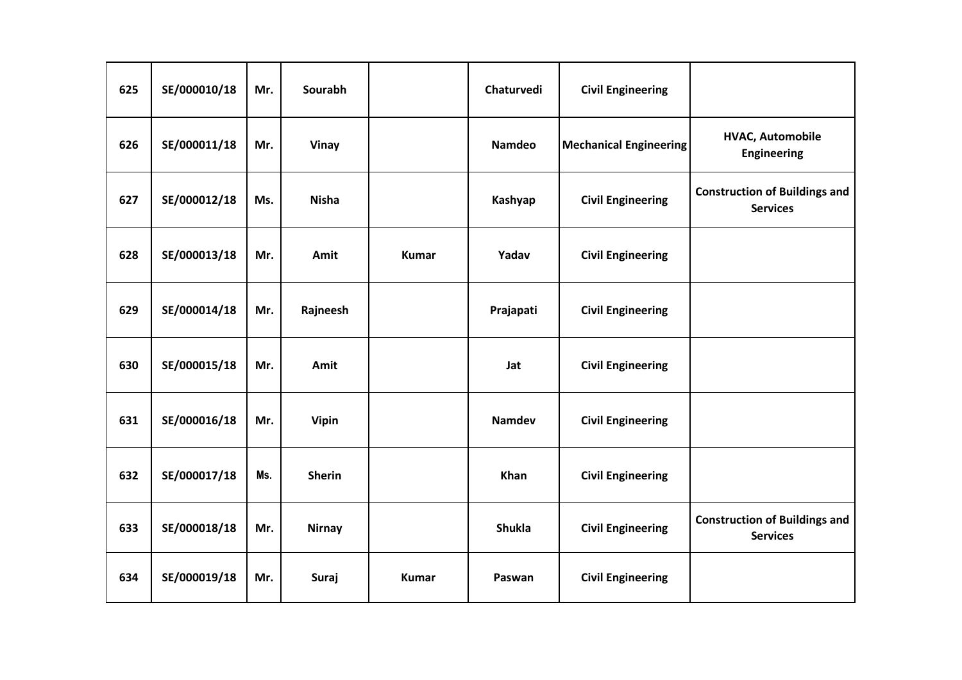| 625 | SE/000010/18 | Mr. | Sourabh       |              | Chaturvedi    | <b>Civil Engineering</b>      |                                                         |
|-----|--------------|-----|---------------|--------------|---------------|-------------------------------|---------------------------------------------------------|
| 626 | SE/000011/18 | Mr. | <b>Vinay</b>  |              | <b>Namdeo</b> | <b>Mechanical Engineering</b> | <b>HVAC, Automobile</b><br><b>Engineering</b>           |
| 627 | SE/000012/18 | Ms. | <b>Nisha</b>  |              | Kashyap       | <b>Civil Engineering</b>      | <b>Construction of Buildings and</b><br><b>Services</b> |
| 628 | SE/000013/18 | Mr. | Amit          | <b>Kumar</b> | Yadav         | <b>Civil Engineering</b>      |                                                         |
| 629 | SE/000014/18 | Mr. | Rajneesh      |              | Prajapati     | <b>Civil Engineering</b>      |                                                         |
| 630 | SE/000015/18 | Mr. | Amit          |              | Jat           | <b>Civil Engineering</b>      |                                                         |
| 631 | SE/000016/18 | Mr. | Vipin         |              | <b>Namdev</b> | <b>Civil Engineering</b>      |                                                         |
| 632 | SE/000017/18 | Ms. | <b>Sherin</b> |              | Khan          | <b>Civil Engineering</b>      |                                                         |
| 633 | SE/000018/18 | Mr. | <b>Nirnay</b> |              | <b>Shukla</b> | <b>Civil Engineering</b>      | <b>Construction of Buildings and</b><br><b>Services</b> |
| 634 | SE/000019/18 | Mr. | Suraj         | <b>Kumar</b> | Paswan        | <b>Civil Engineering</b>      |                                                         |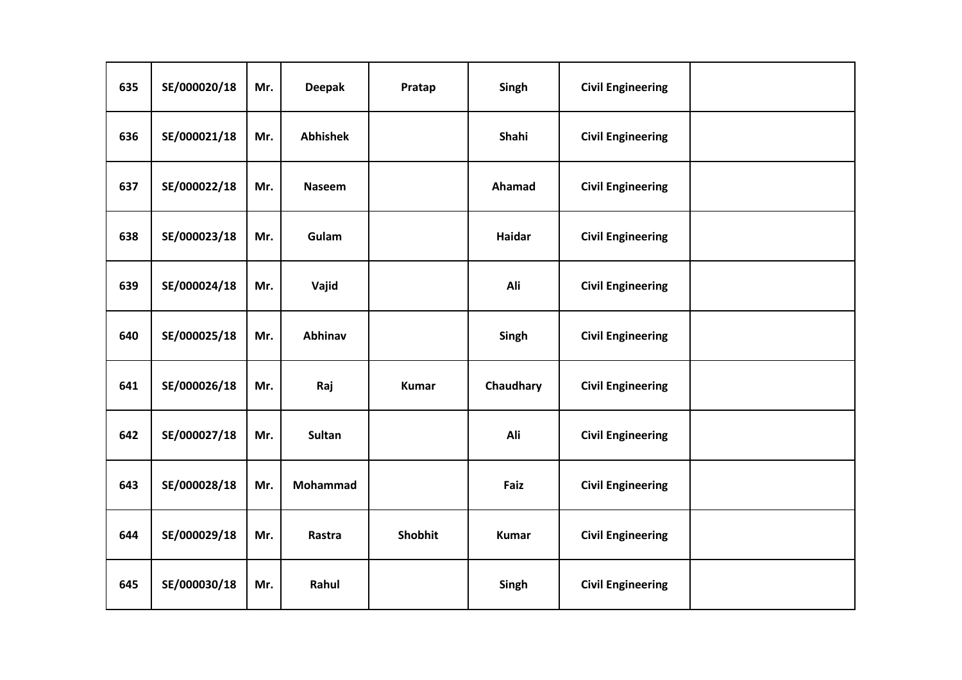| 635 | SE/000020/18 | Mr. | <b>Deepak</b>   | Pratap       | Singh        | <b>Civil Engineering</b> |  |
|-----|--------------|-----|-----------------|--------------|--------------|--------------------------|--|
| 636 | SE/000021/18 | Mr. | <b>Abhishek</b> |              | Shahi        | <b>Civil Engineering</b> |  |
| 637 | SE/000022/18 | Mr. | <b>Naseem</b>   |              | Ahamad       | <b>Civil Engineering</b> |  |
| 638 | SE/000023/18 | Mr. | Gulam           |              | Haidar       | <b>Civil Engineering</b> |  |
| 639 | SE/000024/18 | Mr. | Vajid           |              | Ali          | <b>Civil Engineering</b> |  |
| 640 | SE/000025/18 | Mr. | Abhinav         |              | Singh        | <b>Civil Engineering</b> |  |
| 641 | SE/000026/18 | Mr. | Raj             | <b>Kumar</b> | Chaudhary    | <b>Civil Engineering</b> |  |
| 642 | SE/000027/18 | Mr. | <b>Sultan</b>   |              | Ali          | <b>Civil Engineering</b> |  |
| 643 | SE/000028/18 | Mr. | Mohammad        |              | Faiz         | <b>Civil Engineering</b> |  |
| 644 | SE/000029/18 | Mr. | Rastra          | Shobhit      | <b>Kumar</b> | <b>Civil Engineering</b> |  |
| 645 | SE/000030/18 | Mr. | Rahul           |              | Singh        | <b>Civil Engineering</b> |  |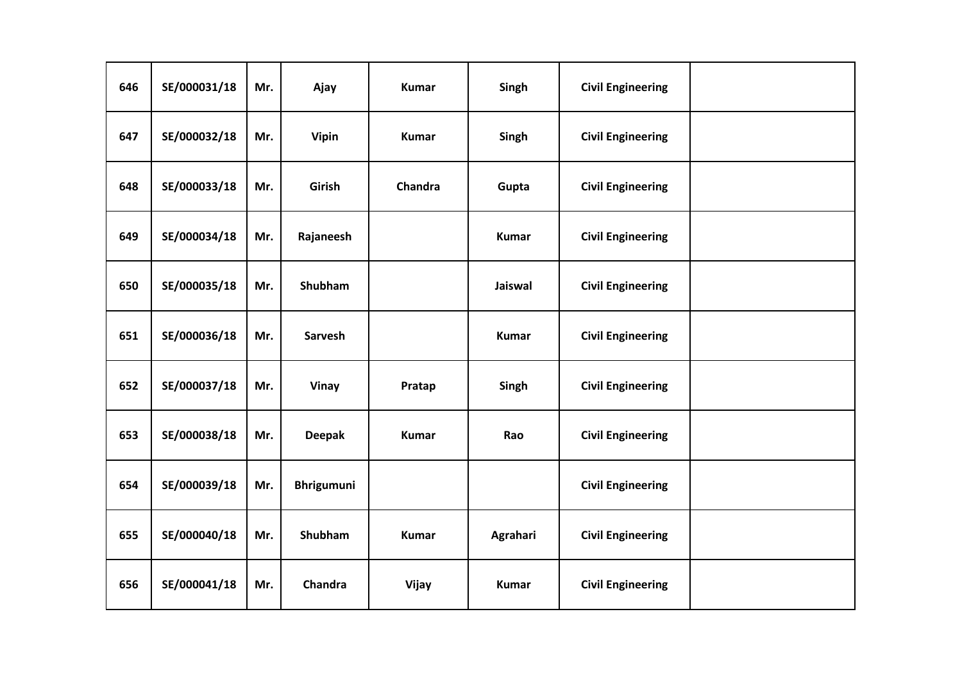| 646 | SE/000031/18 | Mr. | Ajay              | <b>Kumar</b> | Singh        | <b>Civil Engineering</b> |  |
|-----|--------------|-----|-------------------|--------------|--------------|--------------------------|--|
| 647 | SE/000032/18 | Mr. | <b>Vipin</b>      | <b>Kumar</b> | Singh        | <b>Civil Engineering</b> |  |
| 648 | SE/000033/18 | Mr. | Girish            | Chandra      | Gupta        | <b>Civil Engineering</b> |  |
| 649 | SE/000034/18 | Mr. | Rajaneesh         |              | <b>Kumar</b> | <b>Civil Engineering</b> |  |
| 650 | SE/000035/18 | Mr. | <b>Shubham</b>    |              | Jaiswal      | <b>Civil Engineering</b> |  |
| 651 | SE/000036/18 | Mr. | Sarvesh           |              | <b>Kumar</b> | <b>Civil Engineering</b> |  |
| 652 | SE/000037/18 | Mr. | <b>Vinay</b>      | Pratap       | Singh        | <b>Civil Engineering</b> |  |
| 653 | SE/000038/18 | Mr. | <b>Deepak</b>     | <b>Kumar</b> | Rao          | <b>Civil Engineering</b> |  |
| 654 | SE/000039/18 | Mr. | <b>Bhrigumuni</b> |              |              | <b>Civil Engineering</b> |  |
| 655 | SE/000040/18 | Mr. | Shubham           | <b>Kumar</b> | Agrahari     | <b>Civil Engineering</b> |  |
| 656 | SE/000041/18 | Mr. | Chandra           | Vijay        | <b>Kumar</b> | <b>Civil Engineering</b> |  |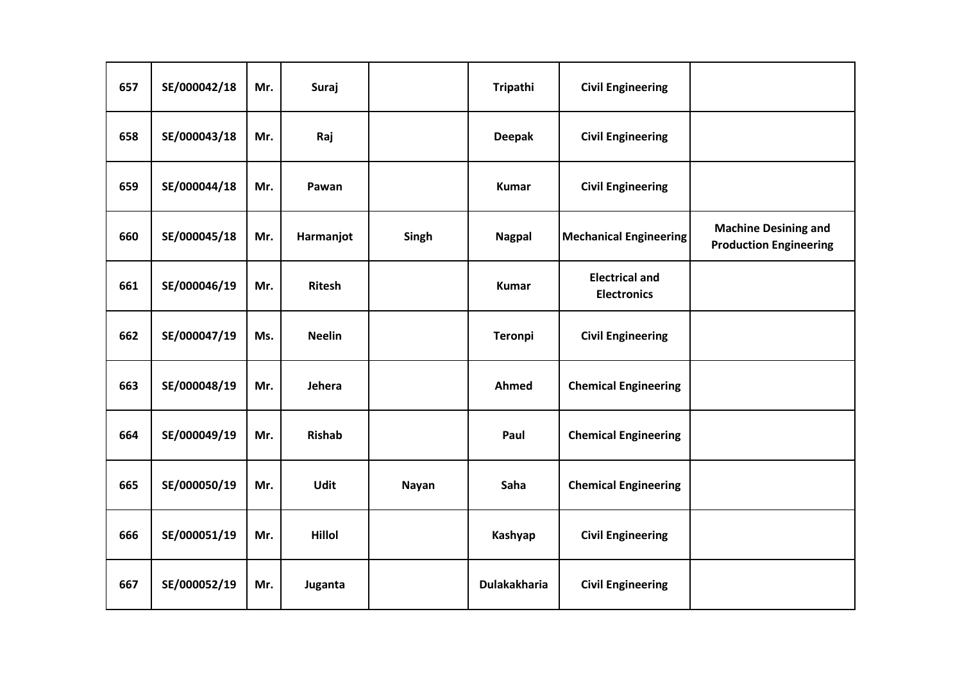| 657 | SE/000042/18 | Mr. | Suraj         |              | Tripathi            | <b>Civil Engineering</b>                    |                                                              |
|-----|--------------|-----|---------------|--------------|---------------------|---------------------------------------------|--------------------------------------------------------------|
| 658 | SE/000043/18 | Mr. | Raj           |              | <b>Deepak</b>       | <b>Civil Engineering</b>                    |                                                              |
| 659 | SE/000044/18 | Mr. | Pawan         |              | <b>Kumar</b>        | <b>Civil Engineering</b>                    |                                                              |
| 660 | SE/000045/18 | Mr. | Harmanjot     | Singh        | <b>Nagpal</b>       | <b>Mechanical Engineering</b>               | <b>Machine Desining and</b><br><b>Production Engineering</b> |
| 661 | SE/000046/19 | Mr. | <b>Ritesh</b> |              | <b>Kumar</b>        | <b>Electrical and</b><br><b>Electronics</b> |                                                              |
| 662 | SE/000047/19 | Ms. | <b>Neelin</b> |              | <b>Teronpi</b>      | <b>Civil Engineering</b>                    |                                                              |
| 663 | SE/000048/19 | Mr. | Jehera        |              | Ahmed               | <b>Chemical Engineering</b>                 |                                                              |
| 664 | SE/000049/19 | Mr. | <b>Rishab</b> |              | Paul                | <b>Chemical Engineering</b>                 |                                                              |
| 665 | SE/000050/19 | Mr. | <b>Udit</b>   | <b>Nayan</b> | Saha                | <b>Chemical Engineering</b>                 |                                                              |
| 666 | SE/000051/19 | Mr. | Hillol        |              | Kashyap             | <b>Civil Engineering</b>                    |                                                              |
| 667 | SE/000052/19 | Mr. | Juganta       |              | <b>Dulakakharia</b> | <b>Civil Engineering</b>                    |                                                              |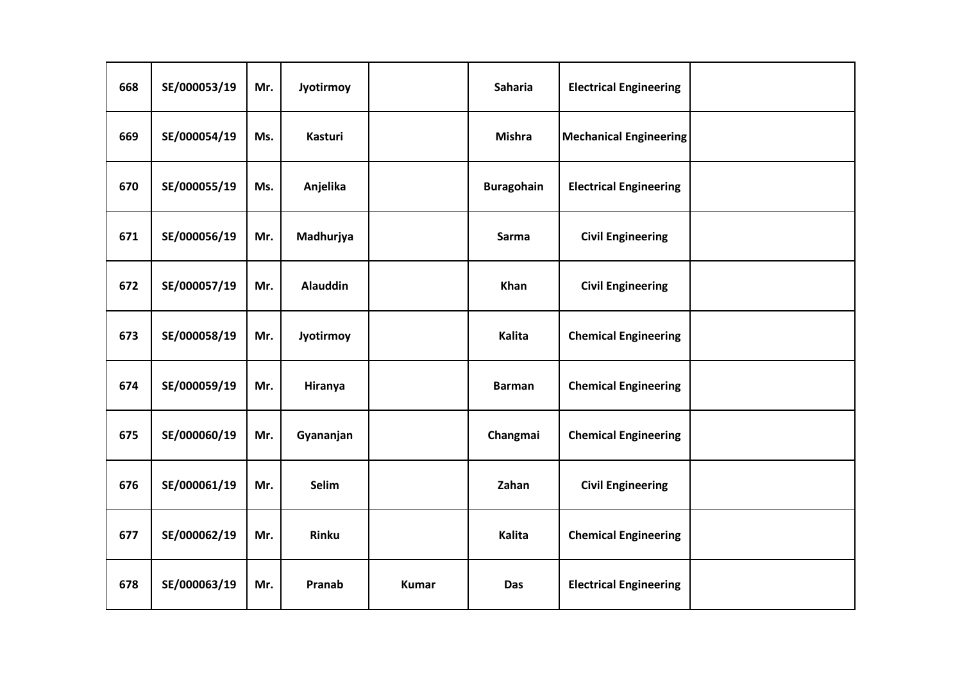| 668 | SE/000053/19 | Mr. | Jyotirmoy       |              | Saharia           | <b>Electrical Engineering</b> |  |
|-----|--------------|-----|-----------------|--------------|-------------------|-------------------------------|--|
| 669 | SE/000054/19 | Ms. | <b>Kasturi</b>  |              | <b>Mishra</b>     | <b>Mechanical Engineering</b> |  |
| 670 | SE/000055/19 | Ms. | Anjelika        |              | <b>Buragohain</b> | <b>Electrical Engineering</b> |  |
| 671 | SE/000056/19 | Mr. | Madhurjya       |              | Sarma             | <b>Civil Engineering</b>      |  |
| 672 | SE/000057/19 | Mr. | <b>Alauddin</b> |              | Khan              | <b>Civil Engineering</b>      |  |
| 673 | SE/000058/19 | Mr. | Jyotirmoy       |              | Kalita            | <b>Chemical Engineering</b>   |  |
| 674 | SE/000059/19 | Mr. | Hiranya         |              | <b>Barman</b>     | <b>Chemical Engineering</b>   |  |
| 675 | SE/000060/19 | Mr. | Gyananjan       |              | Changmai          | <b>Chemical Engineering</b>   |  |
| 676 | SE/000061/19 | Mr. | Selim           |              | Zahan             | <b>Civil Engineering</b>      |  |
| 677 | SE/000062/19 | Mr. | Rinku           |              | Kalita            | <b>Chemical Engineering</b>   |  |
| 678 | SE/000063/19 | Mr. | Pranab          | <b>Kumar</b> | Das               | <b>Electrical Engineering</b> |  |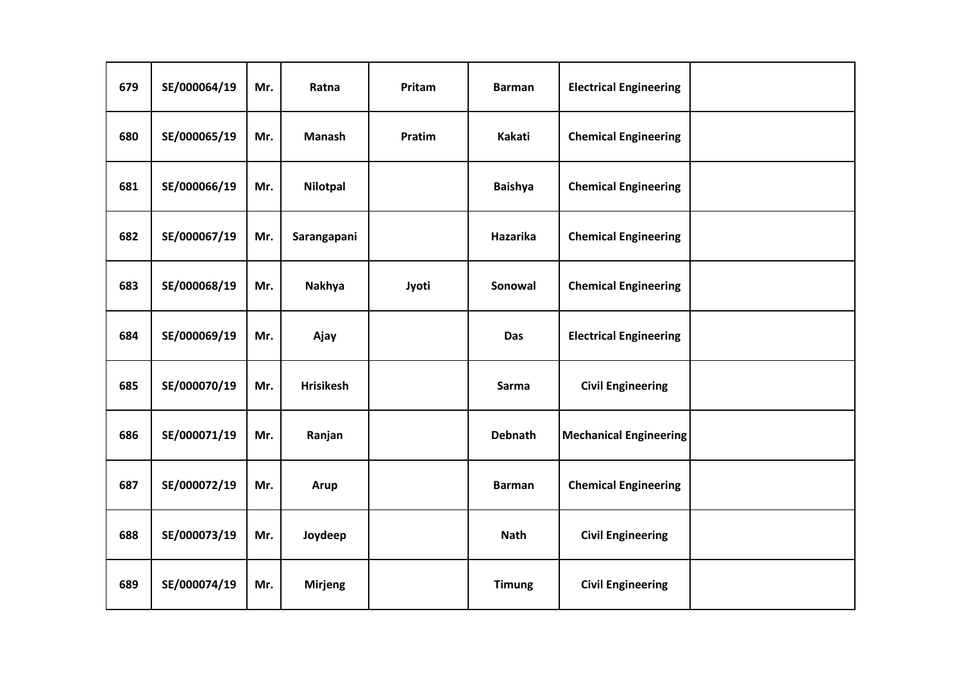| 679 | SE/000064/19 | Mr. | Ratna            | Pritam | <b>Barman</b>  | <b>Electrical Engineering</b> |  |
|-----|--------------|-----|------------------|--------|----------------|-------------------------------|--|
| 680 | SE/000065/19 | Mr. | <b>Manash</b>    | Pratim | Kakati         | <b>Chemical Engineering</b>   |  |
| 681 | SE/000066/19 | Mr. | Nilotpal         |        | <b>Baishya</b> | <b>Chemical Engineering</b>   |  |
| 682 | SE/000067/19 | Mr. | Sarangapani      |        | Hazarika       | <b>Chemical Engineering</b>   |  |
| 683 | SE/000068/19 | Mr. | Nakhya           | Jyoti  | Sonowal        | <b>Chemical Engineering</b>   |  |
| 684 | SE/000069/19 | Mr. | Ajay             |        | Das            | <b>Electrical Engineering</b> |  |
| 685 | SE/000070/19 | Mr. | <b>Hrisikesh</b> |        | Sarma          | <b>Civil Engineering</b>      |  |
| 686 | SE/000071/19 | Mr. | Ranjan           |        | <b>Debnath</b> | <b>Mechanical Engineering</b> |  |
| 687 | SE/000072/19 | Mr. | Arup             |        | <b>Barman</b>  | <b>Chemical Engineering</b>   |  |
| 688 | SE/000073/19 | Mr. | Joydeep          |        | <b>Nath</b>    | <b>Civil Engineering</b>      |  |
| 689 | SE/000074/19 | Mr. | <b>Mirjeng</b>   |        | <b>Timung</b>  | <b>Civil Engineering</b>      |  |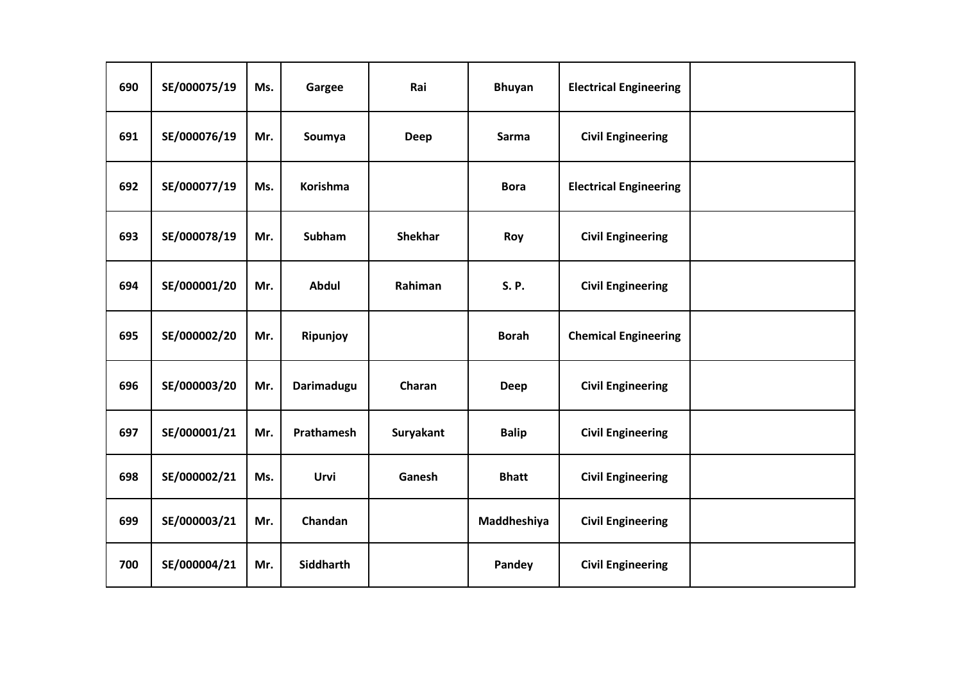| 690 | SE/000075/19 | Ms. | Gargee            | Rai            | <b>Bhuyan</b> | <b>Electrical Engineering</b> |  |
|-----|--------------|-----|-------------------|----------------|---------------|-------------------------------|--|
| 691 | SE/000076/19 | Mr. | Soumya            | <b>Deep</b>    | Sarma         | <b>Civil Engineering</b>      |  |
| 692 | SE/000077/19 | Ms. | <b>Korishma</b>   |                | <b>Bora</b>   | <b>Electrical Engineering</b> |  |
| 693 | SE/000078/19 | Mr. | <b>Subham</b>     | <b>Shekhar</b> | Roy           | <b>Civil Engineering</b>      |  |
| 694 | SE/000001/20 | Mr. | Abdul             | Rahiman        | <b>S.P.</b>   | <b>Civil Engineering</b>      |  |
| 695 | SE/000002/20 | Mr. | Ripunjoy          |                | <b>Borah</b>  | <b>Chemical Engineering</b>   |  |
| 696 | SE/000003/20 | Mr. | Darimadugu        | Charan         | Deep          | <b>Civil Engineering</b>      |  |
| 697 | SE/000001/21 | Mr. | <b>Prathamesh</b> | Suryakant      | <b>Balip</b>  | <b>Civil Engineering</b>      |  |
| 698 | SE/000002/21 | Ms. | Urvi              | Ganesh         | <b>Bhatt</b>  | <b>Civil Engineering</b>      |  |
| 699 | SE/000003/21 | Mr. | Chandan           |                | Maddheshiya   | <b>Civil Engineering</b>      |  |
| 700 | SE/000004/21 | Mr. | <b>Siddharth</b>  |                | Pandey        | <b>Civil Engineering</b>      |  |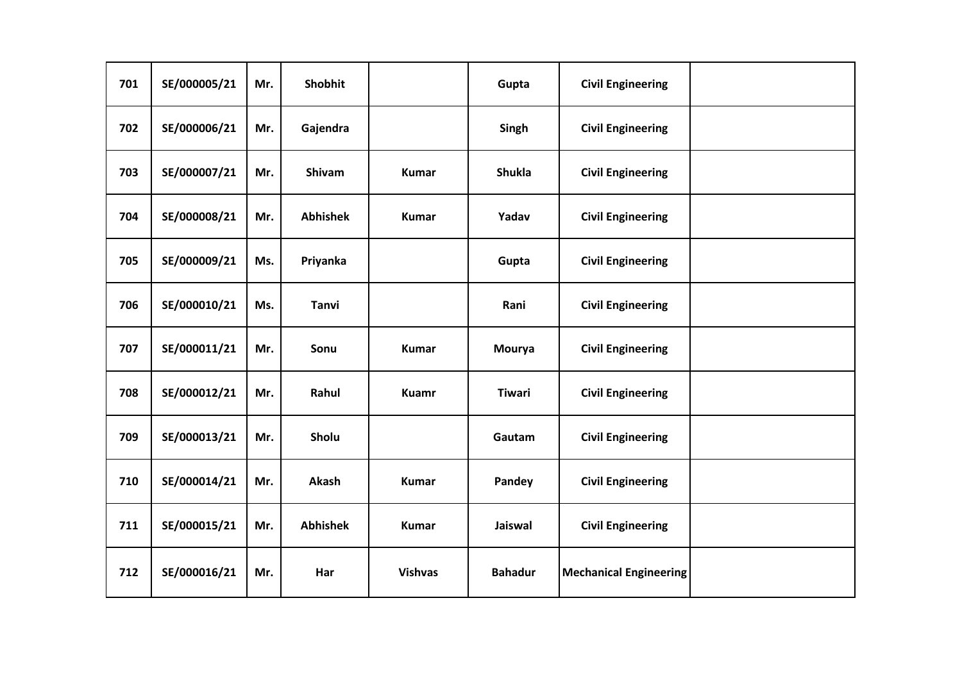| 701 | SE/000005/21 | Mr. | Shobhit         |                | Gupta          | <b>Civil Engineering</b>      |  |
|-----|--------------|-----|-----------------|----------------|----------------|-------------------------------|--|
| 702 | SE/000006/21 | Mr. | Gajendra        |                | Singh          | <b>Civil Engineering</b>      |  |
| 703 | SE/000007/21 | Mr. | Shivam          | <b>Kumar</b>   | <b>Shukla</b>  | <b>Civil Engineering</b>      |  |
| 704 | SE/000008/21 | Mr. | <b>Abhishek</b> | <b>Kumar</b>   | Yadav          | <b>Civil Engineering</b>      |  |
| 705 | SE/000009/21 | Ms. | Priyanka        |                | Gupta          | <b>Civil Engineering</b>      |  |
| 706 | SE/000010/21 | Ms. | <b>Tanvi</b>    |                | Rani           | <b>Civil Engineering</b>      |  |
| 707 | SE/000011/21 | Mr. | Sonu            | <b>Kumar</b>   | Mourya         | <b>Civil Engineering</b>      |  |
| 708 | SE/000012/21 | Mr. | Rahul           | <b>Kuamr</b>   | <b>Tiwari</b>  | <b>Civil Engineering</b>      |  |
| 709 | SE/000013/21 | Mr. | Sholu           |                | Gautam         | <b>Civil Engineering</b>      |  |
| 710 | SE/000014/21 | Mr. | Akash           | <b>Kumar</b>   | Pandey         | <b>Civil Engineering</b>      |  |
| 711 | SE/000015/21 | Mr. | <b>Abhishek</b> | <b>Kumar</b>   | Jaiswal        | <b>Civil Engineering</b>      |  |
| 712 | SE/000016/21 | Mr. | Har             | <b>Vishvas</b> | <b>Bahadur</b> | <b>Mechanical Engineering</b> |  |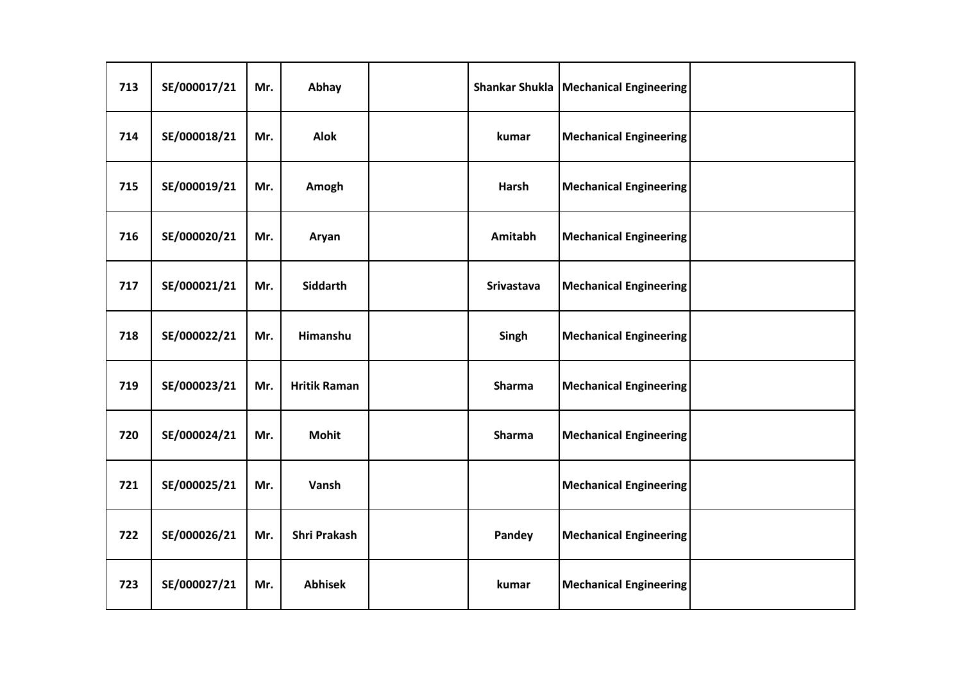| 713 | SE/000017/21 | Mr. | Abhay               | <b>Shankar Shukla</b> | <b>Mechanical Engineering</b> |  |
|-----|--------------|-----|---------------------|-----------------------|-------------------------------|--|
| 714 | SE/000018/21 | Mr. | <b>Alok</b>         | kumar                 | <b>Mechanical Engineering</b> |  |
| 715 | SE/000019/21 | Mr. | Amogh               | Harsh                 | <b>Mechanical Engineering</b> |  |
| 716 | SE/000020/21 | Mr. | Aryan               | Amitabh               | <b>Mechanical Engineering</b> |  |
| 717 | SE/000021/21 | Mr. | Siddarth            | Srivastava            | <b>Mechanical Engineering</b> |  |
| 718 | SE/000022/21 | Mr. | Himanshu            | Singh                 | <b>Mechanical Engineering</b> |  |
| 719 | SE/000023/21 | Mr. | <b>Hritik Raman</b> | Sharma                | <b>Mechanical Engineering</b> |  |
| 720 | SE/000024/21 | Mr. | <b>Mohit</b>        | <b>Sharma</b>         | <b>Mechanical Engineering</b> |  |
| 721 | SE/000025/21 | Mr. | Vansh               |                       | <b>Mechanical Engineering</b> |  |
| 722 | SE/000026/21 | Mr. | <b>Shri Prakash</b> | Pandey                | <b>Mechanical Engineering</b> |  |
| 723 | SE/000027/21 | Mr. | <b>Abhisek</b>      | kumar                 | <b>Mechanical Engineering</b> |  |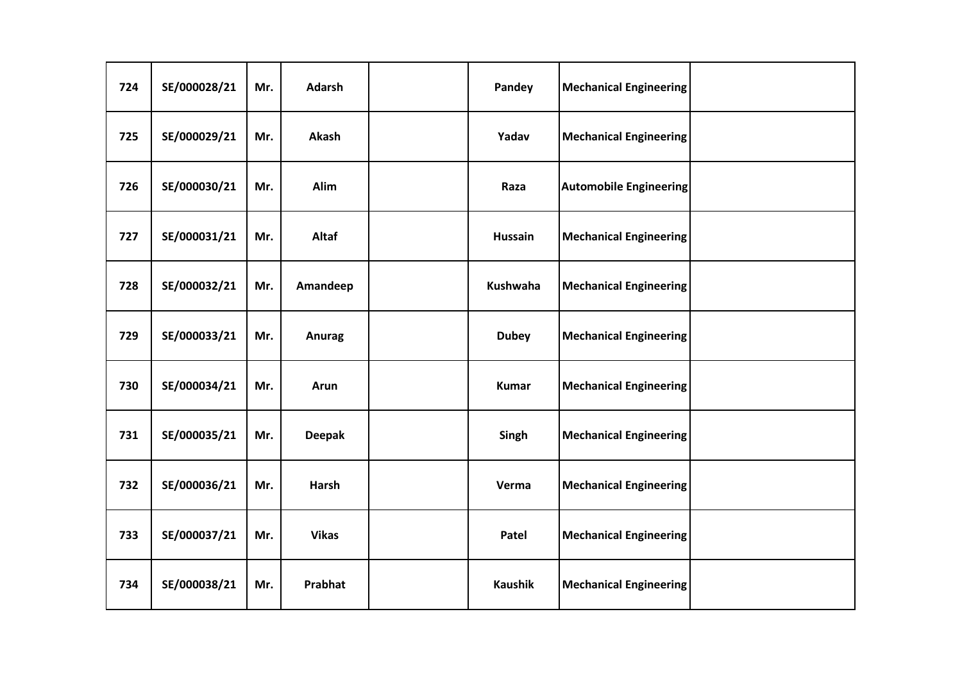| 724 | SE/000028/21 | Mr. | <b>Adarsh</b> | Pandey         | <b>Mechanical Engineering</b> |  |
|-----|--------------|-----|---------------|----------------|-------------------------------|--|
| 725 | SE/000029/21 | Mr. | Akash         | Yadav          | <b>Mechanical Engineering</b> |  |
| 726 | SE/000030/21 | Mr. | Alim          | Raza           | <b>Automobile Engineering</b> |  |
| 727 | SE/000031/21 | Mr. | Altaf         | <b>Hussain</b> | <b>Mechanical Engineering</b> |  |
| 728 | SE/000032/21 | Mr. | Amandeep      | Kushwaha       | <b>Mechanical Engineering</b> |  |
| 729 | SE/000033/21 | Mr. | <b>Anurag</b> | <b>Dubey</b>   | <b>Mechanical Engineering</b> |  |
| 730 | SE/000034/21 | Mr. | Arun          | <b>Kumar</b>   | <b>Mechanical Engineering</b> |  |
| 731 | SE/000035/21 | Mr. | <b>Deepak</b> | Singh          | <b>Mechanical Engineering</b> |  |
| 732 | SE/000036/21 | Mr. | <b>Harsh</b>  | Verma          | <b>Mechanical Engineering</b> |  |
| 733 | SE/000037/21 | Mr. | <b>Vikas</b>  | Patel          | <b>Mechanical Engineering</b> |  |
| 734 | SE/000038/21 | Mr. | Prabhat       | <b>Kaushik</b> | <b>Mechanical Engineering</b> |  |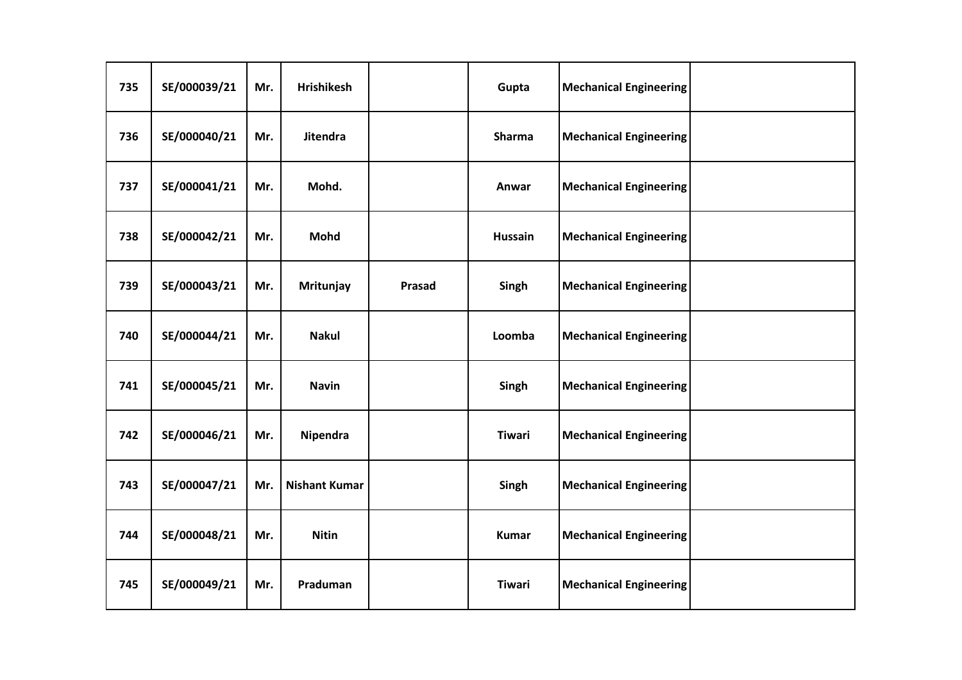| 735 | SE/000039/21 | Mr. | <b>Hrishikesh</b>    |        | Gupta          | <b>Mechanical Engineering</b> |  |
|-----|--------------|-----|----------------------|--------|----------------|-------------------------------|--|
| 736 | SE/000040/21 | Mr. | <b>Jitendra</b>      |        | <b>Sharma</b>  | <b>Mechanical Engineering</b> |  |
| 737 | SE/000041/21 | Mr. | Mohd.                |        | Anwar          | <b>Mechanical Engineering</b> |  |
| 738 | SE/000042/21 | Mr. | Mohd                 |        | <b>Hussain</b> | <b>Mechanical Engineering</b> |  |
| 739 | SE/000043/21 | Mr. | Mritunjay            | Prasad | Singh          | <b>Mechanical Engineering</b> |  |
| 740 | SE/000044/21 | Mr. | <b>Nakul</b>         |        | Loomba         | <b>Mechanical Engineering</b> |  |
| 741 | SE/000045/21 | Mr. | <b>Navin</b>         |        | Singh          | <b>Mechanical Engineering</b> |  |
| 742 | SE/000046/21 | Mr. | Nipendra             |        | <b>Tiwari</b>  | <b>Mechanical Engineering</b> |  |
| 743 | SE/000047/21 | Mr. | <b>Nishant Kumar</b> |        | Singh          | <b>Mechanical Engineering</b> |  |
| 744 | SE/000048/21 | Mr. | <b>Nitin</b>         |        | <b>Kumar</b>   | <b>Mechanical Engineering</b> |  |
| 745 | SE/000049/21 | Mr. | Praduman             |        | <b>Tiwari</b>  | <b>Mechanical Engineering</b> |  |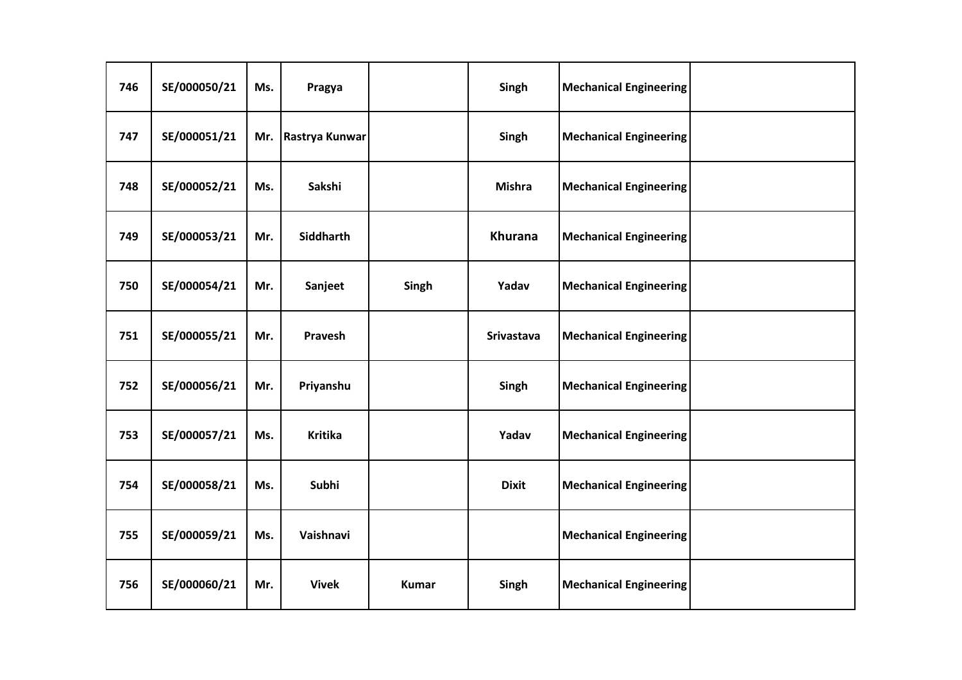| 746 | SE/000050/21 | Ms. | Pragya         |              | Singh             | <b>Mechanical Engineering</b> |  |
|-----|--------------|-----|----------------|--------------|-------------------|-------------------------------|--|
| 747 | SE/000051/21 | Mr. | Rastrya Kunwar |              | Singh             | <b>Mechanical Engineering</b> |  |
| 748 | SE/000052/21 | Ms. | Sakshi         |              | <b>Mishra</b>     | <b>Mechanical Engineering</b> |  |
| 749 | SE/000053/21 | Mr. | Siddharth      |              | <b>Khurana</b>    | <b>Mechanical Engineering</b> |  |
| 750 | SE/000054/21 | Mr. | Sanjeet        | Singh        | Yadav             | <b>Mechanical Engineering</b> |  |
| 751 | SE/000055/21 | Mr. | Pravesh        |              | <b>Srivastava</b> | <b>Mechanical Engineering</b> |  |
| 752 | SE/000056/21 | Mr. | Priyanshu      |              | Singh             | <b>Mechanical Engineering</b> |  |
| 753 | SE/000057/21 | Ms. | <b>Kritika</b> |              | Yadav             | <b>Mechanical Engineering</b> |  |
| 754 | SE/000058/21 | Ms. | Subhi          |              | <b>Dixit</b>      | <b>Mechanical Engineering</b> |  |
| 755 | SE/000059/21 | Ms. | Vaishnavi      |              |                   | <b>Mechanical Engineering</b> |  |
| 756 | SE/000060/21 | Mr. | <b>Vivek</b>   | <b>Kumar</b> | Singh             | <b>Mechanical Engineering</b> |  |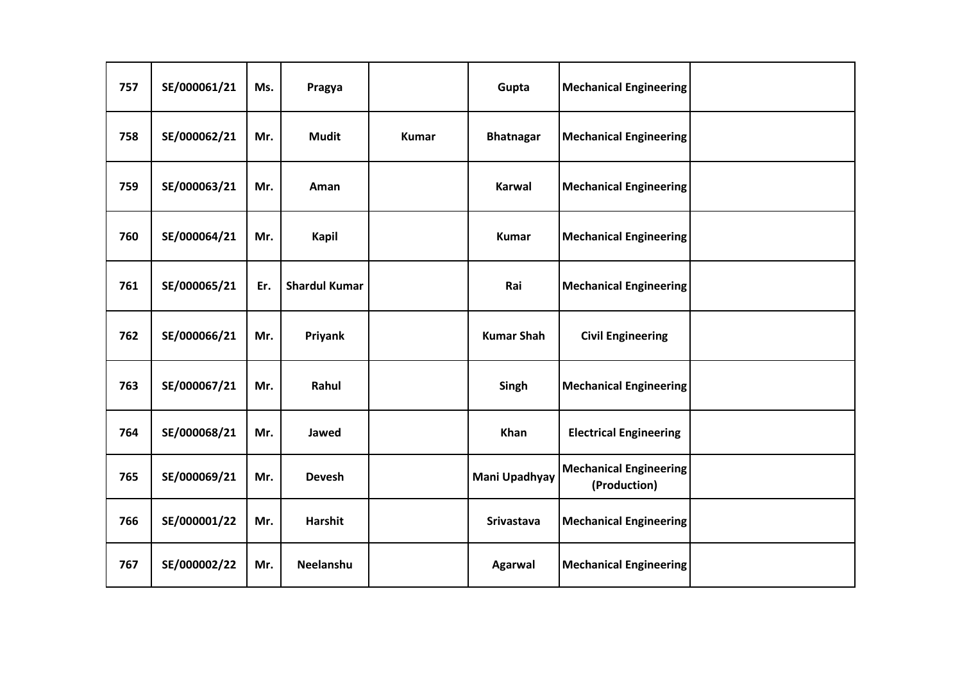| 757 | SE/000061/21 | Ms. | Pragya               |              | Gupta             | <b>Mechanical Engineering</b>                 |  |
|-----|--------------|-----|----------------------|--------------|-------------------|-----------------------------------------------|--|
| 758 | SE/000062/21 | Mr. | <b>Mudit</b>         | <b>Kumar</b> | <b>Bhatnagar</b>  | <b>Mechanical Engineering</b>                 |  |
| 759 | SE/000063/21 | Mr. | Aman                 |              | <b>Karwal</b>     | <b>Mechanical Engineering</b>                 |  |
| 760 | SE/000064/21 | Mr. | <b>Kapil</b>         |              | <b>Kumar</b>      | <b>Mechanical Engineering</b>                 |  |
| 761 | SE/000065/21 | Er. | <b>Shardul Kumar</b> |              | Rai               | <b>Mechanical Engineering</b>                 |  |
| 762 | SE/000066/21 | Mr. | Priyank              |              | <b>Kumar Shah</b> | <b>Civil Engineering</b>                      |  |
| 763 | SE/000067/21 | Mr. | Rahul                |              | Singh             | <b>Mechanical Engineering</b>                 |  |
| 764 | SE/000068/21 | Mr. | Jawed                |              | Khan              | <b>Electrical Engineering</b>                 |  |
| 765 | SE/000069/21 | Mr. | <b>Devesh</b>        |              | Mani Upadhyay     | <b>Mechanical Engineering</b><br>(Production) |  |
| 766 | SE/000001/22 | Mr. | <b>Harshit</b>       |              | <b>Srivastava</b> | <b>Mechanical Engineering</b>                 |  |
| 767 | SE/000002/22 | Mr. | Neelanshu            |              | <b>Agarwal</b>    | <b>Mechanical Engineering</b>                 |  |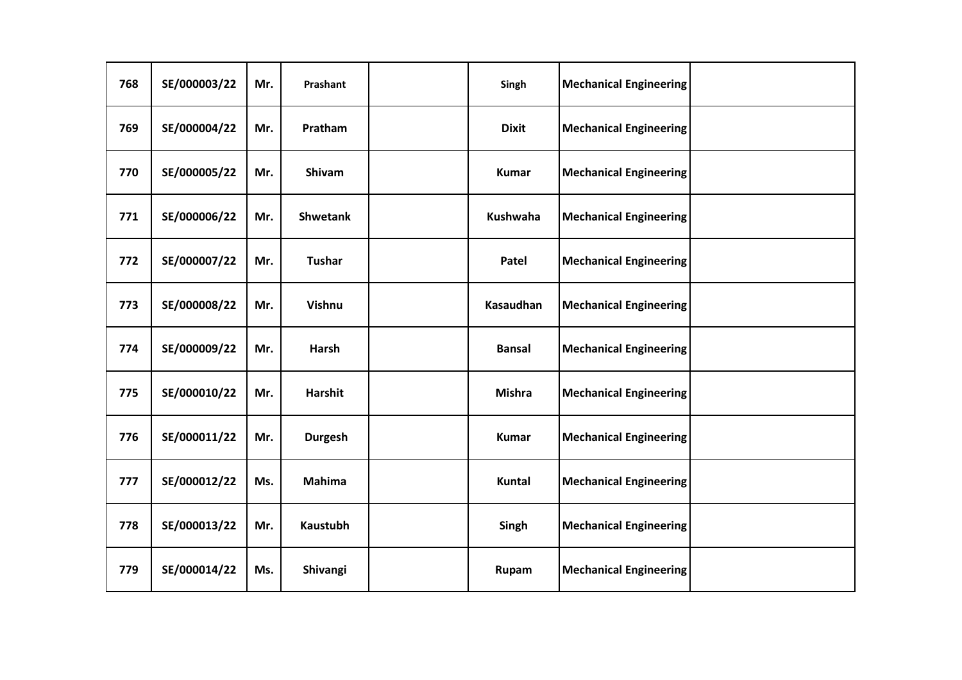| 768 | SE/000003/22 | Mr. | Prashant        | Singh            | <b>Mechanical Engineering</b> |  |
|-----|--------------|-----|-----------------|------------------|-------------------------------|--|
| 769 | SE/000004/22 | Mr. | Pratham         | <b>Dixit</b>     | <b>Mechanical Engineering</b> |  |
| 770 | SE/000005/22 | Mr. | Shivam          | <b>Kumar</b>     | <b>Mechanical Engineering</b> |  |
| 771 | SE/000006/22 | Mr. | <b>Shwetank</b> | <b>Kushwaha</b>  | <b>Mechanical Engineering</b> |  |
| 772 | SE/000007/22 | Mr. | <b>Tushar</b>   | Patel            | <b>Mechanical Engineering</b> |  |
| 773 | SE/000008/22 | Mr. | Vishnu          | <b>Kasaudhan</b> | <b>Mechanical Engineering</b> |  |
| 774 | SE/000009/22 | Mr. | Harsh           | <b>Bansal</b>    | <b>Mechanical Engineering</b> |  |
| 775 | SE/000010/22 | Mr. | <b>Harshit</b>  | <b>Mishra</b>    | <b>Mechanical Engineering</b> |  |
| 776 | SE/000011/22 | Mr. | <b>Durgesh</b>  | <b>Kumar</b>     | <b>Mechanical Engineering</b> |  |
| 777 | SE/000012/22 | Ms. | <b>Mahima</b>   | <b>Kuntal</b>    | <b>Mechanical Engineering</b> |  |
| 778 | SE/000013/22 | Mr. | <b>Kaustubh</b> | Singh            | <b>Mechanical Engineering</b> |  |
| 779 | SE/000014/22 | Ms. | Shivangi        | Rupam            | <b>Mechanical Engineering</b> |  |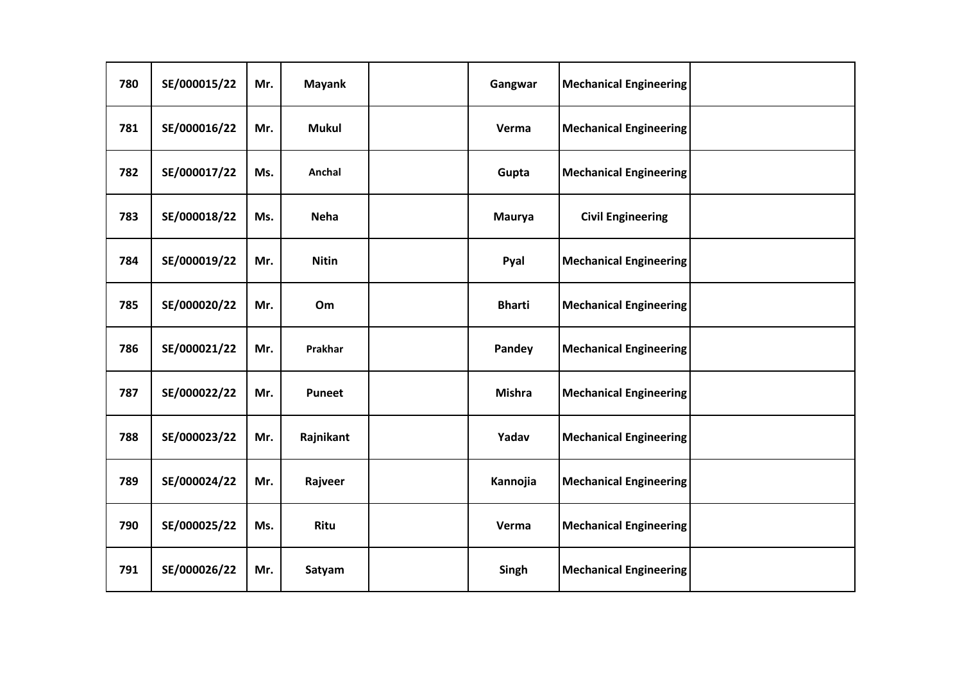| 780 | SE/000015/22 | Mr. | <b>Mayank</b> | Gangwar       | <b>Mechanical Engineering</b> |  |
|-----|--------------|-----|---------------|---------------|-------------------------------|--|
| 781 | SE/000016/22 | Mr. | <b>Mukul</b>  | Verma         | <b>Mechanical Engineering</b> |  |
| 782 | SE/000017/22 | Ms. | Anchal        | Gupta         | <b>Mechanical Engineering</b> |  |
| 783 | SE/000018/22 | Ms. | <b>Neha</b>   | <b>Maurya</b> | <b>Civil Engineering</b>      |  |
| 784 | SE/000019/22 | Mr. | <b>Nitin</b>  | Pyal          | <b>Mechanical Engineering</b> |  |
| 785 | SE/000020/22 | Mr. | Om            | <b>Bharti</b> | <b>Mechanical Engineering</b> |  |
| 786 | SE/000021/22 | Mr. | Prakhar       | Pandey        | <b>Mechanical Engineering</b> |  |
| 787 | SE/000022/22 | Mr. | Puneet        | <b>Mishra</b> | <b>Mechanical Engineering</b> |  |
| 788 | SE/000023/22 | Mr. | Rajnikant     | Yadav         | <b>Mechanical Engineering</b> |  |
| 789 | SE/000024/22 | Mr. | Rajveer       | Kannojia      | <b>Mechanical Engineering</b> |  |
| 790 | SE/000025/22 | Ms. | Ritu          | Verma         | <b>Mechanical Engineering</b> |  |
| 791 | SE/000026/22 | Mr. | Satyam        | Singh         | <b>Mechanical Engineering</b> |  |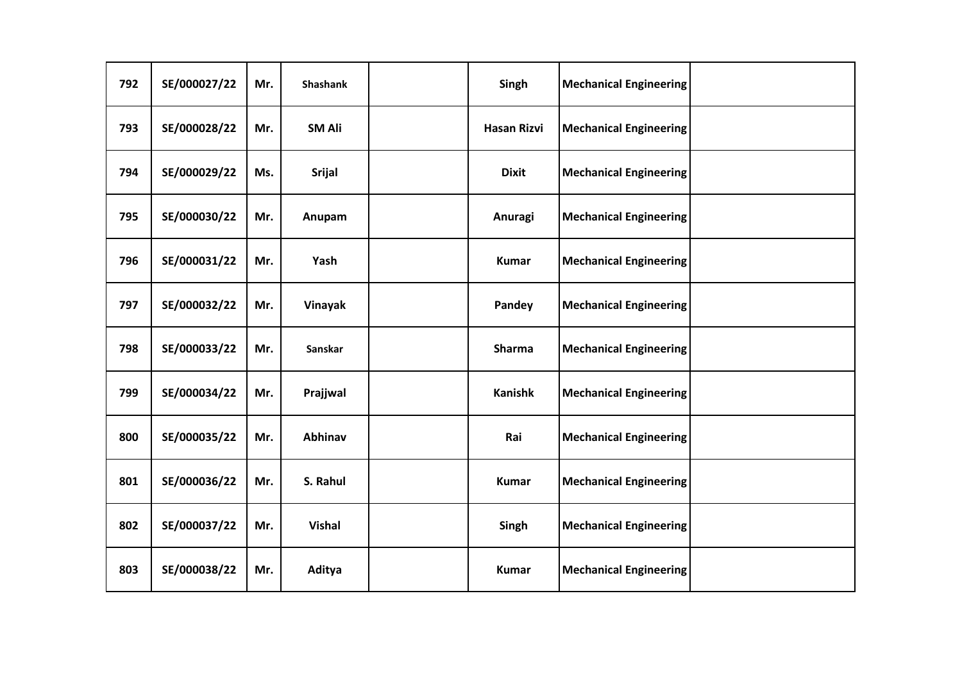| 792 | SE/000027/22 | Mr. | Shashank      | Singh              | <b>Mechanical Engineering</b> |  |
|-----|--------------|-----|---------------|--------------------|-------------------------------|--|
| 793 | SE/000028/22 | Mr. | <b>SM Ali</b> | <b>Hasan Rizvi</b> | <b>Mechanical Engineering</b> |  |
| 794 | SE/000029/22 | Ms. | <b>Srijal</b> | <b>Dixit</b>       | <b>Mechanical Engineering</b> |  |
| 795 | SE/000030/22 | Mr. | Anupam        | Anuragi            | <b>Mechanical Engineering</b> |  |
| 796 | SE/000031/22 | Mr. | Yash          | <b>Kumar</b>       | <b>Mechanical Engineering</b> |  |
| 797 | SE/000032/22 | Mr. | Vinayak       | Pandey             | <b>Mechanical Engineering</b> |  |
| 798 | SE/000033/22 | Mr. | Sanskar       | Sharma             | <b>Mechanical Engineering</b> |  |
| 799 | SE/000034/22 | Mr. | Prajjwal      | <b>Kanishk</b>     | <b>Mechanical Engineering</b> |  |
| 800 | SE/000035/22 | Mr. | Abhinav       | Rai                | <b>Mechanical Engineering</b> |  |
| 801 | SE/000036/22 | Mr. | S. Rahul      | <b>Kumar</b>       | <b>Mechanical Engineering</b> |  |
| 802 | SE/000037/22 | Mr. | <b>Vishal</b> | Singh              | <b>Mechanical Engineering</b> |  |
| 803 | SE/000038/22 | Mr. | Aditya        | <b>Kumar</b>       | <b>Mechanical Engineering</b> |  |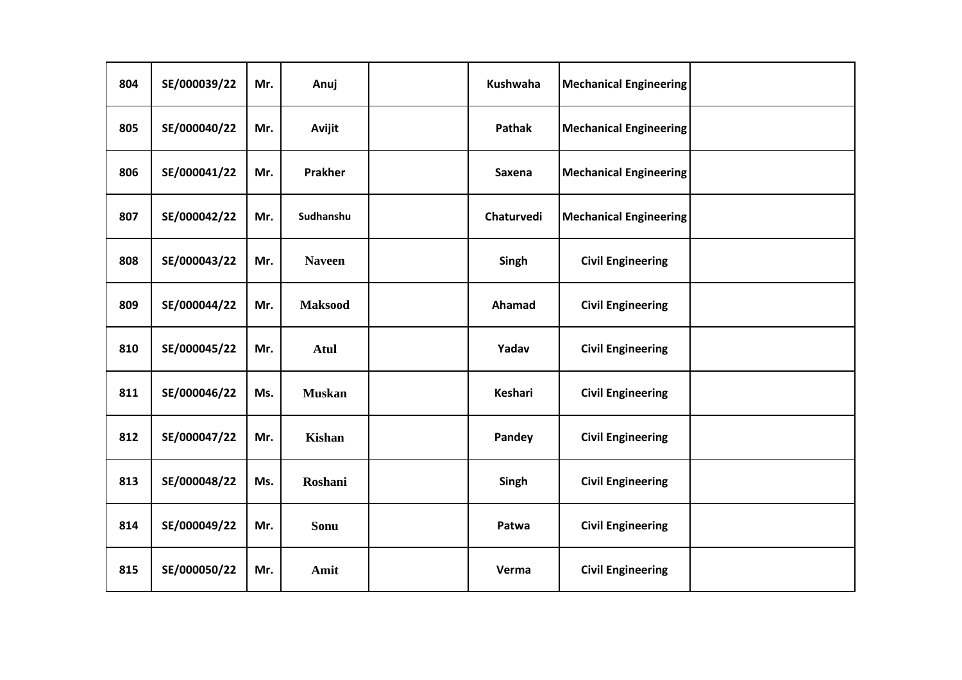| 804 | SE/000039/22 | Mr. | Anuj           | Kushwaha       | <b>Mechanical Engineering</b> |  |
|-----|--------------|-----|----------------|----------------|-------------------------------|--|
| 805 | SE/000040/22 | Mr. | Avijit         | Pathak         | <b>Mechanical Engineering</b> |  |
| 806 | SE/000041/22 | Mr. | <b>Prakher</b> | Saxena         | <b>Mechanical Engineering</b> |  |
| 807 | SE/000042/22 | Mr. | Sudhanshu      | Chaturvedi     | <b>Mechanical Engineering</b> |  |
| 808 | SE/000043/22 | Mr. | <b>Naveen</b>  | Singh          | <b>Civil Engineering</b>      |  |
| 809 | SE/000044/22 | Mr. | <b>Maksood</b> | Ahamad         | <b>Civil Engineering</b>      |  |
| 810 | SE/000045/22 | Mr. | <b>Atul</b>    | Yadav          | <b>Civil Engineering</b>      |  |
| 811 | SE/000046/22 | Ms. | <b>Muskan</b>  | <b>Keshari</b> | <b>Civil Engineering</b>      |  |
| 812 | SE/000047/22 | Mr. | <b>Kishan</b>  | Pandey         | <b>Civil Engineering</b>      |  |
| 813 | SE/000048/22 | Ms. | Roshani        | Singh          | <b>Civil Engineering</b>      |  |
| 814 | SE/000049/22 | Mr. | Sonu           | Patwa          | <b>Civil Engineering</b>      |  |
| 815 | SE/000050/22 | Mr. | Amit           | Verma          | <b>Civil Engineering</b>      |  |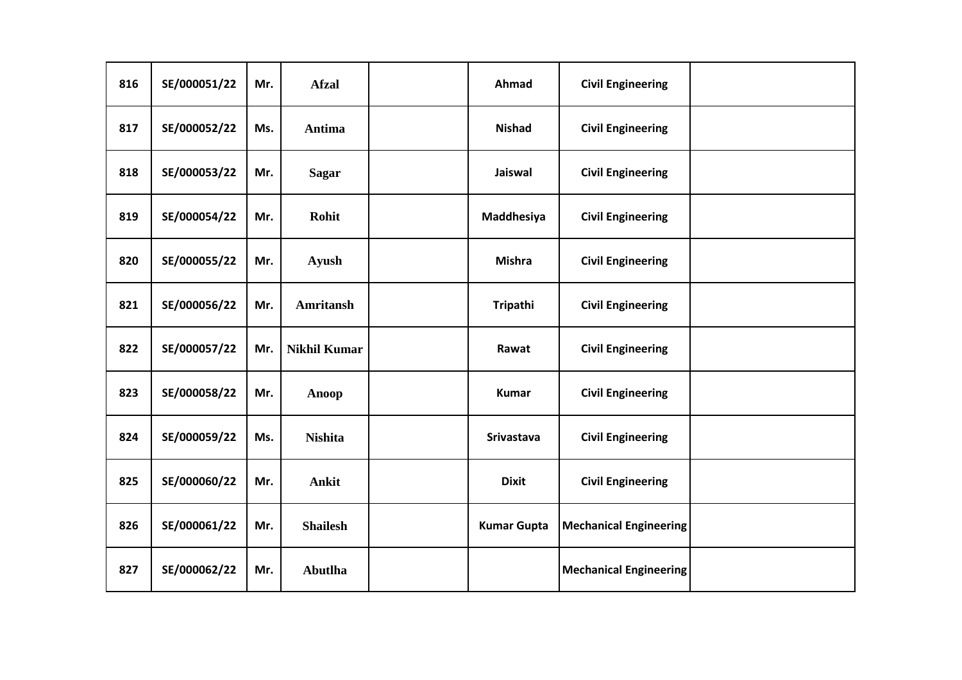| 816 | SE/000051/22 | Mr. | <b>Afzal</b>        | Ahmad              | <b>Civil Engineering</b>      |  |
|-----|--------------|-----|---------------------|--------------------|-------------------------------|--|
| 817 | SE/000052/22 | Ms. | Antima              | <b>Nishad</b>      | <b>Civil Engineering</b>      |  |
| 818 | SE/000053/22 | Mr. | <b>Sagar</b>        | Jaiswal            | <b>Civil Engineering</b>      |  |
| 819 | SE/000054/22 | Mr. | Rohit               | Maddhesiya         | <b>Civil Engineering</b>      |  |
| 820 | SE/000055/22 | Mr. | <b>Ayush</b>        | <b>Mishra</b>      | <b>Civil Engineering</b>      |  |
| 821 | SE/000056/22 | Mr. | <b>Amritansh</b>    | Tripathi           | <b>Civil Engineering</b>      |  |
| 822 | SE/000057/22 | Mr. | <b>Nikhil Kumar</b> | Rawat              | <b>Civil Engineering</b>      |  |
| 823 | SE/000058/22 | Mr. | <b>Anoop</b>        | <b>Kumar</b>       | <b>Civil Engineering</b>      |  |
| 824 | SE/000059/22 | Ms. | <b>Nishita</b>      | Srivastava         | <b>Civil Engineering</b>      |  |
| 825 | SE/000060/22 | Mr. | <b>Ankit</b>        | <b>Dixit</b>       | <b>Civil Engineering</b>      |  |
| 826 | SE/000061/22 | Mr. | <b>Shailesh</b>     | <b>Kumar Gupta</b> | <b>Mechanical Engineering</b> |  |
| 827 | SE/000062/22 | Mr. | <b>Abutlha</b>      |                    | <b>Mechanical Engineering</b> |  |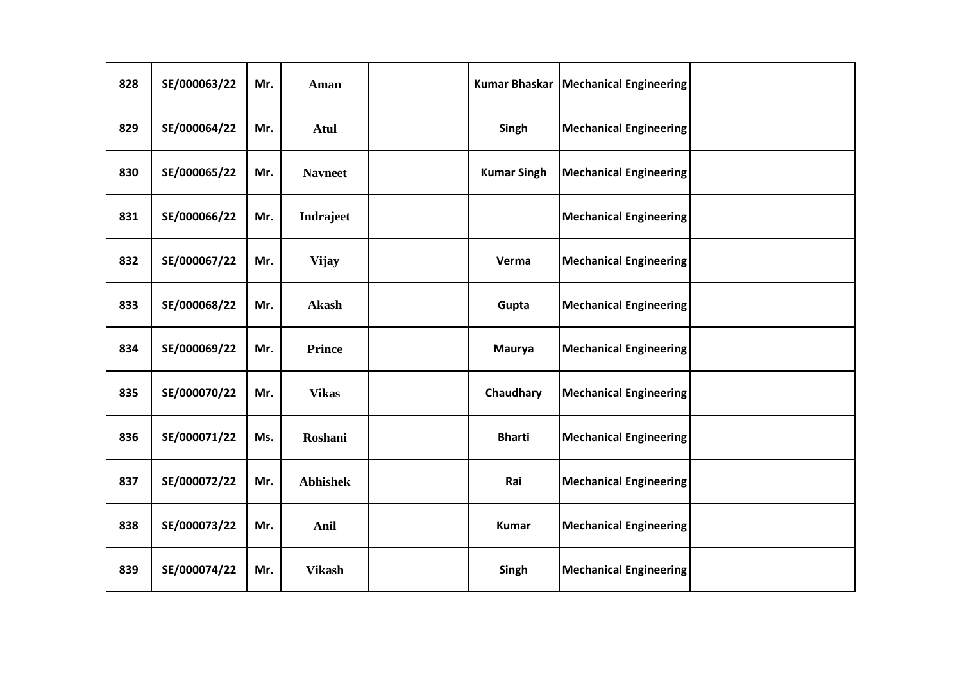| 828 | SE/000063/22 | Mr. | Aman            | <b>Kumar Bhaskar</b> | <b>Mechanical Engineering</b> |  |
|-----|--------------|-----|-----------------|----------------------|-------------------------------|--|
| 829 | SE/000064/22 | Mr. | <b>Atul</b>     | Singh                | <b>Mechanical Engineering</b> |  |
| 830 | SE/000065/22 | Mr. | <b>Navneet</b>  | <b>Kumar Singh</b>   | <b>Mechanical Engineering</b> |  |
| 831 | SE/000066/22 | Mr. | Indrajeet       |                      | <b>Mechanical Engineering</b> |  |
| 832 | SE/000067/22 | Mr. | <b>Vijay</b>    | Verma                | <b>Mechanical Engineering</b> |  |
| 833 | SE/000068/22 | Mr. | <b>Akash</b>    | Gupta                | <b>Mechanical Engineering</b> |  |
| 834 | SE/000069/22 | Mr. | <b>Prince</b>   | <b>Maurya</b>        | <b>Mechanical Engineering</b> |  |
| 835 | SE/000070/22 | Mr. | <b>Vikas</b>    | Chaudhary            | <b>Mechanical Engineering</b> |  |
| 836 | SE/000071/22 | Ms. | Roshani         | <b>Bharti</b>        | <b>Mechanical Engineering</b> |  |
| 837 | SE/000072/22 | Mr. | <b>Abhishek</b> | Rai                  | <b>Mechanical Engineering</b> |  |
| 838 | SE/000073/22 | Mr. | Anil            | <b>Kumar</b>         | <b>Mechanical Engineering</b> |  |
| 839 | SE/000074/22 | Mr. | <b>Vikash</b>   | Singh                | <b>Mechanical Engineering</b> |  |